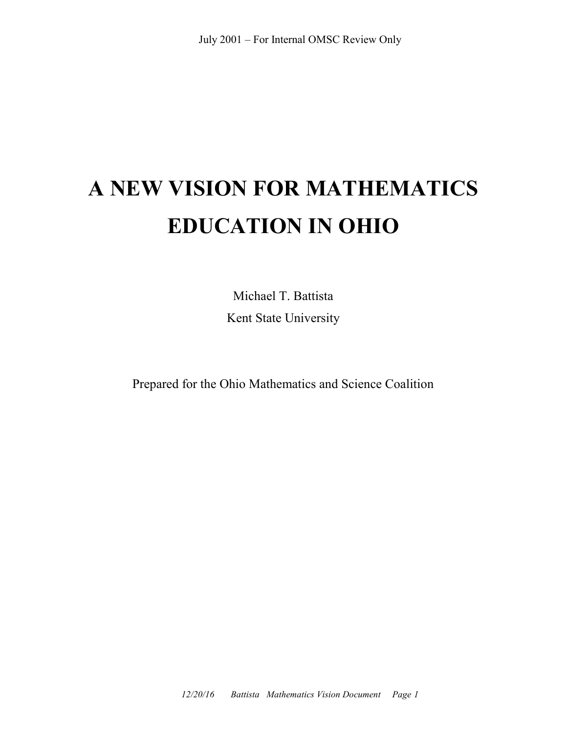# **A NEW VISION FOR MATHEMATICS EDUCATION IN OHIO**

Michael T. Battista Kent State University

Prepared for the Ohio Mathematics and Science Coalition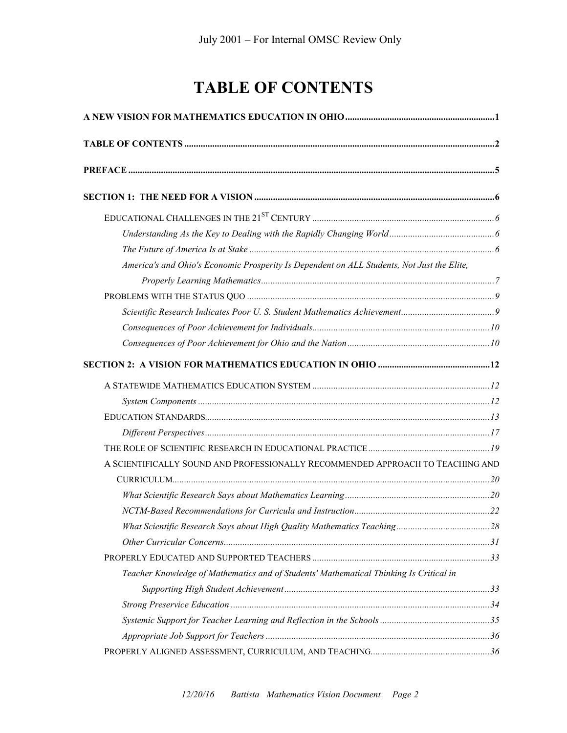## **TABLE OF CONTENTS**

| America's and Ohio's Economic Prosperity Is Dependent on ALL Students, Not Just the Elite, |  |  |
|--------------------------------------------------------------------------------------------|--|--|
|                                                                                            |  |  |
|                                                                                            |  |  |
|                                                                                            |  |  |
|                                                                                            |  |  |
|                                                                                            |  |  |
|                                                                                            |  |  |
|                                                                                            |  |  |
|                                                                                            |  |  |
|                                                                                            |  |  |
|                                                                                            |  |  |
|                                                                                            |  |  |
| A SCIENTIFICALLY SOUND AND PROFESSIONALLY RECOMMENDED APPROACH TO TEACHING AND             |  |  |
|                                                                                            |  |  |
|                                                                                            |  |  |
|                                                                                            |  |  |
|                                                                                            |  |  |
|                                                                                            |  |  |
|                                                                                            |  |  |
| Teacher Knowledge of Mathematics and of Students' Mathematical Thinking Is Critical in     |  |  |
|                                                                                            |  |  |
|                                                                                            |  |  |
|                                                                                            |  |  |
|                                                                                            |  |  |
|                                                                                            |  |  |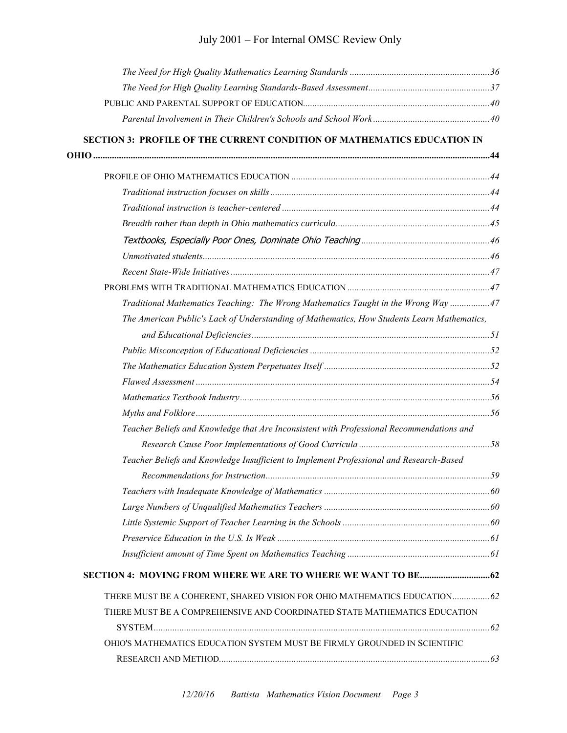| SECTION 3: PROFILE OF THE CURRENT CONDITION OF MATHEMATICS EDUCATION IN                     |  |
|---------------------------------------------------------------------------------------------|--|
|                                                                                             |  |
|                                                                                             |  |
|                                                                                             |  |
|                                                                                             |  |
|                                                                                             |  |
|                                                                                             |  |
|                                                                                             |  |
|                                                                                             |  |
|                                                                                             |  |
| Traditional Mathematics Teaching: The Wrong Mathematics Taught in the Wrong Way 47          |  |
| The American Public's Lack of Understanding of Mathematics, How Students Learn Mathematics, |  |
|                                                                                             |  |
|                                                                                             |  |
|                                                                                             |  |
|                                                                                             |  |
|                                                                                             |  |
|                                                                                             |  |
| Teacher Beliefs and Knowledge that Are Inconsistent with Professional Recommendations and   |  |
|                                                                                             |  |
| Teacher Beliefs and Knowledge Insufficient to Implement Professional and Research-Based     |  |
|                                                                                             |  |
|                                                                                             |  |
|                                                                                             |  |
|                                                                                             |  |
|                                                                                             |  |
|                                                                                             |  |
|                                                                                             |  |
| THERE MUST BE A COHERENT, SHARED VISION FOR OHIO MATHEMATICS EDUCATION 62                   |  |
| THERE MUST BE A COMPREHENSIVE AND COORDINATED STATE MATHEMATICS EDUCATION                   |  |
|                                                                                             |  |
| OHIO'S MATHEMATICS EDUCATION SYSTEM MUST BE FIRMLY GROUNDED IN SCIENTIFIC                   |  |
|                                                                                             |  |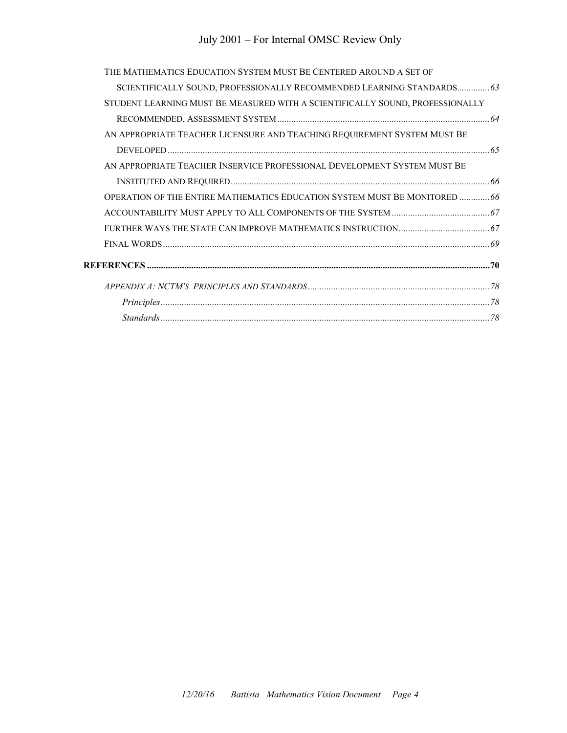## July 2001 – For Internal OMSC Review Only

| THE MATHEMATICS EDUCATION SYSTEM MUST BE CENTERED AROUND A SET OF             |  |
|-------------------------------------------------------------------------------|--|
| SCIENTIFICALLY SOUND, PROFESSIONALLY RECOMMENDED LEARNING STANDARDS 63        |  |
| STUDENT LEARNING MUST BE MEASURED WITH A SCIENTIFICALLY SOUND, PROFESSIONALLY |  |
|                                                                               |  |
| AN APPROPRIATE TEACHER LICENSURE AND TEACHING REQUIREMENT SYSTEM MUST BE      |  |
|                                                                               |  |
| AN APPROPRIATE TEACHER INSERVICE PROFESSIONAL DEVELOPMENT SYSTEM MUST BE      |  |
|                                                                               |  |
| OPERATION OF THE ENTIRE MATHEMATICS EDUCATION SYSTEM MUST BE MONITORED 66     |  |
|                                                                               |  |
|                                                                               |  |
|                                                                               |  |
|                                                                               |  |
|                                                                               |  |
|                                                                               |  |
|                                                                               |  |
|                                                                               |  |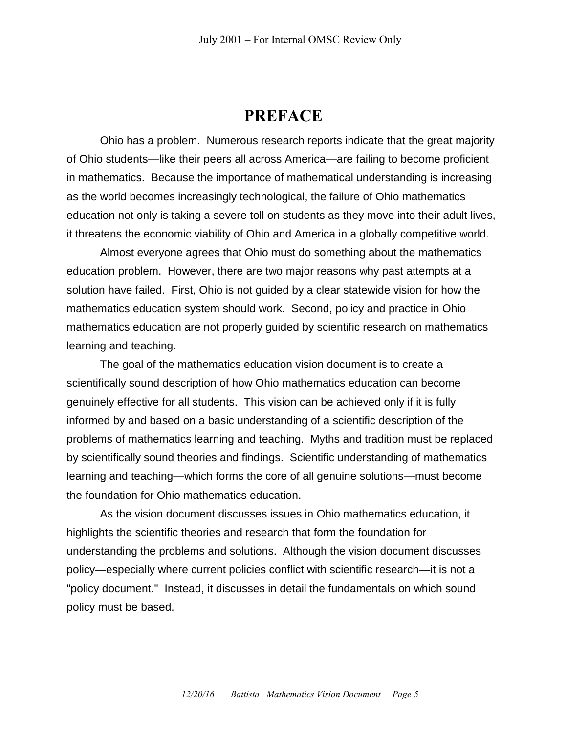## **PREFACE**

Ohio has a problem. Numerous research reports indicate that the great majority of Ohio students—like their peers all across America—are failing to become proficient in mathematics. Because the importance of mathematical understanding is increasing as the world becomes increasingly technological, the failure of Ohio mathematics education not only is taking a severe toll on students as they move into their adult lives, it threatens the economic viability of Ohio and America in a globally competitive world.

Almost everyone agrees that Ohio must do something about the mathematics education problem. However, there are two major reasons why past attempts at a solution have failed. First, Ohio is not guided by a clear statewide vision for how the mathematics education system should work. Second, policy and practice in Ohio mathematics education are not properly guided by scientific research on mathematics learning and teaching.

The goal of the mathematics education vision document is to create a scientifically sound description of how Ohio mathematics education can become genuinely effective for all students. This vision can be achieved only if it is fully informed by and based on a basic understanding of a scientific description of the problems of mathematics learning and teaching. Myths and tradition must be replaced by scientifically sound theories and findings. Scientific understanding of mathematics learning and teaching—which forms the core of all genuine solutions—must become the foundation for Ohio mathematics education.

As the vision document discusses issues in Ohio mathematics education, it highlights the scientific theories and research that form the foundation for understanding the problems and solutions. Although the vision document discusses policy—especially where current policies conflict with scientific research—it is not a "policy document." Instead, it discusses in detail the fundamentals on which sound policy must be based.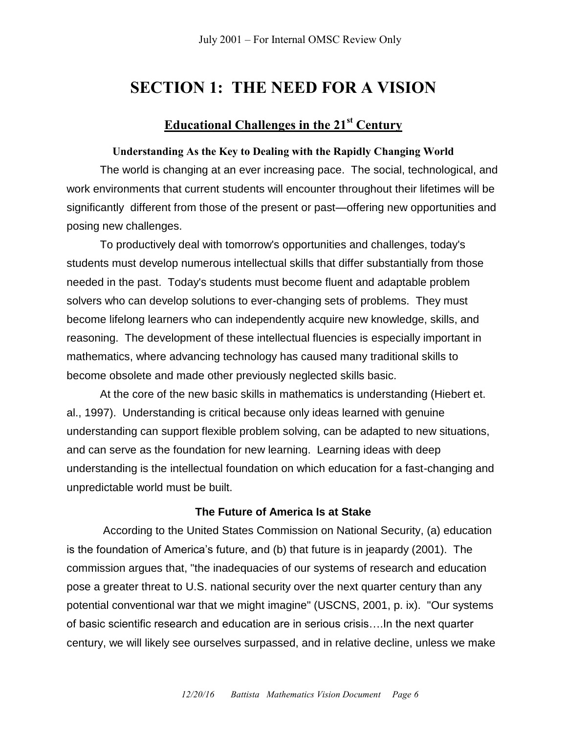## **SECTION 1: THE NEED FOR A VISION**

## **Educational Challenges in the 21st Century**

#### **Understanding As the Key to Dealing with the Rapidly Changing World**

The world is changing at an ever increasing pace. The social, technological, and work environments that current students will encounter throughout their lifetimes will be significantly different from those of the present or past—offering new opportunities and posing new challenges.

To productively deal with tomorrow's opportunities and challenges, today's students must develop numerous intellectual skills that differ substantially from those needed in the past. Today's students must become fluent and adaptable problem solvers who can develop solutions to ever-changing sets of problems. They must become lifelong learners who can independently acquire new knowledge, skills, and reasoning. The development of these intellectual fluencies is especially important in mathematics, where advancing technology has caused many traditional skills to become obsolete and made other previously neglected skills basic.

At the core of the new basic skills in mathematics is understanding (Hiebert et. al., 1997). Understanding is critical because only ideas learned with genuine understanding can support flexible problem solving, can be adapted to new situations, and can serve as the foundation for new learning. Learning ideas with deep understanding is the intellectual foundation on which education for a fast-changing and unpredictable world must be built.

#### **The Future of America Is at Stake**

According to the United States Commission on National Security, (a) education is the foundation of America's future, and (b) that future is in jeapardy (2001). The commission argues that, "the inadequacies of our systems of research and education pose a greater threat to U.S. national security over the next quarter century than any potential conventional war that we might imagine" (USCNS, 2001, p. ix). "Our systems of basic scientific research and education are in serious crisis….In the next quarter century, we will likely see ourselves surpassed, and in relative decline, unless we make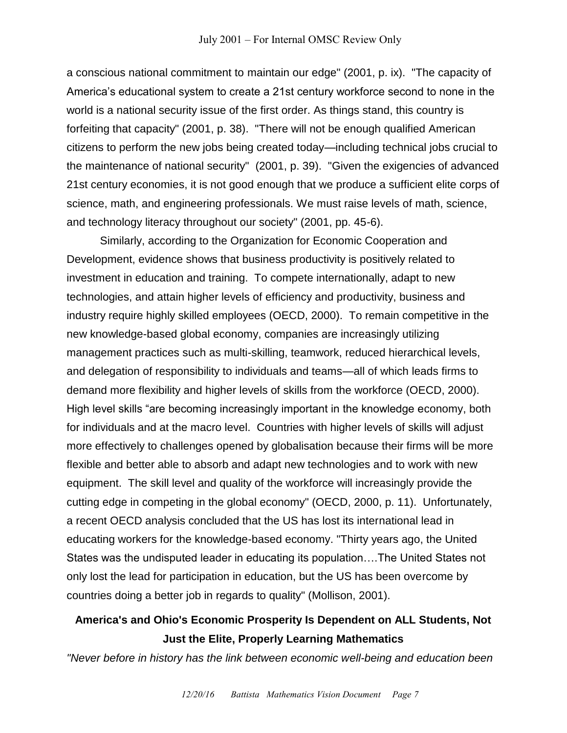a conscious national commitment to maintain our edge" (2001, p. ix). "The capacity of America's educational system to create a 21st century workforce second to none in the world is a national security issue of the first order. As things stand, this country is forfeiting that capacity" (2001, p. 38). "There will not be enough qualified American citizens to perform the new jobs being created today—including technical jobs crucial to the maintenance of national security" (2001, p. 39). "Given the exigencies of advanced 21st century economies, it is not good enough that we produce a sufficient elite corps of science, math, and engineering professionals. We must raise levels of math, science, and technology literacy throughout our society" (2001, pp. 45-6).

Similarly, according to the Organization for Economic Cooperation and Development, evidence shows that business productivity is positively related to investment in education and training. To compete internationally, adapt to new technologies, and attain higher levels of efficiency and productivity, business and industry require highly skilled employees (OECD, 2000). To remain competitive in the new knowledge-based global economy, companies are increasingly utilizing management practices such as multi-skilling, teamwork, reduced hierarchical levels, and delegation of responsibility to individuals and teams—all of which leads firms to demand more flexibility and higher levels of skills from the workforce (OECD, 2000). High level skills "are becoming increasingly important in the knowledge economy, both for individuals and at the macro level. Countries with higher levels of skills will adjust more effectively to challenges opened by globalisation because their firms will be more flexible and better able to absorb and adapt new technologies and to work with new equipment. The skill level and quality of the workforce will increasingly provide the cutting edge in competing in the global economy" (OECD, 2000, p. 11). Unfortunately, a recent OECD analysis concluded that the US has lost its international lead in educating workers for the knowledge-based economy. "Thirty years ago, the United States was the undisputed leader in educating its population….The United States not only lost the lead for participation in education, but the US has been overcome by countries doing a better job in regards to quality" (Mollison, 2001).

## **America's and Ohio's Economic Prosperity Is Dependent on ALL Students, Not Just the Elite, Properly Learning Mathematics**

*"Never before in history has the link between economic well-being and education been*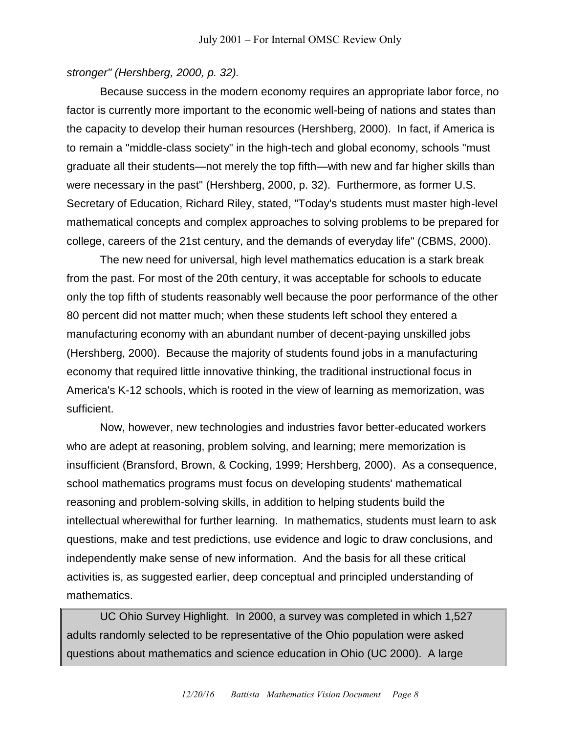#### *stronger" (Hershberg, 2000, p. 32).*

Because success in the modern economy requires an appropriate labor force, no factor is currently more important to the economic well-being of nations and states than the capacity to develop their human resources (Hershberg, 2000). In fact, if America is to remain a "middle-class society" in the high-tech and global economy, schools "must graduate all their students—not merely the top fifth—with new and far higher skills than were necessary in the past" (Hershberg, 2000, p. 32). Furthermore, as former U.S. Secretary of Education, Richard Riley, stated, "Today's students must master high-level mathematical concepts and complex approaches to solving problems to be prepared for college, careers of the 21st century, and the demands of everyday life" (CBMS, 2000).

The new need for universal, high level mathematics education is a stark break from the past. For most of the 20th century, it was acceptable for schools to educate only the top fifth of students reasonably well because the poor performance of the other 80 percent did not matter much; when these students left school they entered a manufacturing economy with an abundant number of decent-paying unskilled jobs (Hershberg, 2000). Because the majority of students found jobs in a manufacturing economy that required little innovative thinking, the traditional instructional focus in America's K-12 schools, which is rooted in the view of learning as memorization, was sufficient.

Now, however, new technologies and industries favor better-educated workers who are adept at reasoning, problem solving, and learning; mere memorization is insufficient (Bransford, Brown, & Cocking, 1999; Hershberg, 2000). As a consequence, school mathematics programs must focus on developing students' mathematical reasoning and problem-solving skills, in addition to helping students build the intellectual wherewithal for further learning. In mathematics, students must learn to ask questions, make and test predictions, use evidence and logic to draw conclusions, and independently make sense of new information. And the basis for all these critical activities is, as suggested earlier, deep conceptual and principled understanding of mathematics.

UC Ohio Survey Highlight. In 2000, a survey was completed in which 1,527 adults randomly selected to be representative of the Ohio population were asked questions about mathematics and science education in Ohio (UC 2000). A large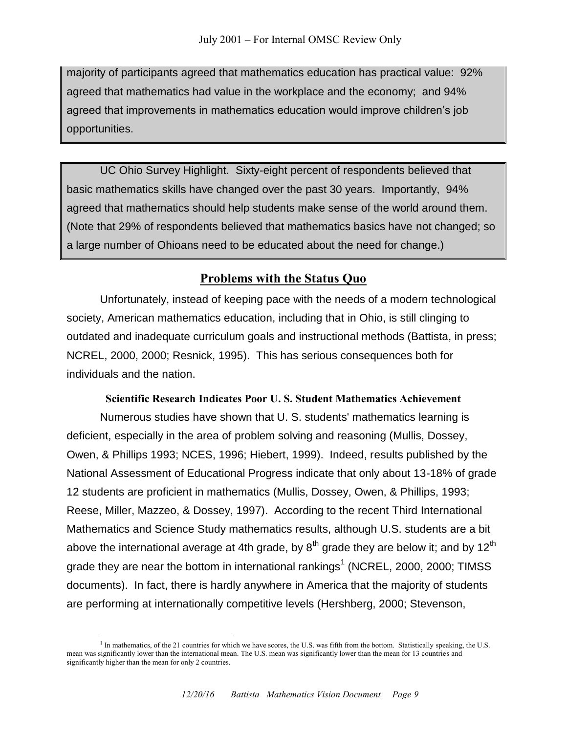majority of participants agreed that mathematics education has practical value: 92% agreed that mathematics had value in the workplace and the economy; and 94% agreed that improvements in mathematics education would improve children's job opportunities.

UC Ohio Survey Highlight. Sixty-eight percent of respondents believed that basic mathematics skills have changed over the past 30 years. Importantly, 94% agreed that mathematics should help students make sense of the world around them. (Note that 29% of respondents believed that mathematics basics have not changed; so a large number of Ohioans need to be educated about the need for change.)

### **Problems with the Status Quo**

Unfortunately, instead of keeping pace with the needs of a modern technological society, American mathematics education, including that in Ohio, is still clinging to outdated and inadequate curriculum goals and instructional methods (Battista, in press; NCREL, 2000, 2000; Resnick, 1995). This has serious consequences both for individuals and the nation.

#### **Scientific Research Indicates Poor U. S. Student Mathematics Achievement**

Numerous studies have shown that U. S. students' mathematics learning is deficient, especially in the area of problem solving and reasoning (Mullis, Dossey, Owen, & Phillips 1993; NCES, 1996; Hiebert, 1999). Indeed, results published by the National Assessment of Educational Progress indicate that only about 13-18% of grade 12 students are proficient in mathematics (Mullis, Dossey, Owen, & Phillips, 1993; Reese, Miller, Mazzeo, & Dossey, 1997). According to the recent Third International Mathematics and Science Study mathematics results, although U.S. students are a bit above the international average at 4th grade, by  $8<sup>th</sup>$  grade they are below it; and by 12<sup>th</sup> grade they are near the bottom in international rankings<sup>1</sup> (NCREL, 2000, 2000; TIMSS documents). In fact, there is hardly anywhere in America that the majority of students are performing at internationally competitive levels (Hershberg, 2000; Stevenson,

 $\overline{a}$ 

<sup>&</sup>lt;sup>1</sup> In mathematics, of the 21 countries for which we have scores, the U.S. was fifth from the bottom. Statistically speaking, the U.S. mean was significantly lower than the international mean. The U.S. mean was significantly lower than the mean for 13 countries and significantly higher than the mean for only 2 countries.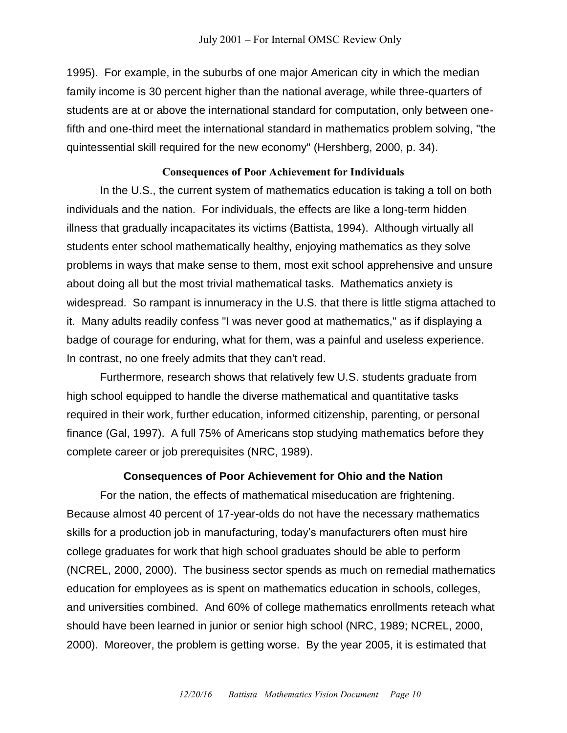1995). For example, in the suburbs of one major American city in which the median family income is 30 percent higher than the national average, while three-quarters of students are at or above the international standard for computation, only between onefifth and one-third meet the international standard in mathematics problem solving, "the quintessential skill required for the new economy" (Hershberg, 2000, p. 34).

#### **Consequences of Poor Achievement for Individuals**

In the U.S., the current system of mathematics education is taking a toll on both individuals and the nation. For individuals, the effects are like a long-term hidden illness that gradually incapacitates its victims (Battista, 1994). Although virtually all students enter school mathematically healthy, enjoying mathematics as they solve problems in ways that make sense to them, most exit school apprehensive and unsure about doing all but the most trivial mathematical tasks. Mathematics anxiety is widespread. So rampant is innumeracy in the U.S. that there is little stigma attached to it. Many adults readily confess "I was never good at mathematics," as if displaying a badge of courage for enduring, what for them, was a painful and useless experience. In contrast, no one freely admits that they can't read.

Furthermore, research shows that relatively few U.S. students graduate from high school equipped to handle the diverse mathematical and quantitative tasks required in their work, further education, informed citizenship, parenting, or personal finance (Gal, 1997). A full 75% of Americans stop studying mathematics before they complete career or job prerequisites (NRC, 1989).

#### **Consequences of Poor Achievement for Ohio and the Nation**

For the nation, the effects of mathematical miseducation are frightening. Because almost 40 percent of 17-year-olds do not have the necessary mathematics skills for a production job in manufacturing, today's manufacturers often must hire college graduates for work that high school graduates should be able to perform (NCREL, 2000, 2000). The business sector spends as much on remedial mathematics education for employees as is spent on mathematics education in schools, colleges, and universities combined. And 60% of college mathematics enrollments reteach what should have been learned in junior or senior high school (NRC, 1989; NCREL, 2000, 2000). Moreover, the problem is getting worse. By the year 2005, it is estimated that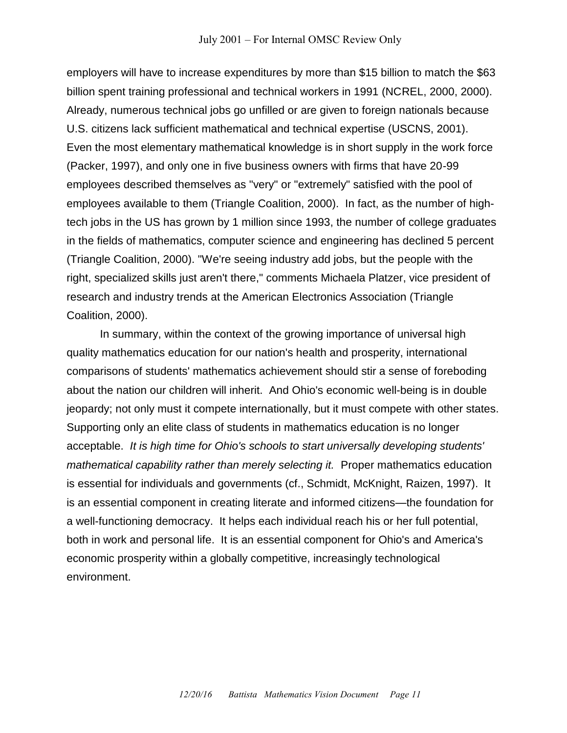employers will have to increase expenditures by more than \$15 billion to match the \$63 billion spent training professional and technical workers in 1991 (NCREL, 2000, 2000). Already, numerous technical jobs go unfilled or are given to foreign nationals because U.S. citizens lack sufficient mathematical and technical expertise (USCNS, 2001). Even the most elementary mathematical knowledge is in short supply in the work force (Packer, 1997), and only one in five business owners with firms that have 20-99 employees described themselves as "very" or "extremely" satisfied with the pool of employees available to them (Triangle Coalition, 2000). In fact, as the number of hightech jobs in the US has grown by 1 million since 1993, the number of college graduates in the fields of mathematics, computer science and engineering has declined 5 percent (Triangle Coalition, 2000). "We're seeing industry add jobs, but the people with the right, specialized skills just aren't there," comments Michaela Platzer, vice president of research and industry trends at the American Electronics Association (Triangle Coalition, 2000).

In summary, within the context of the growing importance of universal high quality mathematics education for our nation's health and prosperity, international comparisons of students' mathematics achievement should stir a sense of foreboding about the nation our children will inherit. And Ohio's economic well-being is in double jeopardy; not only must it compete internationally, but it must compete with other states. Supporting only an elite class of students in mathematics education is no longer acceptable. *It is high time for Ohio's schools to start universally developing students' mathematical capability rather than merely selecting it.* Proper mathematics education is essential for individuals and governments (cf., Schmidt, McKnight, Raizen, 1997). It is an essential component in creating literate and informed citizens—the foundation for a well-functioning democracy. It helps each individual reach his or her full potential, both in work and personal life. It is an essential component for Ohio's and America's economic prosperity within a globally competitive, increasingly technological environment.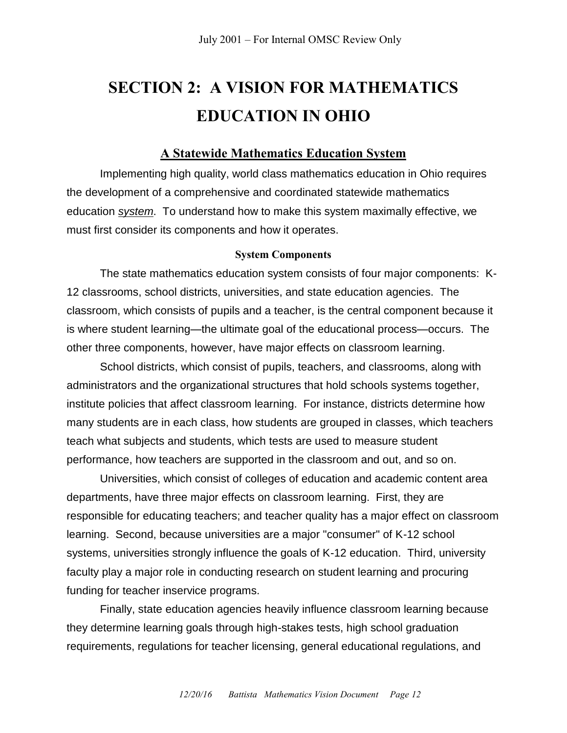## **SECTION 2: A VISION FOR MATHEMATICS EDUCATION IN OHIO**

#### **A Statewide Mathematics Education System**

Implementing high quality, world class mathematics education in Ohio requires the development of a comprehensive and coordinated statewide mathematics education *system*. To understand how to make this system maximally effective, we must first consider its components and how it operates.

#### **System Components**

The state mathematics education system consists of four major components: K-12 classrooms, school districts, universities, and state education agencies. The classroom, which consists of pupils and a teacher, is the central component because it is where student learning—the ultimate goal of the educational process—occurs. The other three components, however, have major effects on classroom learning.

School districts, which consist of pupils, teachers, and classrooms, along with administrators and the organizational structures that hold schools systems together, institute policies that affect classroom learning. For instance, districts determine how many students are in each class, how students are grouped in classes, which teachers teach what subjects and students, which tests are used to measure student performance, how teachers are supported in the classroom and out, and so on.

Universities, which consist of colleges of education and academic content area departments, have three major effects on classroom learning. First, they are responsible for educating teachers; and teacher quality has a major effect on classroom learning. Second, because universities are a major "consumer" of K-12 school systems, universities strongly influence the goals of K-12 education. Third, university faculty play a major role in conducting research on student learning and procuring funding for teacher inservice programs.

Finally, state education agencies heavily influence classroom learning because they determine learning goals through high-stakes tests, high school graduation requirements, regulations for teacher licensing, general educational regulations, and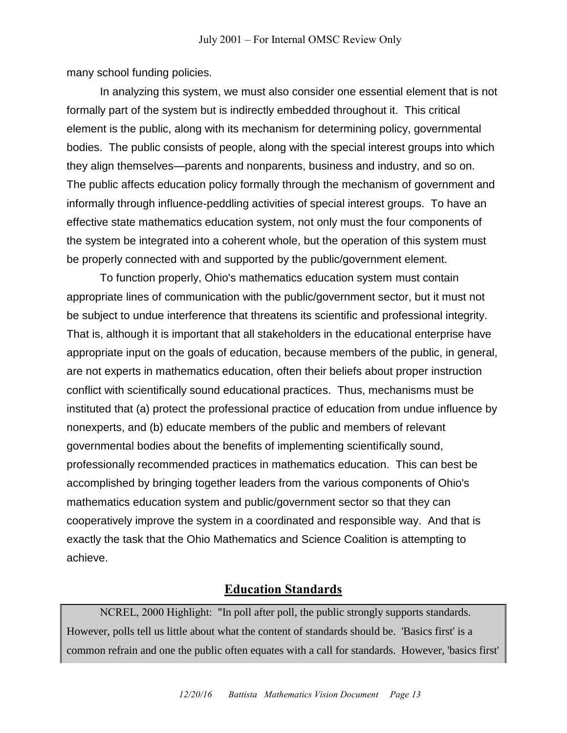many school funding policies.

In analyzing this system, we must also consider one essential element that is not formally part of the system but is indirectly embedded throughout it. This critical element is the public, along with its mechanism for determining policy, governmental bodies. The public consists of people, along with the special interest groups into which they align themselves—parents and nonparents, business and industry, and so on. The public affects education policy formally through the mechanism of government and informally through influence-peddling activities of special interest groups. To have an effective state mathematics education system, not only must the four components of the system be integrated into a coherent whole, but the operation of this system must be properly connected with and supported by the public/government element.

To function properly, Ohio's mathematics education system must contain appropriate lines of communication with the public/government sector, but it must not be subject to undue interference that threatens its scientific and professional integrity. That is, although it is important that all stakeholders in the educational enterprise have appropriate input on the goals of education, because members of the public, in general, are not experts in mathematics education, often their beliefs about proper instruction conflict with scientifically sound educational practices. Thus, mechanisms must be instituted that (a) protect the professional practice of education from undue influence by nonexperts, and (b) educate members of the public and members of relevant governmental bodies about the benefits of implementing scientifically sound, professionally recommended practices in mathematics education. This can best be accomplished by bringing together leaders from the various components of Ohio's mathematics education system and public/government sector so that they can cooperatively improve the system in a coordinated and responsible way. And that is exactly the task that the Ohio Mathematics and Science Coalition is attempting to achieve.

#### **Education Standards**

NCREL, 2000 Highlight: "In poll after poll, the public strongly supports standards. However, polls tell us little about what the content of standards should be. 'Basics first' is a common refrain and one the public often equates with a call for standards. However, 'basics first'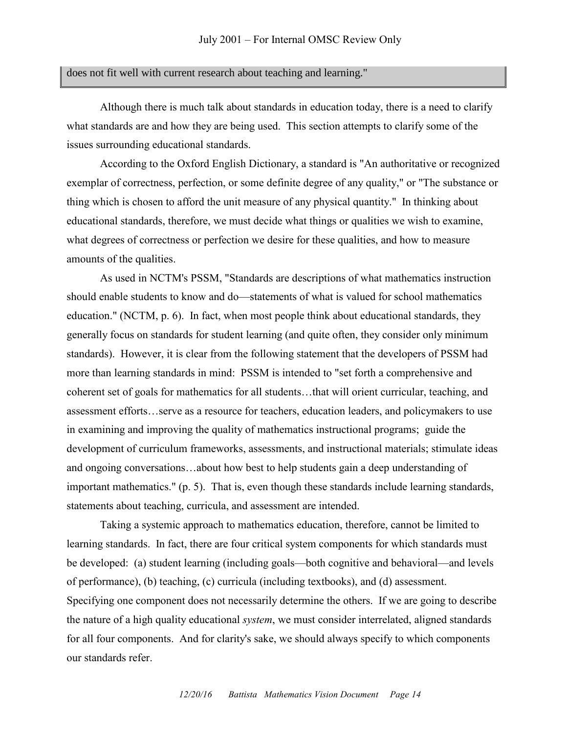#### does not fit well with current research about teaching and learning."

Although there is much talk about standards in education today, there is a need to clarify what standards are and how they are being used. This section attempts to clarify some of the issues surrounding educational standards.

According to the Oxford English Dictionary, a standard is "An authoritative or recognized exemplar of correctness, perfection, or some definite degree of any quality," or "The substance or thing which is chosen to afford the unit measure of any physical quantity." In thinking about educational standards, therefore, we must decide what things or qualities we wish to examine, what degrees of correctness or perfection we desire for these qualities, and how to measure amounts of the qualities.

As used in NCTM's PSSM, "Standards are descriptions of what mathematics instruction should enable students to know and do—statements of what is valued for school mathematics education." (NCTM, p. 6). In fact, when most people think about educational standards, they generally focus on standards for student learning (and quite often, they consider only minimum standards). However, it is clear from the following statement that the developers of PSSM had more than learning standards in mind: PSSM is intended to "set forth a comprehensive and coherent set of goals for mathematics for all students…that will orient curricular, teaching, and assessment efforts…serve as a resource for teachers, education leaders, and policymakers to use in examining and improving the quality of mathematics instructional programs; guide the development of curriculum frameworks, assessments, and instructional materials; stimulate ideas and ongoing conversations…about how best to help students gain a deep understanding of important mathematics." (p. 5). That is, even though these standards include learning standards, statements about teaching, curricula, and assessment are intended.

Taking a systemic approach to mathematics education, therefore, cannot be limited to learning standards. In fact, there are four critical system components for which standards must be developed: (a) student learning (including goals—both cognitive and behavioral—and levels of performance), (b) teaching, (c) curricula (including textbooks), and (d) assessment. Specifying one component does not necessarily determine the others. If we are going to describe the nature of a high quality educational *system*, we must consider interrelated, aligned standards for all four components. And for clarity's sake, we should always specify to which components our standards refer.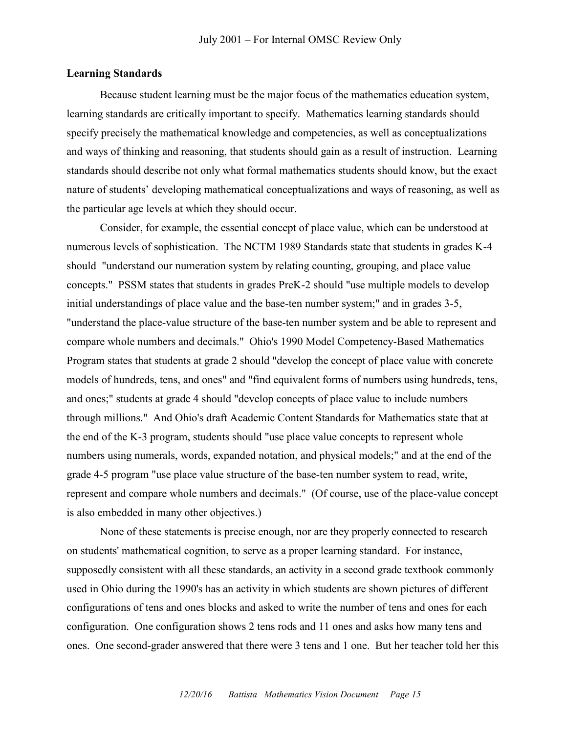#### **Learning Standards**

Because student learning must be the major focus of the mathematics education system, learning standards are critically important to specify. Mathematics learning standards should specify precisely the mathematical knowledge and competencies, as well as conceptualizations and ways of thinking and reasoning, that students should gain as a result of instruction. Learning standards should describe not only what formal mathematics students should know, but the exact nature of students' developing mathematical conceptualizations and ways of reasoning, as well as the particular age levels at which they should occur.

Consider, for example, the essential concept of place value, which can be understood at numerous levels of sophistication. The NCTM 1989 Standards state that students in grades K-4 should "understand our numeration system by relating counting, grouping, and place value concepts." PSSM states that students in grades PreK-2 should "use multiple models to develop initial understandings of place value and the base-ten number system;" and in grades 3-5, "understand the place-value structure of the base-ten number system and be able to represent and compare whole numbers and decimals." Ohio's 1990 Model Competency-Based Mathematics Program states that students at grade 2 should "develop the concept of place value with concrete models of hundreds, tens, and ones" and "find equivalent forms of numbers using hundreds, tens, and ones;" students at grade 4 should "develop concepts of place value to include numbers through millions." And Ohio's draft Academic Content Standards for Mathematics state that at the end of the K-3 program, students should "use place value concepts to represent whole numbers using numerals, words, expanded notation, and physical models;" and at the end of the grade 4-5 program "use place value structure of the base-ten number system to read, write, represent and compare whole numbers and decimals." (Of course, use of the place-value concept is also embedded in many other objectives.)

None of these statements is precise enough, nor are they properly connected to research on students' mathematical cognition, to serve as a proper learning standard. For instance, supposedly consistent with all these standards, an activity in a second grade textbook commonly used in Ohio during the 1990's has an activity in which students are shown pictures of different configurations of tens and ones blocks and asked to write the number of tens and ones for each configuration. One configuration shows 2 tens rods and 11 ones and asks how many tens and ones. One second-grader answered that there were 3 tens and 1 one. But her teacher told her this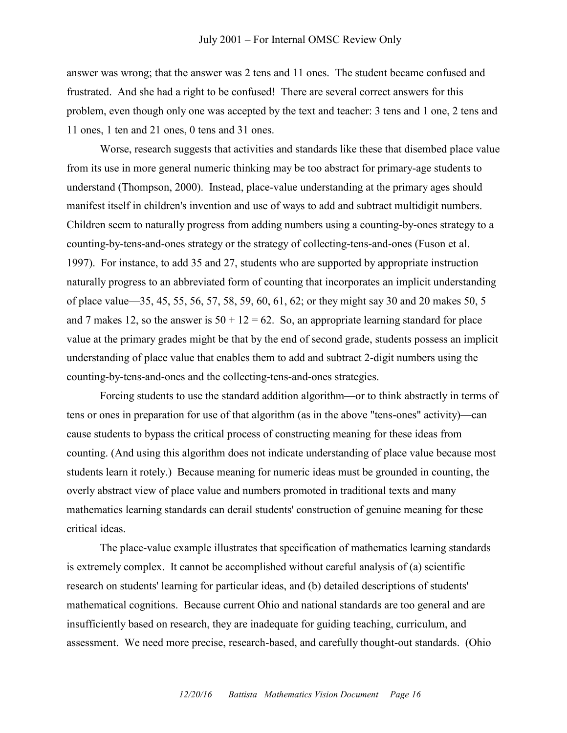answer was wrong; that the answer was 2 tens and 11 ones. The student became confused and frustrated. And she had a right to be confused! There are several correct answers for this problem, even though only one was accepted by the text and teacher: 3 tens and 1 one, 2 tens and 11 ones, 1 ten and 21 ones, 0 tens and 31 ones.

Worse, research suggests that activities and standards like these that disembed place value from its use in more general numeric thinking may be too abstract for primary-age students to understand (Thompson, 2000). Instead, place-value understanding at the primary ages should manifest itself in children's invention and use of ways to add and subtract multidigit numbers. Children seem to naturally progress from adding numbers using a counting-by-ones strategy to a counting-by-tens-and-ones strategy or the strategy of collecting-tens-and-ones (Fuson et al. 1997). For instance, to add 35 and 27, students who are supported by appropriate instruction naturally progress to an abbreviated form of counting that incorporates an implicit understanding of place value—35, 45, 55, 56, 57, 58, 59, 60, 61, 62; or they might say 30 and 20 makes 50, 5 and 7 makes 12, so the answer is  $50 + 12 = 62$ . So, an appropriate learning standard for place value at the primary grades might be that by the end of second grade, students possess an implicit understanding of place value that enables them to add and subtract 2-digit numbers using the counting-by-tens-and-ones and the collecting-tens-and-ones strategies.

Forcing students to use the standard addition algorithm—or to think abstractly in terms of tens or ones in preparation for use of that algorithm (as in the above "tens-ones" activity)—can cause students to bypass the critical process of constructing meaning for these ideas from counting. (And using this algorithm does not indicate understanding of place value because most students learn it rotely.) Because meaning for numeric ideas must be grounded in counting, the overly abstract view of place value and numbers promoted in traditional texts and many mathematics learning standards can derail students' construction of genuine meaning for these critical ideas.

The place-value example illustrates that specification of mathematics learning standards is extremely complex. It cannot be accomplished without careful analysis of (a) scientific research on students' learning for particular ideas, and (b) detailed descriptions of students' mathematical cognitions. Because current Ohio and national standards are too general and are insufficiently based on research, they are inadequate for guiding teaching, curriculum, and assessment. We need more precise, research-based, and carefully thought-out standards. (Ohio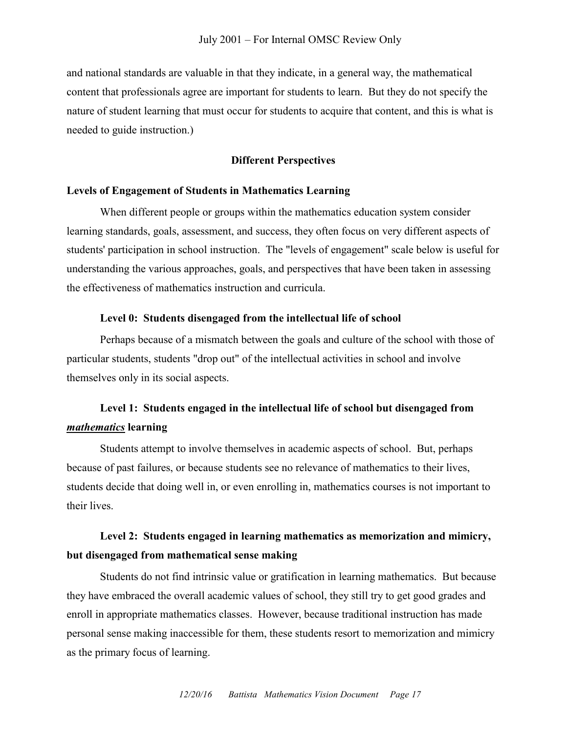and national standards are valuable in that they indicate, in a general way, the mathematical content that professionals agree are important for students to learn. But they do not specify the nature of student learning that must occur for students to acquire that content, and this is what is needed to guide instruction.)

#### **Different Perspectives**

#### **Levels of Engagement of Students in Mathematics Learning**

When different people or groups within the mathematics education system consider learning standards, goals, assessment, and success, they often focus on very different aspects of students' participation in school instruction. The "levels of engagement" scale below is useful for understanding the various approaches, goals, and perspectives that have been taken in assessing the effectiveness of mathematics instruction and curricula.

#### **Level 0: Students disengaged from the intellectual life of school**

Perhaps because of a mismatch between the goals and culture of the school with those of particular students, students "drop out" of the intellectual activities in school and involve themselves only in its social aspects.

## **Level 1: Students engaged in the intellectual life of school but disengaged from**  *mathematics* **learning**

Students attempt to involve themselves in academic aspects of school. But, perhaps because of past failures, or because students see no relevance of mathematics to their lives, students decide that doing well in, or even enrolling in, mathematics courses is not important to their lives.

## **Level 2: Students engaged in learning mathematics as memorization and mimicry, but disengaged from mathematical sense making**

Students do not find intrinsic value or gratification in learning mathematics. But because they have embraced the overall academic values of school, they still try to get good grades and enroll in appropriate mathematics classes. However, because traditional instruction has made personal sense making inaccessible for them, these students resort to memorization and mimicry as the primary focus of learning.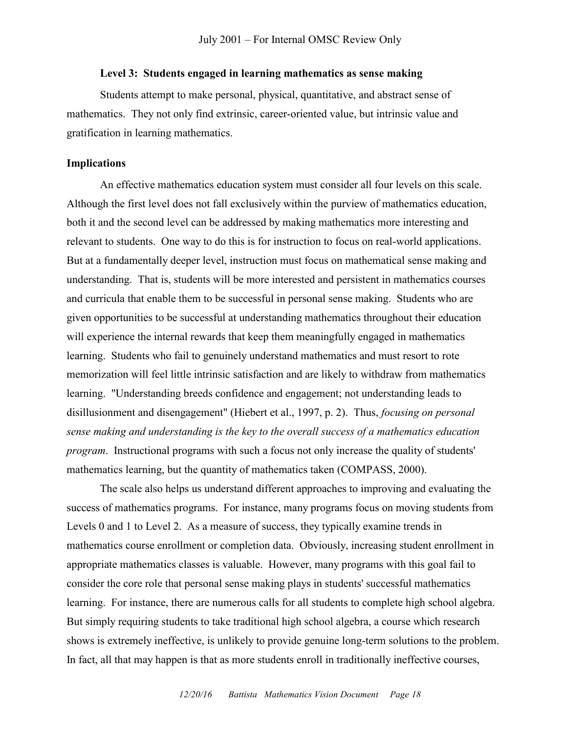#### **Level 3: Students engaged in learning mathematics as sense making**

Students attempt to make personal, physical, quantitative, and abstract sense of mathematics. They not only find extrinsic, career-oriented value, but intrinsic value and gratification in learning mathematics.

#### **Implications**

An effective mathematics education system must consider all four levels on this scale. Although the first level does not fall exclusively within the purview of mathematics education, both it and the second level can be addressed by making mathematics more interesting and relevant to students. One way to do this is for instruction to focus on real-world applications. But at a fundamentally deeper level, instruction must focus on mathematical sense making and understanding. That is, students will be more interested and persistent in mathematics courses and curricula that enable them to be successful in personal sense making. Students who are given opportunities to be successful at understanding mathematics throughout their education will experience the internal rewards that keep them meaningfully engaged in mathematics learning. Students who fail to genuinely understand mathematics and must resort to rote memorization will feel little intrinsic satisfaction and are likely to withdraw from mathematics learning. "Understanding breeds confidence and engagement; not understanding leads to disillusionment and disengagement" (Hiebert et al., 1997, p. 2). Thus, *focusing on personal sense making and understanding is the key to the overall success of a mathematics education program*. Instructional programs with such a focus not only increase the quality of students' mathematics learning, but the quantity of mathematics taken (COMPASS, 2000).

The scale also helps us understand different approaches to improving and evaluating the success of mathematics programs. For instance, many programs focus on moving students from Levels 0 and 1 to Level 2. As a measure of success, they typically examine trends in mathematics course enrollment or completion data. Obviously, increasing student enrollment in appropriate mathematics classes is valuable. However, many programs with this goal fail to consider the core role that personal sense making plays in students' successful mathematics learning. For instance, there are numerous calls for all students to complete high school algebra. But simply requiring students to take traditional high school algebra, a course which research shows is extremely ineffective, is unlikely to provide genuine long-term solutions to the problem. In fact, all that may happen is that as more students enroll in traditionally ineffective courses,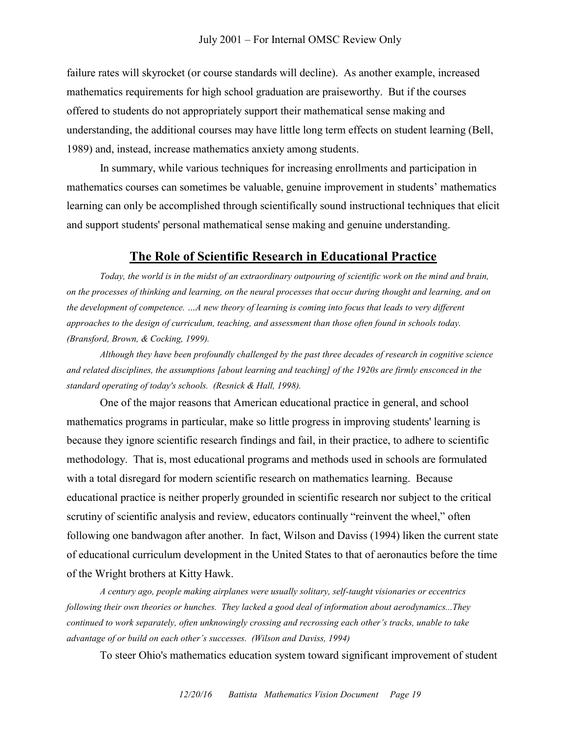failure rates will skyrocket (or course standards will decline). As another example, increased mathematics requirements for high school graduation are praiseworthy. But if the courses offered to students do not appropriately support their mathematical sense making and understanding, the additional courses may have little long term effects on student learning (Bell, 1989) and, instead, increase mathematics anxiety among students.

In summary, while various techniques for increasing enrollments and participation in mathematics courses can sometimes be valuable, genuine improvement in students' mathematics learning can only be accomplished through scientifically sound instructional techniques that elicit and support students' personal mathematical sense making and genuine understanding.

#### **The Role of Scientific Research in Educational Practice**

*Today, the world is in the midst of an extraordinary outpouring of scientific work on the mind and brain, on the processes of thinking and learning, on the neural processes that occur during thought and learning, and on the development of competence. …A new theory of learning is coming into focus that leads to very different approaches to the design of curriculum, teaching, and assessment than those often found in schools today. (Bransford, Brown, & Cocking, 1999).*

*Although they have been profoundly challenged by the past three decades of research in cognitive science and related disciplines, the assumptions [about learning and teaching] of the 1920s are firmly ensconced in the standard operating of today's schools. (Resnick & Hall, 1998).* 

One of the major reasons that American educational practice in general, and school mathematics programs in particular, make so little progress in improving students' learning is because they ignore scientific research findings and fail, in their practice, to adhere to scientific methodology. That is, most educational programs and methods used in schools are formulated with a total disregard for modern scientific research on mathematics learning. Because educational practice is neither properly grounded in scientific research nor subject to the critical scrutiny of scientific analysis and review, educators continually "reinvent the wheel," often following one bandwagon after another. In fact, Wilson and Daviss (1994) liken the current state of educational curriculum development in the United States to that of aeronautics before the time of the Wright brothers at Kitty Hawk.

*A century ago, people making airplanes were usually solitary, self-taught visionaries or eccentrics following their own theories or hunches. They lacked a good deal of information about aerodynamics...They continued to work separately, often unknowingly crossing and recrossing each other's tracks, unable to take advantage of or build on each other's successes. (Wilson and Daviss, 1994)*

To steer Ohio's mathematics education system toward significant improvement of student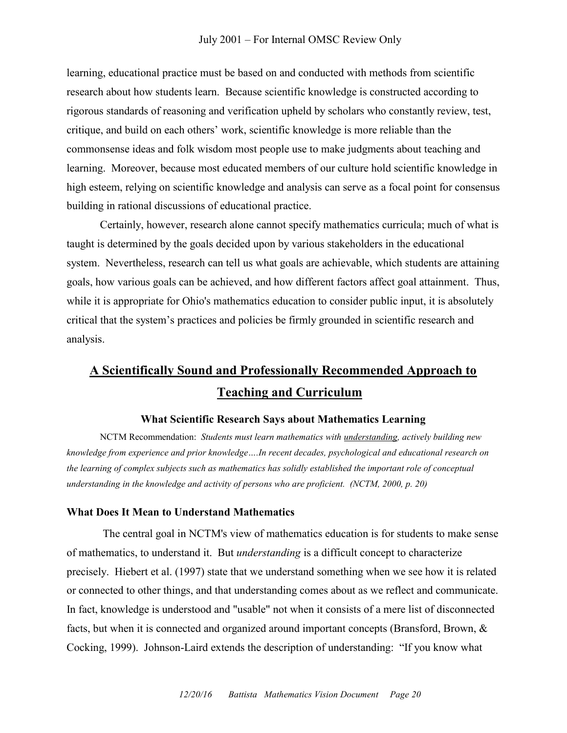#### July 2001 – For Internal OMSC Review Only

learning, educational practice must be based on and conducted with methods from scientific research about how students learn. Because scientific knowledge is constructed according to rigorous standards of reasoning and verification upheld by scholars who constantly review, test, critique, and build on each others' work, scientific knowledge is more reliable than the commonsense ideas and folk wisdom most people use to make judgments about teaching and learning. Moreover, because most educated members of our culture hold scientific knowledge in high esteem, relying on scientific knowledge and analysis can serve as a focal point for consensus building in rational discussions of educational practice.

Certainly, however, research alone cannot specify mathematics curricula; much of what is taught is determined by the goals decided upon by various stakeholders in the educational system. Nevertheless, research can tell us what goals are achievable, which students are attaining goals, how various goals can be achieved, and how different factors affect goal attainment. Thus, while it is appropriate for Ohio's mathematics education to consider public input, it is absolutely critical that the system's practices and policies be firmly grounded in scientific research and analysis.

## **A Scientifically Sound and Professionally Recommended Approach to Teaching and Curriculum**

#### **What Scientific Research Says about Mathematics Learning**

NCTM Recommendation: *Students must learn mathematics with understanding, actively building new knowledge from experience and prior knowledge….In recent decades, psychological and educational research on the learning of complex subjects such as mathematics has solidly established the important role of conceptual understanding in the knowledge and activity of persons who are proficient. (NCTM, 2000, p. 20)* 

#### **What Does It Mean to Understand Mathematics**

The central goal in NCTM's view of mathematics education is for students to make sense of mathematics, to understand it. But *understanding* is a difficult concept to characterize precisely. Hiebert et al. (1997) state that we understand something when we see how it is related or connected to other things, and that understanding comes about as we reflect and communicate. In fact, knowledge is understood and "usable" not when it consists of a mere list of disconnected facts, but when it is connected and organized around important concepts (Bransford, Brown, & Cocking, 1999). Johnson-Laird extends the description of understanding: "If you know what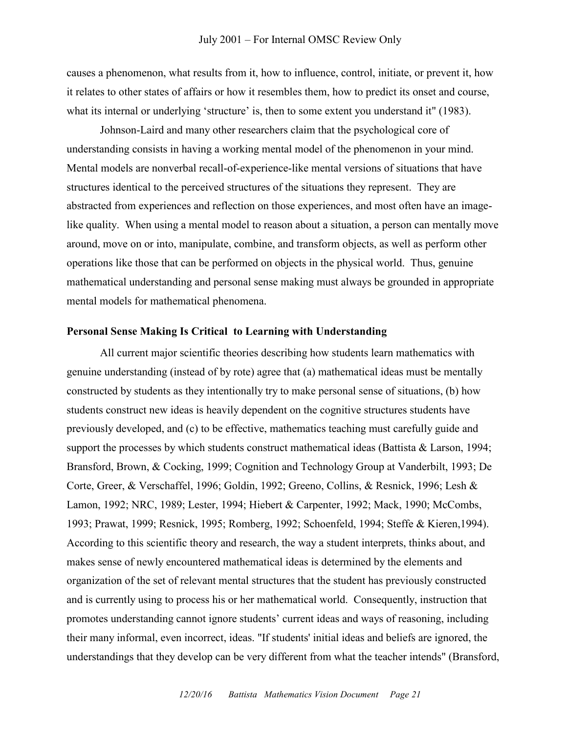causes a phenomenon, what results from it, how to influence, control, initiate, or prevent it, how it relates to other states of affairs or how it resembles them, how to predict its onset and course, what its internal or underlying 'structure' is, then to some extent you understand it" (1983).

Johnson-Laird and many other researchers claim that the psychological core of understanding consists in having a working mental model of the phenomenon in your mind. Mental models are nonverbal recall-of-experience-like mental versions of situations that have structures identical to the perceived structures of the situations they represent. They are abstracted from experiences and reflection on those experiences, and most often have an imagelike quality. When using a mental model to reason about a situation, a person can mentally move around, move on or into, manipulate, combine, and transform objects, as well as perform other operations like those that can be performed on objects in the physical world. Thus, genuine mathematical understanding and personal sense making must always be grounded in appropriate mental models for mathematical phenomena.

#### **Personal Sense Making Is Critical to Learning with Understanding**

All current major scientific theories describing how students learn mathematics with genuine understanding (instead of by rote) agree that (a) mathematical ideas must be mentally constructed by students as they intentionally try to make personal sense of situations, (b) how students construct new ideas is heavily dependent on the cognitive structures students have previously developed, and (c) to be effective, mathematics teaching must carefully guide and support the processes by which students construct mathematical ideas (Battista & Larson, 1994; Bransford, Brown, & Cocking, 1999; Cognition and Technology Group at Vanderbilt, 1993; De Corte, Greer, & Verschaffel, 1996; Goldin, 1992; Greeno, Collins, & Resnick, 1996; Lesh & Lamon, 1992; NRC, 1989; Lester, 1994; Hiebert & Carpenter, 1992; Mack, 1990; McCombs, 1993; Prawat, 1999; Resnick, 1995; Romberg, 1992; Schoenfeld, 1994; Steffe & Kieren,1994). According to this scientific theory and research, the way a student interprets, thinks about, and makes sense of newly encountered mathematical ideas is determined by the elements and organization of the set of relevant mental structures that the student has previously constructed and is currently using to process his or her mathematical world. Consequently, instruction that promotes understanding cannot ignore students' current ideas and ways of reasoning, including their many informal, even incorrect, ideas. "If students' initial ideas and beliefs are ignored, the understandings that they develop can be very different from what the teacher intends" (Bransford,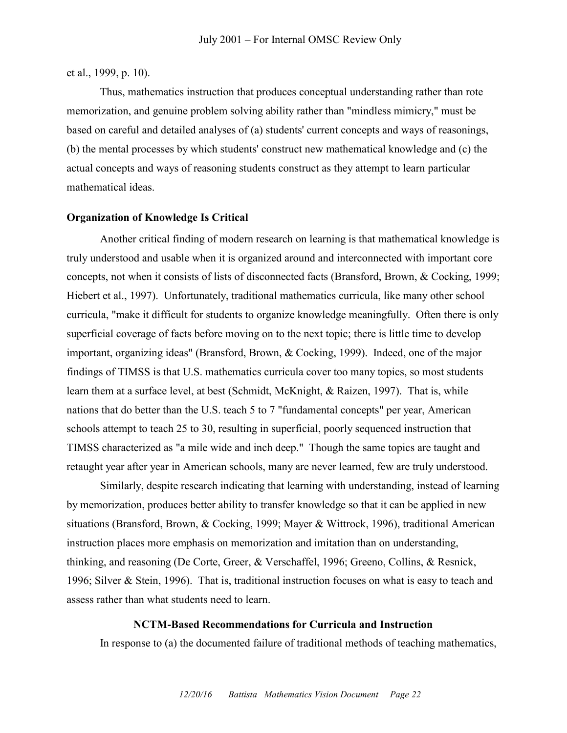et al., 1999, p. 10).

Thus, mathematics instruction that produces conceptual understanding rather than rote memorization, and genuine problem solving ability rather than "mindless mimicry," must be based on careful and detailed analyses of (a) students' current concepts and ways of reasonings, (b) the mental processes by which students' construct new mathematical knowledge and (c) the actual concepts and ways of reasoning students construct as they attempt to learn particular mathematical ideas.

#### **Organization of Knowledge Is Critical**

Another critical finding of modern research on learning is that mathematical knowledge is truly understood and usable when it is organized around and interconnected with important core concepts, not when it consists of lists of disconnected facts (Bransford, Brown, & Cocking, 1999; Hiebert et al., 1997). Unfortunately, traditional mathematics curricula, like many other school curricula, "make it difficult for students to organize knowledge meaningfully. Often there is only superficial coverage of facts before moving on to the next topic; there is little time to develop important, organizing ideas" (Bransford, Brown, & Cocking, 1999). Indeed, one of the major findings of TIMSS is that U.S. mathematics curricula cover too many topics, so most students learn them at a surface level, at best (Schmidt, McKnight, & Raizen, 1997). That is, while nations that do better than the U.S. teach 5 to 7 "fundamental concepts" per year, American schools attempt to teach 25 to 30, resulting in superficial, poorly sequenced instruction that TIMSS characterized as "a mile wide and inch deep." Though the same topics are taught and retaught year after year in American schools, many are never learned, few are truly understood.

Similarly, despite research indicating that learning with understanding, instead of learning by memorization, produces better ability to transfer knowledge so that it can be applied in new situations (Bransford, Brown, & Cocking, 1999; Mayer & Wittrock, 1996), traditional American instruction places more emphasis on memorization and imitation than on understanding, thinking, and reasoning (De Corte, Greer, & Verschaffel, 1996; Greeno, Collins, & Resnick, 1996; Silver & Stein, 1996). That is, traditional instruction focuses on what is easy to teach and assess rather than what students need to learn.

#### **NCTM-Based Recommendations for Curricula and Instruction**

In response to (a) the documented failure of traditional methods of teaching mathematics,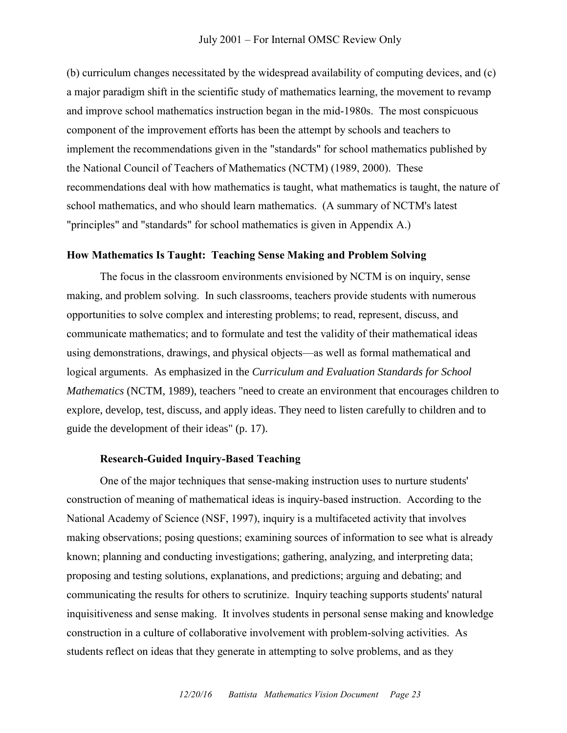(b) curriculum changes necessitated by the widespread availability of computing devices, and (c) a major paradigm shift in the scientific study of mathematics learning, the movement to revamp and improve school mathematics instruction began in the mid-1980s. The most conspicuous component of the improvement efforts has been the attempt by schools and teachers to implement the recommendations given in the "standards" for school mathematics published by the National Council of Teachers of Mathematics (NCTM) (1989, 2000). These recommendations deal with how mathematics is taught, what mathematics is taught, the nature of school mathematics, and who should learn mathematics. (A summary of NCTM's latest "principles" and "standards" for school mathematics is given in Appendix A.)

#### **How Mathematics Is Taught: Teaching Sense Making and Problem Solving**

The focus in the classroom environments envisioned by NCTM is on inquiry, sense making, and problem solving. In such classrooms, teachers provide students with numerous opportunities to solve complex and interesting problems; to read, represent, discuss, and communicate mathematics; and to formulate and test the validity of their mathematical ideas using demonstrations, drawings, and physical objects—as well as formal mathematical and logical arguments. As emphasized in the *Curriculum and Evaluation Standards for School Mathematics* (NCTM, 1989), teachers "need to create an environment that encourages children to explore, develop, test, discuss, and apply ideas. They need to listen carefully to children and to guide the development of their ideas" (p. 17).

#### **Research-Guided Inquiry-Based Teaching**

One of the major techniques that sense-making instruction uses to nurture students' construction of meaning of mathematical ideas is inquiry-based instruction. According to the National Academy of Science (NSF, 1997), inquiry is a multifaceted activity that involves making observations; posing questions; examining sources of information to see what is already known; planning and conducting investigations; gathering, analyzing, and interpreting data; proposing and testing solutions, explanations, and predictions; arguing and debating; and communicating the results for others to scrutinize. Inquiry teaching supports students' natural inquisitiveness and sense making. It involves students in personal sense making and knowledge construction in a culture of collaborative involvement with problem-solving activities. As students reflect on ideas that they generate in attempting to solve problems, and as they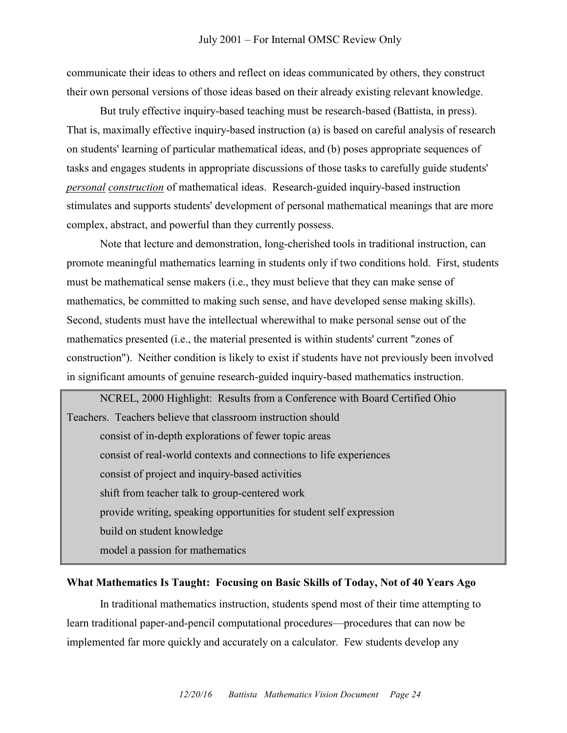communicate their ideas to others and reflect on ideas communicated by others, they construct their own personal versions of those ideas based on their already existing relevant knowledge.

But truly effective inquiry-based teaching must be research-based (Battista, in press). That is, maximally effective inquiry-based instruction (a) is based on careful analysis of research on students' learning of particular mathematical ideas, and (b) poses appropriate sequences of tasks and engages students in appropriate discussions of those tasks to carefully guide students' *personal construction* of mathematical ideas. Research-guided inquiry-based instruction stimulates and supports students' development of personal mathematical meanings that are more complex, abstract, and powerful than they currently possess.

Note that lecture and demonstration, long-cherished tools in traditional instruction, can promote meaningful mathematics learning in students only if two conditions hold. First, students must be mathematical sense makers (i.e., they must believe that they can make sense of mathematics, be committed to making such sense, and have developed sense making skills). Second, students must have the intellectual wherewithal to make personal sense out of the mathematics presented (i.e., the material presented is within students' current "zones of construction"). Neither condition is likely to exist if students have not previously been involved in significant amounts of genuine research-guided inquiry-based mathematics instruction.

NCREL, 2000 Highlight: Results from a Conference with Board Certified Ohio Teachers. Teachers believe that classroom instruction should consist of in-depth explorations of fewer topic areas consist of real-world contexts and connections to life experiences consist of project and inquiry-based activities shift from teacher talk to group-centered work provide writing, speaking opportunities for student self expression build on student knowledge model a passion for mathematics

#### **What Mathematics Is Taught: Focusing on Basic Skills of Today, Not of 40 Years Ago**

In traditional mathematics instruction, students spend most of their time attempting to learn traditional paper-and-pencil computational procedures—procedures that can now be implemented far more quickly and accurately on a calculator. Few students develop any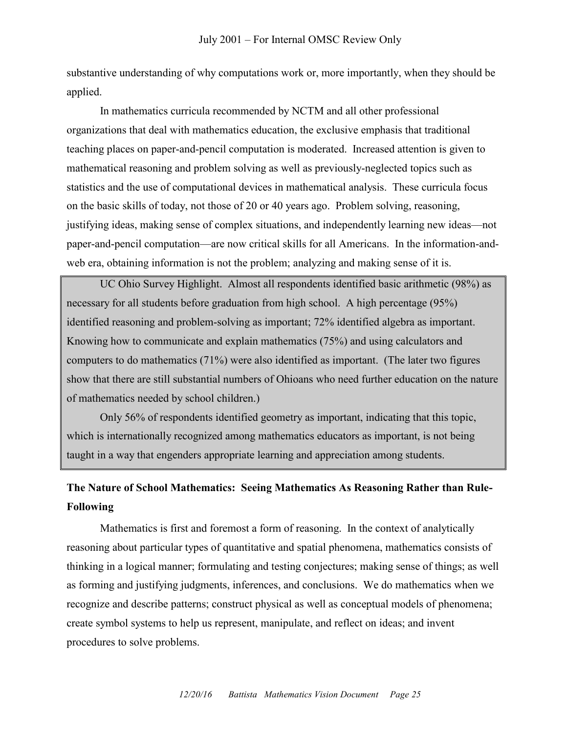substantive understanding of why computations work or, more importantly, when they should be applied.

In mathematics curricula recommended by NCTM and all other professional organizations that deal with mathematics education, the exclusive emphasis that traditional teaching places on paper-and-pencil computation is moderated. Increased attention is given to mathematical reasoning and problem solving as well as previously-neglected topics such as statistics and the use of computational devices in mathematical analysis. These curricula focus on the basic skills of today, not those of 20 or 40 years ago. Problem solving, reasoning, justifying ideas, making sense of complex situations, and independently learning new ideas—not paper-and-pencil computation—are now critical skills for all Americans. In the information-andweb era, obtaining information is not the problem; analyzing and making sense of it is.

UC Ohio Survey Highlight. Almost all respondents identified basic arithmetic (98%) as necessary for all students before graduation from high school. A high percentage (95%) identified reasoning and problem-solving as important; 72% identified algebra as important. Knowing how to communicate and explain mathematics (75%) and using calculators and computers to do mathematics (71%) were also identified as important. (The later two figures show that there are still substantial numbers of Ohioans who need further education on the nature of mathematics needed by school children.)

Only 56% of respondents identified geometry as important, indicating that this topic, which is internationally recognized among mathematics educators as important, is not being taught in a way that engenders appropriate learning and appreciation among students.

## **The Nature of School Mathematics: Seeing Mathematics As Reasoning Rather than Rule-Following**

Mathematics is first and foremost a form of reasoning. In the context of analytically reasoning about particular types of quantitative and spatial phenomena, mathematics consists of thinking in a logical manner; formulating and testing conjectures; making sense of things; as well as forming and justifying judgments, inferences, and conclusions. We do mathematics when we recognize and describe patterns; construct physical as well as conceptual models of phenomena; create symbol systems to help us represent, manipulate, and reflect on ideas; and invent procedures to solve problems.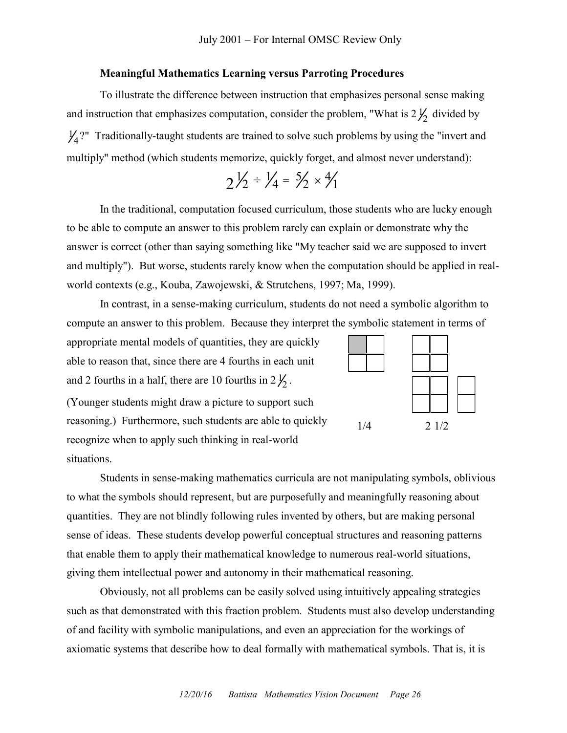#### **Meaningful Mathematics Learning versus Parroting Procedures**

To illustrate the difference between instruction that emphasizes personal sense making and instruction that emphasizes computation, consider the problem, "What is  $2\frac{1}{2}$  divided by  $\frac{1}{4}$ ?" Traditionally-taught students are trained to solve such problems by using the "invert and multiply" method (which students memorize, quickly forget, and almost never understand):

$$
2\frac{1}{2} \div \frac{1}{4} = \frac{5}{2} \times \frac{4}{1}
$$

In the traditional, computation focused curriculum, those students who are lucky enough to be able to compute an answer to this problem rarely can explain or demonstrate why the answer is correct (other than saying something like "My teacher said we are supposed to invert and multiply"). But worse, students rarely know when the computation should be applied in realworld contexts (e.g., Kouba, Zawojewski, & Strutchens, 1997; Ma, 1999).

In contrast, in a sense-making curriculum, students do not need a symbolic algorithm to compute an answer to this problem. Because they interpret the symbolic statement in terms of

appropriate mental models of quantities, they are quickly able to reason that, since there are 4 fourths in each unit and 2 fourths in a half, there are 10 fourths in  $2\frac{1}{2}$ .

(Younger students might draw a picture to support such reasoning.) Furthermore, such students are able to quickly recognize when to apply such thinking in real-world situations.



Students in sense-making mathematics curricula are not manipulating symbols, oblivious to what the symbols should represent, but are purposefully and meaningfully reasoning about quantities. They are not blindly following rules invented by others, but are making personal sense of ideas. These students develop powerful conceptual structures and reasoning patterns that enable them to apply their mathematical knowledge to numerous real-world situations, giving them intellectual power and autonomy in their mathematical reasoning.

Obviously, not all problems can be easily solved using intuitively appealing strategies such as that demonstrated with this fraction problem. Students must also develop understanding of and facility with symbolic manipulations, and even an appreciation for the workings of axiomatic systems that describe how to deal formally with mathematical symbols. That is, it is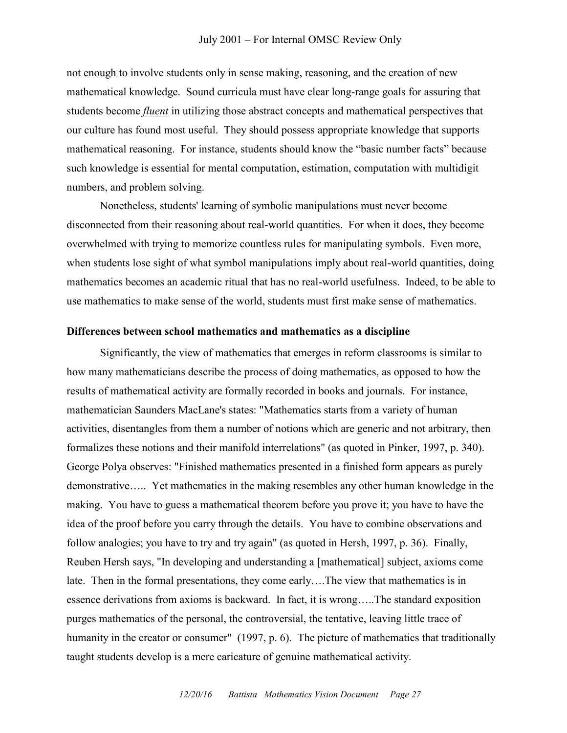#### July 2001 – For Internal OMSC Review Only

not enough to involve students only in sense making, reasoning, and the creation of new mathematical knowledge. Sound curricula must have clear long-range goals for assuring that students become *fluent* in utilizing those abstract concepts and mathematical perspectives that our culture has found most useful. They should possess appropriate knowledge that supports mathematical reasoning. For instance, students should know the "basic number facts" because such knowledge is essential for mental computation, estimation, computation with multidigit numbers, and problem solving.

Nonetheless, students' learning of symbolic manipulations must never become disconnected from their reasoning about real-world quantities. For when it does, they become overwhelmed with trying to memorize countless rules for manipulating symbols. Even more, when students lose sight of what symbol manipulations imply about real-world quantities, doing mathematics becomes an academic ritual that has no real-world usefulness. Indeed, to be able to use mathematics to make sense of the world, students must first make sense of mathematics.

#### **Differences between school mathematics and mathematics as a discipline**

Significantly, the view of mathematics that emerges in reform classrooms is similar to how many mathematicians describe the process of doing mathematics, as opposed to how the results of mathematical activity are formally recorded in books and journals. For instance, mathematician Saunders MacLane's states: "Mathematics starts from a variety of human activities, disentangles from them a number of notions which are generic and not arbitrary, then formalizes these notions and their manifold interrelations" (as quoted in Pinker, 1997, p. 340). George Polya observes: "Finished mathematics presented in a finished form appears as purely demonstrative….. Yet mathematics in the making resembles any other human knowledge in the making. You have to guess a mathematical theorem before you prove it; you have to have the idea of the proof before you carry through the details. You have to combine observations and follow analogies; you have to try and try again" (as quoted in Hersh, 1997, p. 36). Finally, Reuben Hersh says, "In developing and understanding a [mathematical] subject, axioms come late. Then in the formal presentations, they come early….The view that mathematics is in essence derivations from axioms is backward. In fact, it is wrong…..The standard exposition purges mathematics of the personal, the controversial, the tentative, leaving little trace of humanity in the creator or consumer" (1997, p. 6). The picture of mathematics that traditionally taught students develop is a mere caricature of genuine mathematical activity.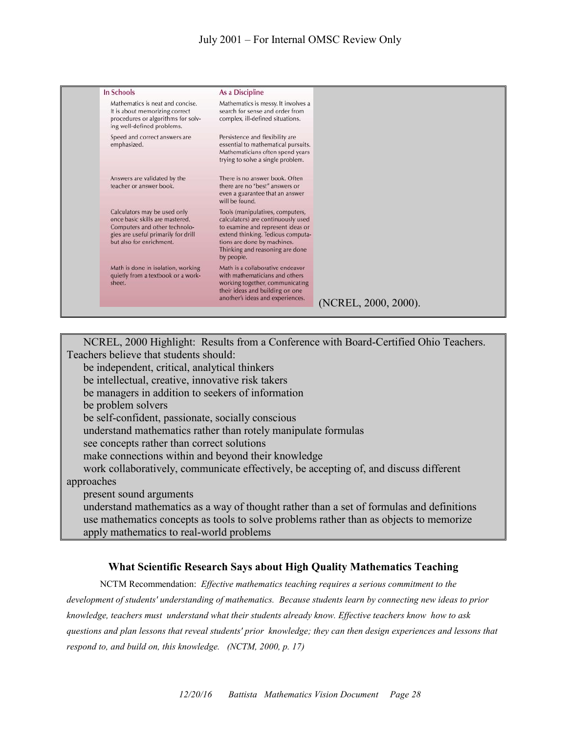| In Schools                                                                                                                                                          | As a Discipline                                                                                                                                                                                                                  |                      |
|---------------------------------------------------------------------------------------------------------------------------------------------------------------------|----------------------------------------------------------------------------------------------------------------------------------------------------------------------------------------------------------------------------------|----------------------|
| Mathematics is neat and concise.<br>It is about memorizing correct<br>procedures or algorithms for solv-<br>ing well-defined problems.                              | Mathematics is messy. It involves a<br>search for sense and order from<br>complex, ill-defined situations.                                                                                                                       |                      |
| Speed and correct answers are<br>emphasized.                                                                                                                        | Persistence and flexibility are<br>essential to mathematical pursuits.<br>Mathematicians often spend years<br>trying to solve a single problem.                                                                                  |                      |
| Answers are validated by the<br>teacher or answer book.                                                                                                             | There is no answer book. Often<br>there are no "best" answers or<br>even a guarantee that an answer<br>will be found.                                                                                                            |                      |
| Calculators may be used only<br>once basic skills are mastered.<br>Computers and other technolo-<br>gies are useful primarily for drill<br>but also for enrichment. | Tools (manipulatives, computers,<br>calculators) are continuously used<br>to examine and represent ideas or<br>extend thinking. Tedious computa-<br>tions are done by machines.<br>Thinking and reasoning are done<br>by people. |                      |
| Math is done in isolation, working<br>quietly from a textbook or a work-<br>sheet.                                                                                  | Math is a collaborative endeavor<br>with mathematicians and others<br>working together, communicating<br>their ideas and building on one<br>another's ideas and experiences.                                                     | (NCREL, 2000, 2000). |

NCREL, 2000 Highlight: Results from a Conference with Board-Certified Ohio Teachers. Teachers believe that students should: be independent, critical, analytical thinkers be intellectual, creative, innovative risk takers be managers in addition to seekers of information be problem solvers be self-confident, passionate, socially conscious understand mathematics rather than rotely manipulate formulas see concepts rather than correct solutions make connections within and beyond their knowledge work collaboratively, communicate effectively, be accepting of, and discuss different approaches present sound arguments understand mathematics as a way of thought rather than a set of formulas and definitions use mathematics concepts as tools to solve problems rather than as objects to memorize apply mathematics to real-world problems

#### **What Scientific Research Says about High Quality Mathematics Teaching**

NCTM Recommendation: *Effective mathematics teaching requires a serious commitment to the development of students' understanding of mathematics. Because students learn by connecting new ideas to prior knowledge, teachers must understand what their students already know. Effective teachers know how to ask questions and plan lessons that reveal students' prior knowledge; they can then design experiences and lessons that respond to, and build on, this knowledge. (NCTM, 2000, p. 17)*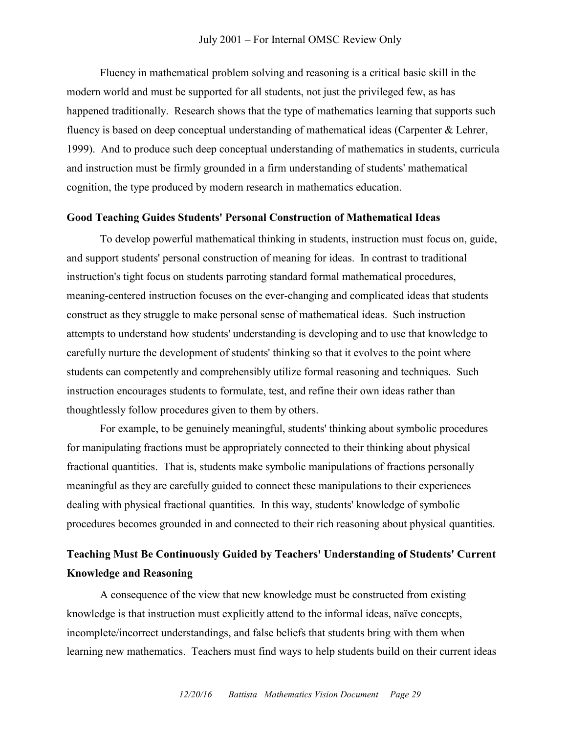Fluency in mathematical problem solving and reasoning is a critical basic skill in the modern world and must be supported for all students, not just the privileged few, as has happened traditionally. Research shows that the type of mathematics learning that supports such fluency is based on deep conceptual understanding of mathematical ideas (Carpenter & Lehrer, 1999). And to produce such deep conceptual understanding of mathematics in students, curricula and instruction must be firmly grounded in a firm understanding of students' mathematical cognition, the type produced by modern research in mathematics education.

#### **Good Teaching Guides Students' Personal Construction of Mathematical Ideas**

To develop powerful mathematical thinking in students, instruction must focus on, guide, and support students' personal construction of meaning for ideas. In contrast to traditional instruction's tight focus on students parroting standard formal mathematical procedures, meaning-centered instruction focuses on the ever-changing and complicated ideas that students construct as they struggle to make personal sense of mathematical ideas. Such instruction attempts to understand how students' understanding is developing and to use that knowledge to carefully nurture the development of students' thinking so that it evolves to the point where students can competently and comprehensibly utilize formal reasoning and techniques. Such instruction encourages students to formulate, test, and refine their own ideas rather than thoughtlessly follow procedures given to them by others.

For example, to be genuinely meaningful, students' thinking about symbolic procedures for manipulating fractions must be appropriately connected to their thinking about physical fractional quantities. That is, students make symbolic manipulations of fractions personally meaningful as they are carefully guided to connect these manipulations to their experiences dealing with physical fractional quantities. In this way, students' knowledge of symbolic procedures becomes grounded in and connected to their rich reasoning about physical quantities.

## **Teaching Must Be Continuously Guided by Teachers' Understanding of Students' Current Knowledge and Reasoning**

A consequence of the view that new knowledge must be constructed from existing knowledge is that instruction must explicitly attend to the informal ideas, naïve concepts, incomplete/incorrect understandings, and false beliefs that students bring with them when learning new mathematics. Teachers must find ways to help students build on their current ideas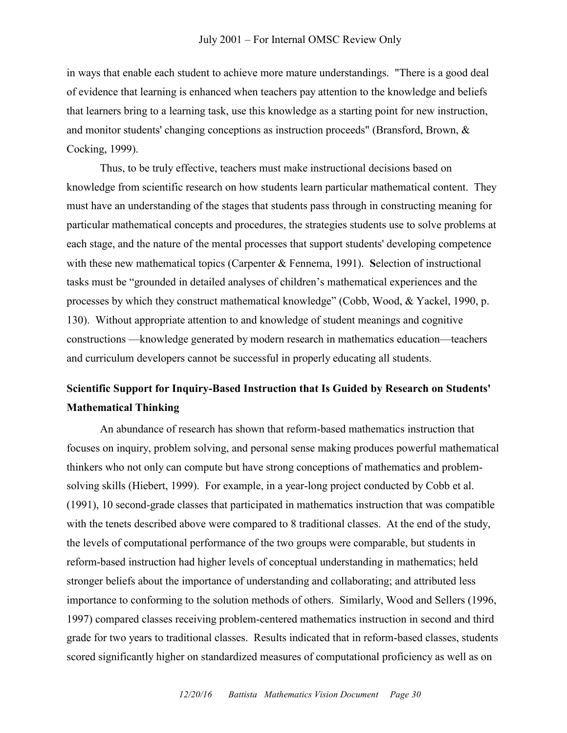in ways that enable each student to achieve more mature understandings. "There is a good deal of evidence that learning is enhanced when teachers pay attention to the knowledge and beliefs that learners bring to a learning task, use this knowledge as a starting point for new instruction, and monitor students' changing conceptions as instruction proceeds" (Bransford, Brown, & Cocking, 1999).

Thus, to be truly effective, teachers must make instructional decisions based on knowledge from scientific research on how students learn particular mathematical content. They must have an understanding of the stages that students pass through in constructing meaning for particular mathematical concepts and procedures, the strategies students use to solve problems at each stage, and the nature of the mental processes that support students' developing competence with these new mathematical topics (Carpenter & Fennema, 1991). **S**election of instructional tasks must be "grounded in detailed analyses of children's mathematical experiences and the processes by which they construct mathematical knowledge" (Cobb, Wood,  $& Yackel$ , 1990, p. 130). Without appropriate attention to and knowledge of student meanings and cognitive constructions —knowledge generated by modern research in mathematics education—teachers and curriculum developers cannot be successful in properly educating all students.

## **Scientific Support for Inquiry-Based Instruction that Is Guided by Research on Students' Mathematical Thinking**

An abundance of research has shown that reform-based mathematics instruction that focuses on inquiry, problem solving, and personal sense making produces powerful mathematical thinkers who not only can compute but have strong conceptions of mathematics and problemsolving skills (Hiebert, 1999). For example, in a year-long project conducted by Cobb et al. (1991), 10 second-grade classes that participated in mathematics instruction that was compatible with the tenets described above were compared to 8 traditional classes. At the end of the study, the levels of computational performance of the two groups were comparable, but students in reform-based instruction had higher levels of conceptual understanding in mathematics; held stronger beliefs about the importance of understanding and collaborating; and attributed less importance to conforming to the solution methods of others. Similarly, Wood and Sellers (1996, 1997) compared classes receiving problem-centered mathematics instruction in second and third grade for two years to traditional classes. Results indicated that in reform-based classes, students scored significantly higher on standardized measures of computational proficiency as well as on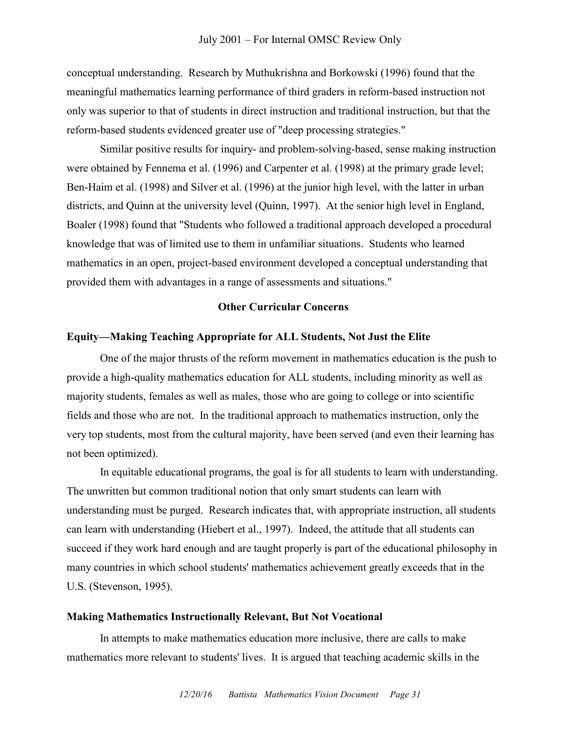conceptual understanding. Research by Muthukrishna and Borkowski (1996) found that the meaningful mathematics learning performance of third graders in reform-based instruction not only was superior to that of students in direct instruction and traditional instruction, but that the reform-based students evidenced greater use of "deep processing strategies."

Similar positive results for inquiry- and problem-solving-based, sense making instruction were obtained by Fennema et al. (1996) and Carpenter et al. (1998) at the primary grade level; Ben-Haim et al. (1998) and Silver et al. (1996) at the junior high level, with the latter in urban districts, and Quinn at the university level (Quinn, 1997). At the senior high level in England, Boaler (1998) found that "Students who followed a traditional approach developed a procedural knowledge that was of limited use to them in unfamiliar situations. Students who learned mathematics in an open, project-based environment developed a conceptual understanding that provided them with advantages in a range of assessments and situations."

#### **Other Curricular Concerns**

#### **Equity—Making Teaching Appropriate for ALL Students, Not Just the Elite**

One of the major thrusts of the reform movement in mathematics education is the push to provide a high-quality mathematics education for ALL students, including minority as well as majority students, females as well as males, those who are going to college or into scientific fields and those who are not. In the traditional approach to mathematics instruction, only the very top students, most from the cultural majority, have been served (and even their learning has not been optimized).

In equitable educational programs, the goal is for all students to learn with understanding. The unwritten but common traditional notion that only smart students can learn with understanding must be purged. Research indicates that, with appropriate instruction, all students can learn with understanding (Hiebert et al., 1997). Indeed, the attitude that all students can succeed if they work hard enough and are taught properly is part of the educational philosophy in many countries in which school students' mathematics achievement greatly exceeds that in the U.S. (Stevenson, 1995).

#### **Making Mathematics Instructionally Relevant, But Not Vocational**

In attempts to make mathematics education more inclusive, there are calls to make mathematics more relevant to students' lives. It is argued that teaching academic skills in the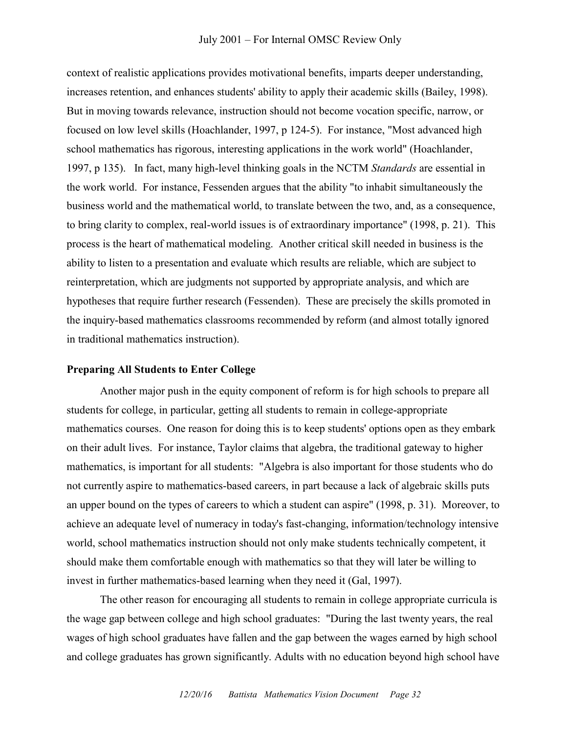context of realistic applications provides motivational benefits, imparts deeper understanding, increases retention, and enhances students' ability to apply their academic skills (Bailey, 1998). But in moving towards relevance, instruction should not become vocation specific, narrow, or focused on low level skills (Hoachlander, 1997, p 124-5). For instance, "Most advanced high school mathematics has rigorous, interesting applications in the work world" (Hoachlander, 1997, p 135). In fact, many high-level thinking goals in the NCTM *Standards* are essential in the work world. For instance, Fessenden argues that the ability "to inhabit simultaneously the business world and the mathematical world, to translate between the two, and, as a consequence, to bring clarity to complex, real-world issues is of extraordinary importance" (1998, p. 21). This process is the heart of mathematical modeling. Another critical skill needed in business is the ability to listen to a presentation and evaluate which results are reliable, which are subject to reinterpretation, which are judgments not supported by appropriate analysis, and which are hypotheses that require further research (Fessenden). These are precisely the skills promoted in the inquiry-based mathematics classrooms recommended by reform (and almost totally ignored in traditional mathematics instruction).

#### **Preparing All Students to Enter College**

Another major push in the equity component of reform is for high schools to prepare all students for college, in particular, getting all students to remain in college-appropriate mathematics courses. One reason for doing this is to keep students' options open as they embark on their adult lives. For instance, Taylor claims that algebra, the traditional gateway to higher mathematics, is important for all students: "Algebra is also important for those students who do not currently aspire to mathematics-based careers, in part because a lack of algebraic skills puts an upper bound on the types of careers to which a student can aspire" (1998, p. 31). Moreover, to achieve an adequate level of numeracy in today's fast-changing, information/technology intensive world, school mathematics instruction should not only make students technically competent, it should make them comfortable enough with mathematics so that they will later be willing to invest in further mathematics-based learning when they need it (Gal, 1997).

The other reason for encouraging all students to remain in college appropriate curricula is the wage gap between college and high school graduates: "During the last twenty years, the real wages of high school graduates have fallen and the gap between the wages earned by high school and college graduates has grown significantly. Adults with no education beyond high school have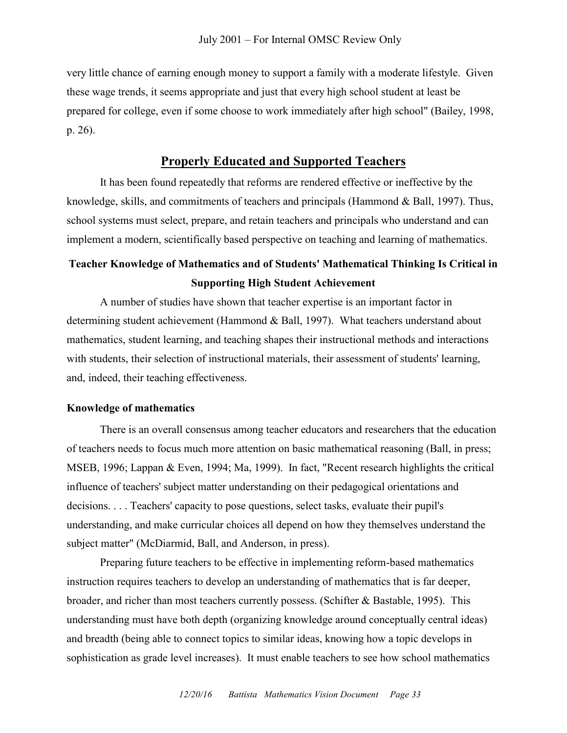very little chance of earning enough money to support a family with a moderate lifestyle. Given these wage trends, it seems appropriate and just that every high school student at least be prepared for college, even if some choose to work immediately after high school" (Bailey, 1998, p. 26).

#### **Properly Educated and Supported Teachers**

It has been found repeatedly that reforms are rendered effective or ineffective by the knowledge, skills, and commitments of teachers and principals (Hammond & Ball, 1997). Thus, school systems must select, prepare, and retain teachers and principals who understand and can implement a modern, scientifically based perspective on teaching and learning of mathematics.

## **Teacher Knowledge of Mathematics and of Students' Mathematical Thinking Is Critical in Supporting High Student Achievement**

A number of studies have shown that teacher expertise is an important factor in determining student achievement (Hammond & Ball, 1997). What teachers understand about mathematics, student learning, and teaching shapes their instructional methods and interactions with students, their selection of instructional materials, their assessment of students' learning, and, indeed, their teaching effectiveness.

#### **Knowledge of mathematics**

There is an overall consensus among teacher educators and researchers that the education of teachers needs to focus much more attention on basic mathematical reasoning (Ball, in press; MSEB, 1996; Lappan & Even, 1994; Ma, 1999). In fact, "Recent research highlights the critical influence of teachers' subject matter understanding on their pedagogical orientations and decisions. . . . Teachers' capacity to pose questions, select tasks, evaluate their pupil's understanding, and make curricular choices all depend on how they themselves understand the subject matter" (McDiarmid, Ball, and Anderson, in press).

Preparing future teachers to be effective in implementing reform-based mathematics instruction requires teachers to develop an understanding of mathematics that is far deeper, broader, and richer than most teachers currently possess. (Schifter & Bastable, 1995). This understanding must have both depth (organizing knowledge around conceptually central ideas) and breadth (being able to connect topics to similar ideas, knowing how a topic develops in sophistication as grade level increases). It must enable teachers to see how school mathematics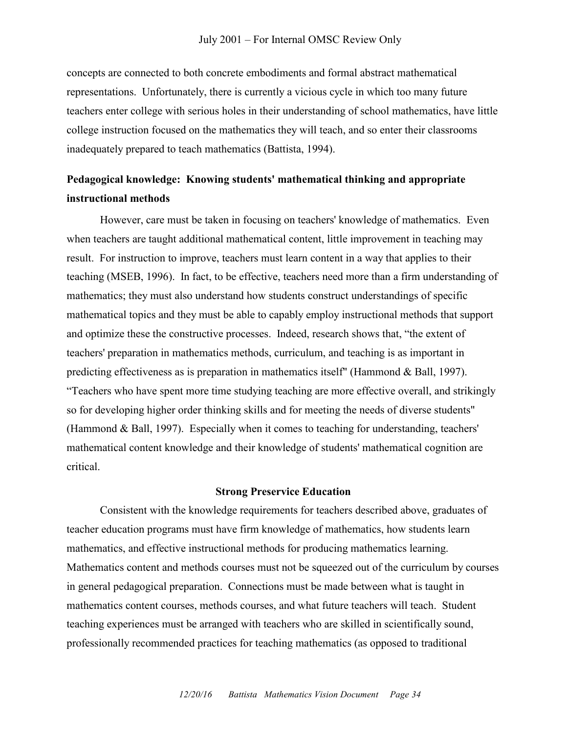concepts are connected to both concrete embodiments and formal abstract mathematical representations. Unfortunately, there is currently a vicious cycle in which too many future teachers enter college with serious holes in their understanding of school mathematics, have little college instruction focused on the mathematics they will teach, and so enter their classrooms inadequately prepared to teach mathematics (Battista, 1994).

## **Pedagogical knowledge: Knowing students' mathematical thinking and appropriate instructional methods**

However, care must be taken in focusing on teachers' knowledge of mathematics. Even when teachers are taught additional mathematical content, little improvement in teaching may result. For instruction to improve, teachers must learn content in a way that applies to their teaching (MSEB, 1996). In fact, to be effective, teachers need more than a firm understanding of mathematics; they must also understand how students construct understandings of specific mathematical topics and they must be able to capably employ instructional methods that support and optimize these the constructive processes. Indeed, research shows that, "the extent of teachers' preparation in mathematics methods, curriculum, and teaching is as important in predicting effectiveness as is preparation in mathematics itself" (Hammond & Ball, 1997). ―Teachers who have spent more time studying teaching are more effective overall, and strikingly so for developing higher order thinking skills and for meeting the needs of diverse students" (Hammond & Ball, 1997). Especially when it comes to teaching for understanding, teachers' mathematical content knowledge and their knowledge of students' mathematical cognition are critical.

#### **Strong Preservice Education**

Consistent with the knowledge requirements for teachers described above, graduates of teacher education programs must have firm knowledge of mathematics, how students learn mathematics, and effective instructional methods for producing mathematics learning. Mathematics content and methods courses must not be squeezed out of the curriculum by courses in general pedagogical preparation. Connections must be made between what is taught in mathematics content courses, methods courses, and what future teachers will teach. Student teaching experiences must be arranged with teachers who are skilled in scientifically sound, professionally recommended practices for teaching mathematics (as opposed to traditional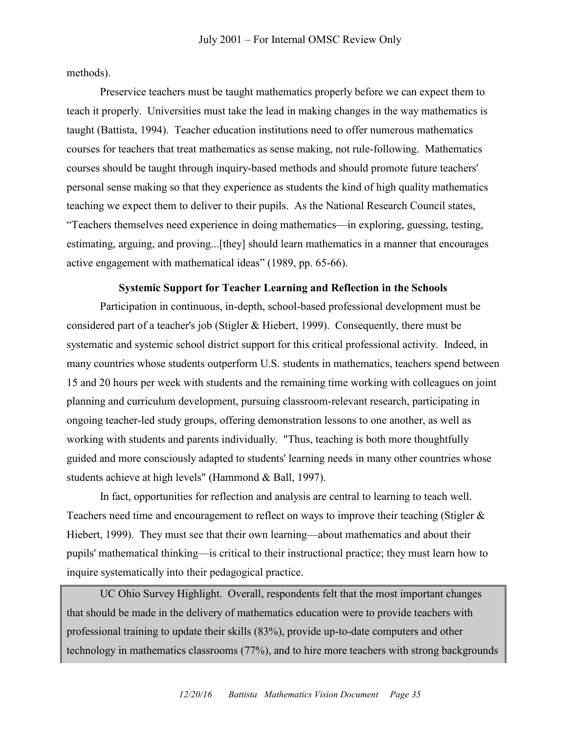methods).

Preservice teachers must be taught mathematics properly before we can expect them to teach it properly. Universities must take the lead in making changes in the way mathematics is taught (Battista, 1994). Teacher education institutions need to offer numerous mathematics courses for teachers that treat mathematics as sense making, not rule-following. Mathematics courses should be taught through inquiry-based methods and should promote future teachers' personal sense making so that they experience as students the kind of high quality mathematics teaching we expect them to deliver to their pupils. As the National Research Council states, ―Teachers themselves need experience in doing mathematics—in exploring, guessing, testing, estimating, arguing, and proving...[they] should learn mathematics in a manner that encourages active engagement with mathematical ideas" (1989, pp. 65-66).

#### **Systemic Support for Teacher Learning and Reflection in the Schools**

Participation in continuous, in-depth, school-based professional development must be considered part of a teacher's job (Stigler & Hiebert, 1999). Consequently, there must be systematic and systemic school district support for this critical professional activity. Indeed, in many countries whose students outperform U.S. students in mathematics, teachers spend between 15 and 20 hours per week with students and the remaining time working with colleagues on joint planning and curriculum development, pursuing classroom-relevant research, participating in ongoing teacher-led study groups, offering demonstration lessons to one another, as well as working with students and parents individually. "Thus, teaching is both more thoughtfully guided and more consciously adapted to students' learning needs in many other countries whose students achieve at high levels" (Hammond & Ball, 1997).

In fact, opportunities for reflection and analysis are central to learning to teach well. Teachers need time and encouragement to reflect on ways to improve their teaching (Stigler  $\&$ Hiebert, 1999). They must see that their own learning—about mathematics and about their pupils' mathematical thinking—is critical to their instructional practice; they must learn how to inquire systematically into their pedagogical practice.

UC Ohio Survey Highlight. Overall, respondents felt that the most important changes that should be made in the delivery of mathematics education were to provide teachers with professional training to update their skills (83%), provide up-to-date computers and other technology in mathematics classrooms (77%), and to hire more teachers with strong backgrounds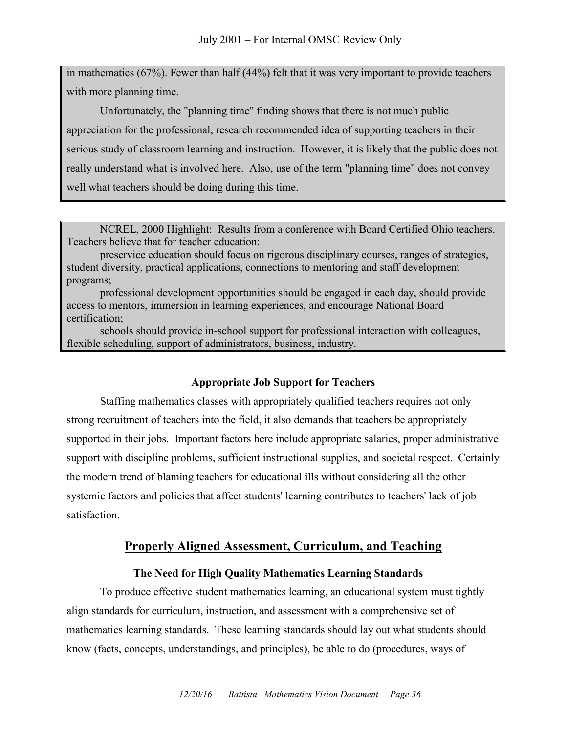in mathematics (67%). Fewer than half (44%) felt that it was very important to provide teachers with more planning time.

Unfortunately, the "planning time" finding shows that there is not much public appreciation for the professional, research recommended idea of supporting teachers in their serious study of classroom learning and instruction. However, it is likely that the public does not really understand what is involved here. Also, use of the term "planning time" does not convey well what teachers should be doing during this time.

NCREL, 2000 Highlight: Results from a conference with Board Certified Ohio teachers. Teachers believe that for teacher education:

preservice education should focus on rigorous disciplinary courses, ranges of strategies, student diversity, practical applications, connections to mentoring and staff development programs;

professional development opportunities should be engaged in each day, should provide access to mentors, immersion in learning experiences, and encourage National Board certification;

schools should provide in-school support for professional interaction with colleagues, flexible scheduling, support of administrators, business, industry.

#### **Appropriate Job Support for Teachers**

Staffing mathematics classes with appropriately qualified teachers requires not only strong recruitment of teachers into the field, it also demands that teachers be appropriately supported in their jobs. Important factors here include appropriate salaries, proper administrative support with discipline problems, sufficient instructional supplies, and societal respect. Certainly the modern trend of blaming teachers for educational ills without considering all the other systemic factors and policies that affect students' learning contributes to teachers' lack of job satisfaction.

### **Properly Aligned Assessment, Curriculum, and Teaching**

#### **The Need for High Quality Mathematics Learning Standards**

To produce effective student mathematics learning, an educational system must tightly align standards for curriculum, instruction, and assessment with a comprehensive set of mathematics learning standards. These learning standards should lay out what students should know (facts, concepts, understandings, and principles), be able to do (procedures, ways of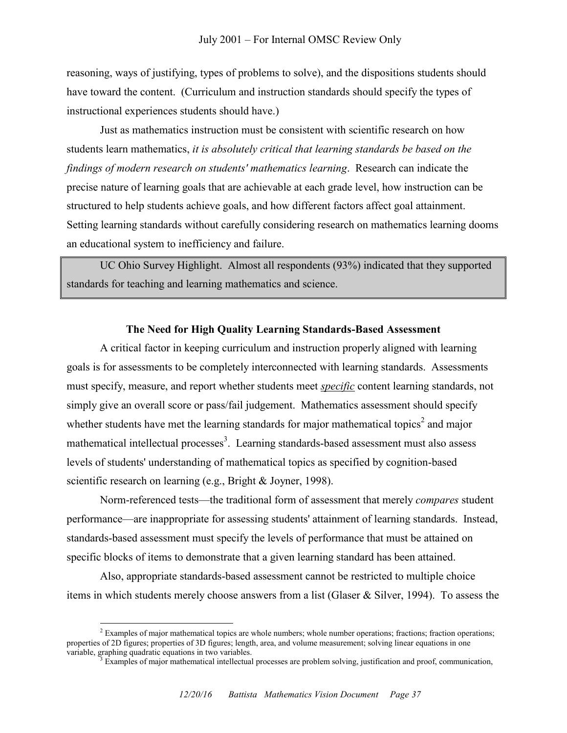reasoning, ways of justifying, types of problems to solve), and the dispositions students should have toward the content. (Curriculum and instruction standards should specify the types of instructional experiences students should have.)

Just as mathematics instruction must be consistent with scientific research on how students learn mathematics, *it is absolutely critical that learning standards be based on the findings of modern research on students' mathematics learning*. Research can indicate the precise nature of learning goals that are achievable at each grade level, how instruction can be structured to help students achieve goals, and how different factors affect goal attainment. Setting learning standards without carefully considering research on mathematics learning dooms an educational system to inefficiency and failure.

UC Ohio Survey Highlight. Almost all respondents (93%) indicated that they supported standards for teaching and learning mathematics and science.

#### **The Need for High Quality Learning Standards-Based Assessment**

A critical factor in keeping curriculum and instruction properly aligned with learning goals is for assessments to be completely interconnected with learning standards. Assessments must specify, measure, and report whether students meet *specific* content learning standards, not simply give an overall score or pass/fail judgement. Mathematics assessment should specify whether students have met the learning standards for major mathematical topics<sup>2</sup> and major mathematical intellectual processes<sup>3</sup>. Learning standards-based assessment must also assess levels of students' understanding of mathematical topics as specified by cognition-based scientific research on learning (e.g., Bright & Joyner, 1998).

Norm-referenced tests—the traditional form of assessment that merely *compares* student performance—are inappropriate for assessing students' attainment of learning standards. Instead, standards-based assessment must specify the levels of performance that must be attained on specific blocks of items to demonstrate that a given learning standard has been attained.

Also, appropriate standards-based assessment cannot be restricted to multiple choice items in which students merely choose answers from a list (Glaser & Silver, 1994). To assess the

 $\overline{a}$ 

 $<sup>2</sup>$  Examples of major mathematical topics are whole numbers; whole number operations; fractions; fraction operations;</sup> properties of 2D figures; properties of 3D figures; length, area, and volume measurement; solving linear equations in one variable, graphing quadratic equations in two variables.

<sup>3</sup> Examples of major mathematical intellectual processes are problem solving, justification and proof, communication,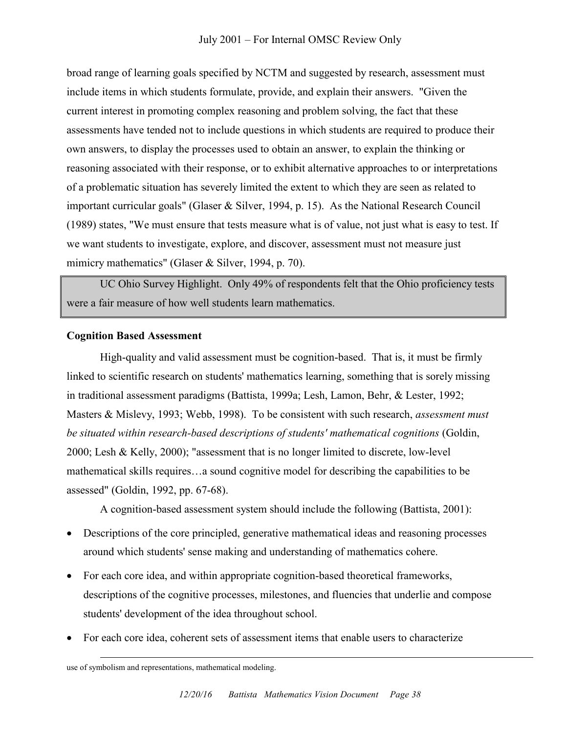broad range of learning goals specified by NCTM and suggested by research, assessment must include items in which students formulate, provide, and explain their answers. "Given the current interest in promoting complex reasoning and problem solving, the fact that these assessments have tended not to include questions in which students are required to produce their own answers, to display the processes used to obtain an answer, to explain the thinking or reasoning associated with their response, or to exhibit alternative approaches to or interpretations of a problematic situation has severely limited the extent to which they are seen as related to important curricular goals" (Glaser & Silver, 1994, p. 15). As the National Research Council (1989) states, "We must ensure that tests measure what is of value, not just what is easy to test. If we want students to investigate, explore, and discover, assessment must not measure just mimicry mathematics" (Glaser & Silver, 1994, p. 70).

UC Ohio Survey Highlight. Only 49% of respondents felt that the Ohio proficiency tests were a fair measure of how well students learn mathematics.

### **Cognition Based Assessment**

High-quality and valid assessment must be cognition-based. That is, it must be firmly linked to scientific research on students' mathematics learning, something that is sorely missing in traditional assessment paradigms (Battista, 1999a; Lesh, Lamon, Behr, & Lester, 1992; Masters & Mislevy, 1993; Webb, 1998). To be consistent with such research, *assessment must be situated within research-based descriptions of students' mathematical cognitions* (Goldin, 2000; Lesh & Kelly, 2000); "assessment that is no longer limited to discrete, low-level mathematical skills requires…a sound cognitive model for describing the capabilities to be assessed" (Goldin, 1992, pp. 67-68).

A cognition-based assessment system should include the following (Battista, 2001):

- Descriptions of the core principled, generative mathematical ideas and reasoning processes around which students' sense making and understanding of mathematics cohere.
- For each core idea, and within appropriate cognition-based theoretical frameworks, descriptions of the cognitive processes, milestones, and fluencies that underlie and compose students' development of the idea throughout school.
- For each core idea, coherent sets of assessment items that enable users to characterize

 $\overline{a}$ 

use of symbolism and representations, mathematical modeling.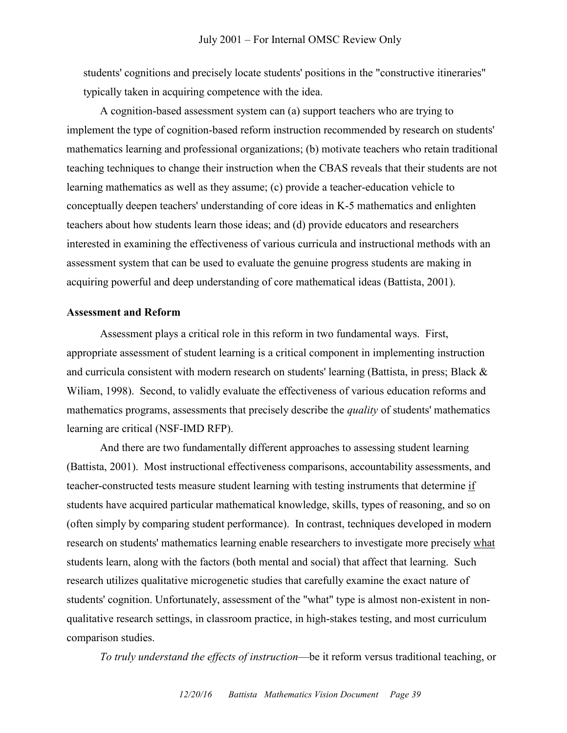students' cognitions and precisely locate students' positions in the "constructive itineraries" typically taken in acquiring competence with the idea.

A cognition-based assessment system can (a) support teachers who are trying to implement the type of cognition-based reform instruction recommended by research on students' mathematics learning and professional organizations; (b) motivate teachers who retain traditional teaching techniques to change their instruction when the CBAS reveals that their students are not learning mathematics as well as they assume; (c) provide a teacher-education vehicle to conceptually deepen teachers' understanding of core ideas in K-5 mathematics and enlighten teachers about how students learn those ideas; and (d) provide educators and researchers interested in examining the effectiveness of various curricula and instructional methods with an assessment system that can be used to evaluate the genuine progress students are making in acquiring powerful and deep understanding of core mathematical ideas (Battista, 2001).

#### **Assessment and Reform**

Assessment plays a critical role in this reform in two fundamental ways. First, appropriate assessment of student learning is a critical component in implementing instruction and curricula consistent with modern research on students' learning (Battista, in press; Black & Wiliam, 1998). Second, to validly evaluate the effectiveness of various education reforms and mathematics programs, assessments that precisely describe the *quality* of students' mathematics learning are critical (NSF-IMD RFP).

And there are two fundamentally different approaches to assessing student learning (Battista, 2001). Most instructional effectiveness comparisons, accountability assessments, and teacher-constructed tests measure student learning with testing instruments that determine if students have acquired particular mathematical knowledge, skills, types of reasoning, and so on (often simply by comparing student performance). In contrast, techniques developed in modern research on students' mathematics learning enable researchers to investigate more precisely what students learn, along with the factors (both mental and social) that affect that learning. Such research utilizes qualitative microgenetic studies that carefully examine the exact nature of students' cognition. Unfortunately, assessment of the "what" type is almost non-existent in nonqualitative research settings, in classroom practice, in high-stakes testing, and most curriculum comparison studies.

*To truly understand the effects of instruction*—be it reform versus traditional teaching, or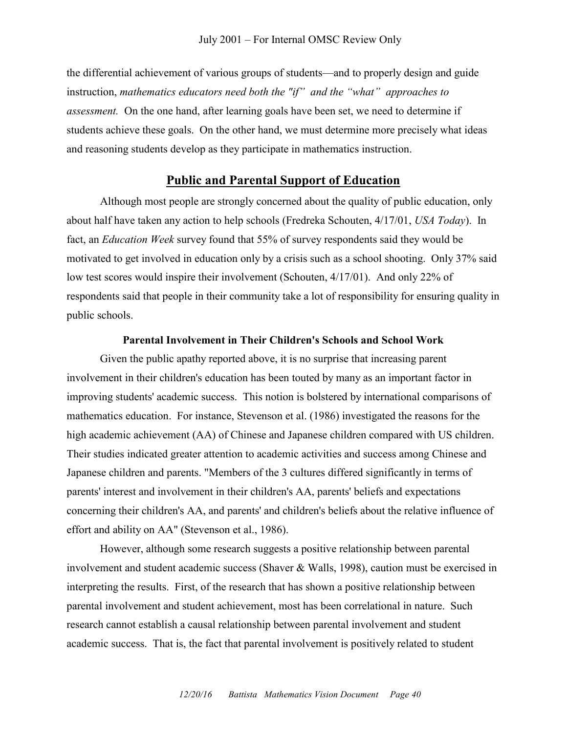the differential achievement of various groups of students—and to properly design and guide instruction, *mathematics educators need both the "if" and the "what" approaches to assessment.* On the one hand, after learning goals have been set, we need to determine if students achieve these goals. On the other hand, we must determine more precisely what ideas and reasoning students develop as they participate in mathematics instruction.

# **Public and Parental Support of Education**

Although most people are strongly concerned about the quality of public education, only about half have taken any action to help schools (Fredreka Schouten, 4/17/01, *USA Today*). In fact, an *Education Week* survey found that 55% of survey respondents said they would be motivated to get involved in education only by a crisis such as a school shooting. Only 37% said low test scores would inspire their involvement (Schouten, 4/17/01). And only 22% of respondents said that people in their community take a lot of responsibility for ensuring quality in public schools.

#### **Parental Involvement in Their Children's Schools and School Work**

Given the public apathy reported above, it is no surprise that increasing parent involvement in their children's education has been touted by many as an important factor in improving students' academic success. This notion is bolstered by international comparisons of mathematics education. For instance, Stevenson et al. (1986) investigated the reasons for the high academic achievement (AA) of Chinese and Japanese children compared with US children. Their studies indicated greater attention to academic activities and success among Chinese and Japanese children and parents. "Members of the 3 cultures differed significantly in terms of parents' interest and involvement in their children's AA, parents' beliefs and expectations concerning their children's AA, and parents' and children's beliefs about the relative influence of effort and ability on AA" (Stevenson et al., 1986).

However, although some research suggests a positive relationship between parental involvement and student academic success (Shaver & Walls, 1998), caution must be exercised in interpreting the results. First, of the research that has shown a positive relationship between parental involvement and student achievement, most has been correlational in nature. Such research cannot establish a causal relationship between parental involvement and student academic success. That is, the fact that parental involvement is positively related to student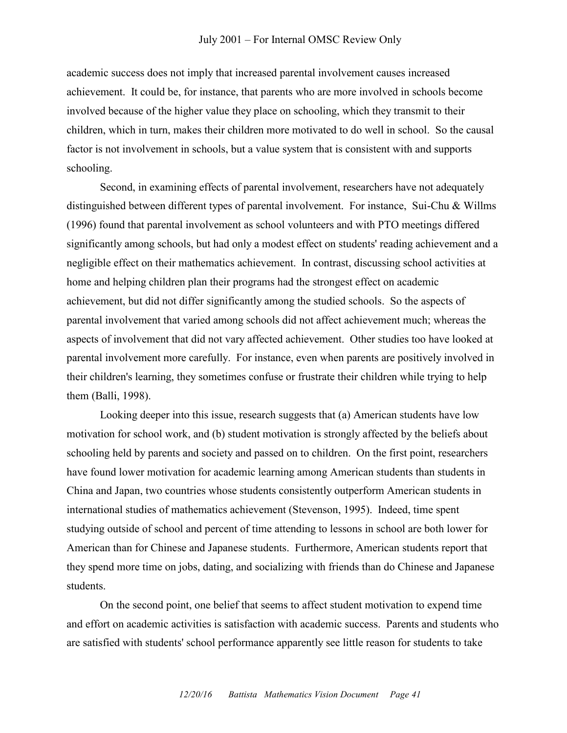academic success does not imply that increased parental involvement causes increased achievement. It could be, for instance, that parents who are more involved in schools become involved because of the higher value they place on schooling, which they transmit to their children, which in turn, makes their children more motivated to do well in school. So the causal factor is not involvement in schools, but a value system that is consistent with and supports schooling.

Second, in examining effects of parental involvement, researchers have not adequately distinguished between different types of parental involvement. For instance, Sui-Chu & Willms (1996) found that parental involvement as school volunteers and with PTO meetings differed significantly among schools, but had only a modest effect on students' reading achievement and a negligible effect on their mathematics achievement. In contrast, discussing school activities at home and helping children plan their programs had the strongest effect on academic achievement, but did not differ significantly among the studied schools. So the aspects of parental involvement that varied among schools did not affect achievement much; whereas the aspects of involvement that did not vary affected achievement. Other studies too have looked at parental involvement more carefully. For instance, even when parents are positively involved in their children's learning, they sometimes confuse or frustrate their children while trying to help them (Balli, 1998).

Looking deeper into this issue, research suggests that (a) American students have low motivation for school work, and (b) student motivation is strongly affected by the beliefs about schooling held by parents and society and passed on to children. On the first point, researchers have found lower motivation for academic learning among American students than students in China and Japan, two countries whose students consistently outperform American students in international studies of mathematics achievement (Stevenson, 1995). Indeed, time spent studying outside of school and percent of time attending to lessons in school are both lower for American than for Chinese and Japanese students. Furthermore, American students report that they spend more time on jobs, dating, and socializing with friends than do Chinese and Japanese students.

On the second point, one belief that seems to affect student motivation to expend time and effort on academic activities is satisfaction with academic success. Parents and students who are satisfied with students' school performance apparently see little reason for students to take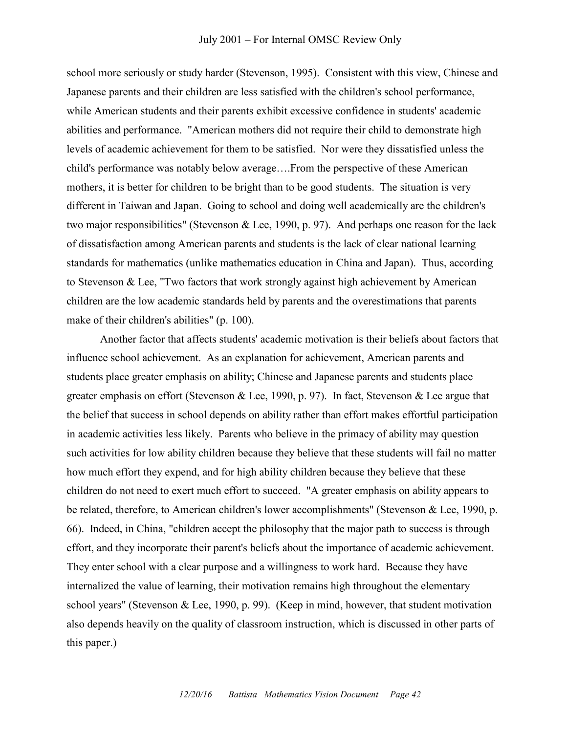school more seriously or study harder (Stevenson, 1995). Consistent with this view, Chinese and Japanese parents and their children are less satisfied with the children's school performance, while American students and their parents exhibit excessive confidence in students' academic abilities and performance. "American mothers did not require their child to demonstrate high levels of academic achievement for them to be satisfied. Nor were they dissatisfied unless the child's performance was notably below average….From the perspective of these American mothers, it is better for children to be bright than to be good students. The situation is very different in Taiwan and Japan. Going to school and doing well academically are the children's two major responsibilities" (Stevenson & Lee, 1990, p. 97). And perhaps one reason for the lack of dissatisfaction among American parents and students is the lack of clear national learning standards for mathematics (unlike mathematics education in China and Japan). Thus, according to Stevenson & Lee, "Two factors that work strongly against high achievement by American children are the low academic standards held by parents and the overestimations that parents make of their children's abilities" (p. 100).

Another factor that affects students' academic motivation is their beliefs about factors that influence school achievement. As an explanation for achievement, American parents and students place greater emphasis on ability; Chinese and Japanese parents and students place greater emphasis on effort (Stevenson & Lee, 1990, p. 97). In fact, Stevenson & Lee argue that the belief that success in school depends on ability rather than effort makes effortful participation in academic activities less likely. Parents who believe in the primacy of ability may question such activities for low ability children because they believe that these students will fail no matter how much effort they expend, and for high ability children because they believe that these children do not need to exert much effort to succeed. "A greater emphasis on ability appears to be related, therefore, to American children's lower accomplishments" (Stevenson & Lee, 1990, p. 66). Indeed, in China, "children accept the philosophy that the major path to success is through effort, and they incorporate their parent's beliefs about the importance of academic achievement. They enter school with a clear purpose and a willingness to work hard. Because they have internalized the value of learning, their motivation remains high throughout the elementary school years" (Stevenson & Lee, 1990, p. 99). (Keep in mind, however, that student motivation also depends heavily on the quality of classroom instruction, which is discussed in other parts of this paper.)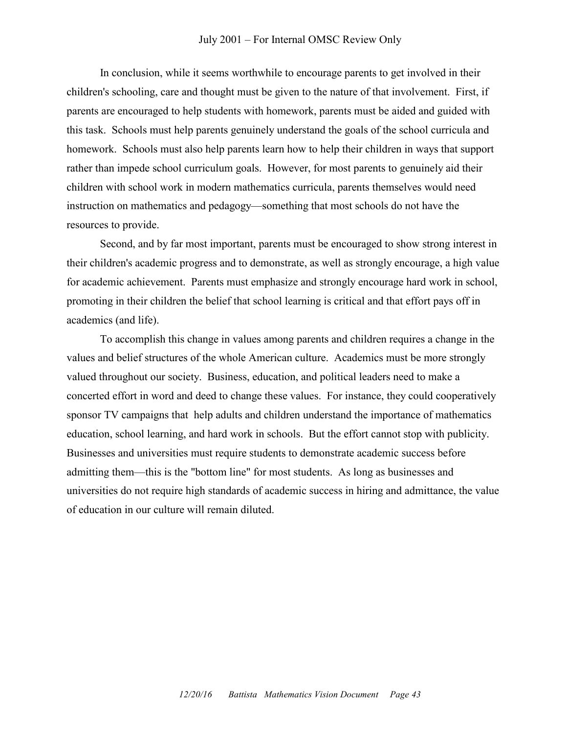#### July 2001 – For Internal OMSC Review Only

In conclusion, while it seems worthwhile to encourage parents to get involved in their children's schooling, care and thought must be given to the nature of that involvement. First, if parents are encouraged to help students with homework, parents must be aided and guided with this task. Schools must help parents genuinely understand the goals of the school curricula and homework. Schools must also help parents learn how to help their children in ways that support rather than impede school curriculum goals. However, for most parents to genuinely aid their children with school work in modern mathematics curricula, parents themselves would need instruction on mathematics and pedagogy—something that most schools do not have the resources to provide.

Second, and by far most important, parents must be encouraged to show strong interest in their children's academic progress and to demonstrate, as well as strongly encourage, a high value for academic achievement. Parents must emphasize and strongly encourage hard work in school, promoting in their children the belief that school learning is critical and that effort pays off in academics (and life).

To accomplish this change in values among parents and children requires a change in the values and belief structures of the whole American culture. Academics must be more strongly valued throughout our society. Business, education, and political leaders need to make a concerted effort in word and deed to change these values. For instance, they could cooperatively sponsor TV campaigns that help adults and children understand the importance of mathematics education, school learning, and hard work in schools. But the effort cannot stop with publicity. Businesses and universities must require students to demonstrate academic success before admitting them—this is the "bottom line" for most students. As long as businesses and universities do not require high standards of academic success in hiring and admittance, the value of education in our culture will remain diluted.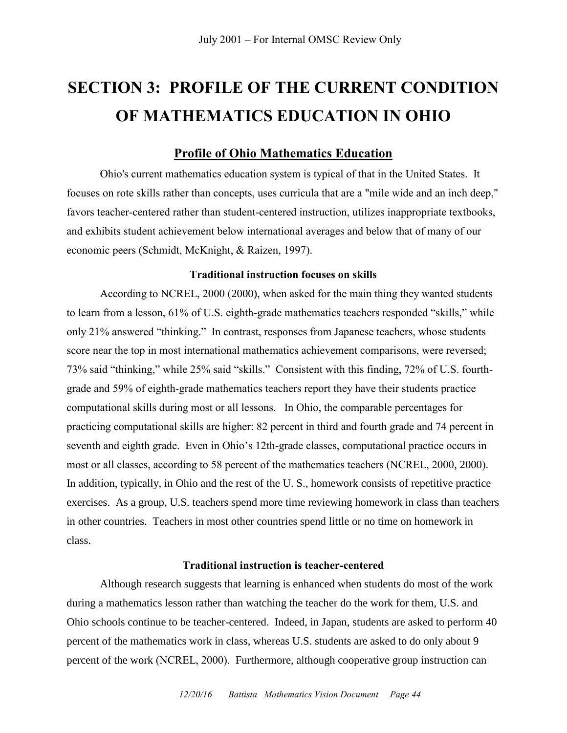# **SECTION 3: PROFILE OF THE CURRENT CONDITION OF MATHEMATICS EDUCATION IN OHIO**

# **Profile of Ohio Mathematics Education**

Ohio's current mathematics education system is typical of that in the United States. It focuses on rote skills rather than concepts, uses curricula that are a "mile wide and an inch deep," favors teacher-centered rather than student-centered instruction, utilizes inappropriate textbooks, and exhibits student achievement below international averages and below that of many of our economic peers (Schmidt, McKnight, & Raizen, 1997).

# **Traditional instruction focuses on skills**

According to NCREL, 2000 (2000), when asked for the main thing they wanted students to learn from a lesson,  $61\%$  of U.S. eighth-grade mathematics teachers responded "skills," while only 21% answered "thinking." In contrast, responses from Japanese teachers, whose students score near the top in most international mathematics achievement comparisons, were reversed; 73% said "thinking," while 25% said "skills." Consistent with this finding, 72% of U.S. fourthgrade and 59% of eighth-grade mathematics teachers report they have their students practice computational skills during most or all lessons. In Ohio, the comparable percentages for practicing computational skills are higher: 82 percent in third and fourth grade and 74 percent in seventh and eighth grade. Even in Ohio's 12th-grade classes, computational practice occurs in most or all classes, according to 58 percent of the mathematics teachers (NCREL, 2000, 2000). In addition, typically, in Ohio and the rest of the U. S., homework consists of repetitive practice exercises. As a group, U.S. teachers spend more time reviewing homework in class than teachers in other countries. Teachers in most other countries spend little or no time on homework in class.

# **Traditional instruction is teacher-centered**

Although research suggests that learning is enhanced when students do most of the work during a mathematics lesson rather than watching the teacher do the work for them, U.S. and Ohio schools continue to be teacher-centered. Indeed, in Japan, students are asked to perform 40 percent of the mathematics work in class, whereas U.S. students are asked to do only about 9 percent of the work (NCREL, 2000). Furthermore, although cooperative group instruction can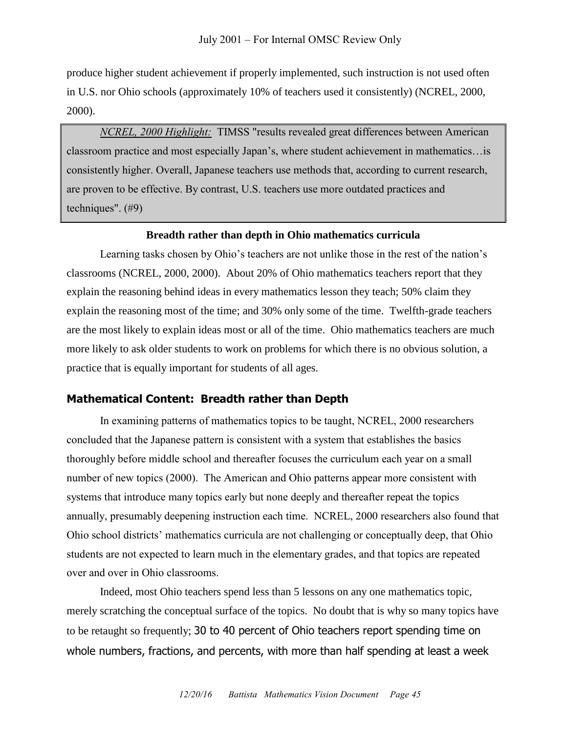produce higher student achievement if properly implemented, such instruction is not used often in U.S. nor Ohio schools (approximately 10% of teachers used it consistently) (NCREL, 2000, 2000).

*NCREL, 2000 Highlight:* TIMSS "results revealed great differences between American classroom practice and most especially Japan's, where student achievement in mathematics…is consistently higher. Overall, Japanese teachers use methods that, according to current research, are proven to be effective. By contrast, U.S. teachers use more outdated practices and techniques". (#9)

#### **Breadth rather than depth in Ohio mathematics curricula**

Learning tasks chosen by Ohio's teachers are not unlike those in the rest of the nation's classrooms (NCREL, 2000, 2000). About 20% of Ohio mathematics teachers report that they explain the reasoning behind ideas in every mathematics lesson they teach; 50% claim they explain the reasoning most of the time; and 30% only some of the time. Twelfth-grade teachers are the most likely to explain ideas most or all of the time. Ohio mathematics teachers are much more likely to ask older students to work on problems for which there is no obvious solution, a practice that is equally important for students of all ages.

### **Mathematical Content: Breadth rather than Depth**

In examining patterns of mathematics topics to be taught, NCREL, 2000 researchers concluded that the Japanese pattern is consistent with a system that establishes the basics thoroughly before middle school and thereafter focuses the curriculum each year on a small number of new topics (2000). The American and Ohio patterns appear more consistent with systems that introduce many topics early but none deeply and thereafter repeat the topics annually, presumably deepening instruction each time. NCREL, 2000 researchers also found that Ohio school districts' mathematics curricula are not challenging or conceptually deep, that Ohio students are not expected to learn much in the elementary grades, and that topics are repeated over and over in Ohio classrooms.

Indeed, most Ohio teachers spend less than 5 lessons on any one mathematics topic, merely scratching the conceptual surface of the topics. No doubt that is why so many topics have to be retaught so frequently; 30 to 40 percent of Ohio teachers report spending time on whole numbers, fractions, and percents, with more than half spending at least a week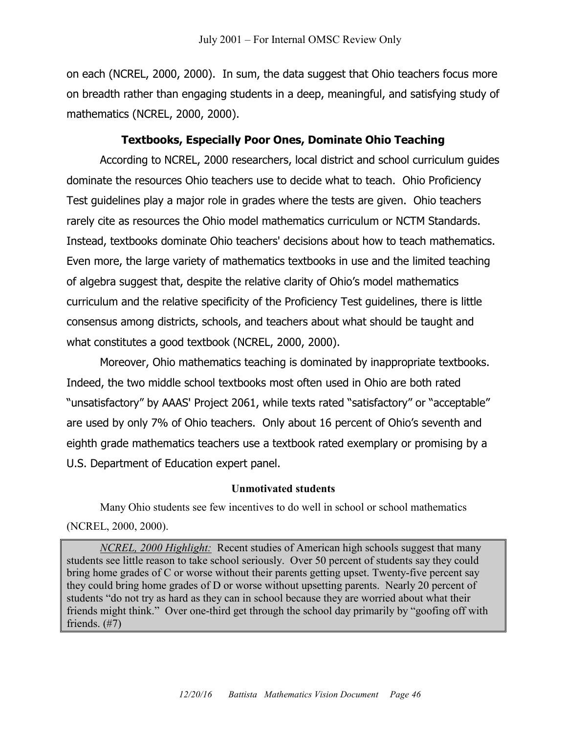on each (NCREL, 2000, 2000). In sum, the data suggest that Ohio teachers focus more on breadth rather than engaging students in a deep, meaningful, and satisfying study of mathematics (NCREL, 2000, 2000).

# **Textbooks, Especially Poor Ones, Dominate Ohio Teaching**

According to NCREL, 2000 researchers, local district and school curriculum guides dominate the resources Ohio teachers use to decide what to teach. Ohio Proficiency Test guidelines play a major role in grades where the tests are given. Ohio teachers rarely cite as resources the Ohio model mathematics curriculum or NCTM Standards. Instead, textbooks dominate Ohio teachers' decisions about how to teach mathematics. Even more, the large variety of mathematics textbooks in use and the limited teaching of algebra suggest that, despite the relative clarity of Ohio's model mathematics curriculum and the relative specificity of the Proficiency Test guidelines, there is little consensus among districts, schools, and teachers about what should be taught and what constitutes a good textbook (NCREL, 2000, 2000).

Moreover, Ohio mathematics teaching is dominated by inappropriate textbooks. Indeed, the two middle school textbooks most often used in Ohio are both rated "unsatisfactory" by AAAS' Project 2061, while texts rated "satisfactory" or "acceptable" are used by only 7% of Ohio teachers. Only about 16 percent of Ohio's seventh and eighth grade mathematics teachers use a textbook rated exemplary or promising by a U.S. Department of Education expert panel.

#### **Unmotivated students**

Many Ohio students see few incentives to do well in school or school mathematics (NCREL, 2000, 2000).

*NCREL, 2000 Highlight:* Recent studies of American high schools suggest that many students see little reason to take school seriously. Over 50 percent of students say they could bring home grades of C or worse without their parents getting upset. Twenty-five percent say they could bring home grades of D or worse without upsetting parents. Nearly 20 percent of students "do not try as hard as they can in school because they are worried about what their friends might think." Over one-third get through the school day primarily by "goofing off with friends. (#7)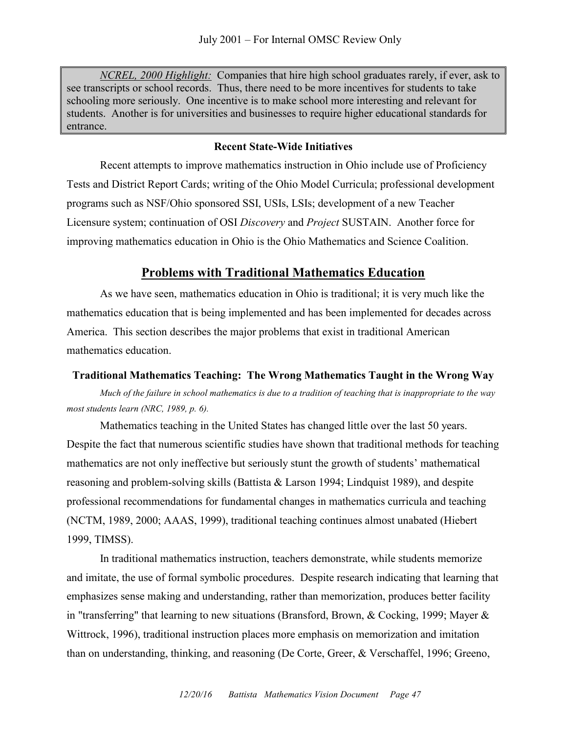*NCREL, 2000 Highlight:* Companies that hire high school graduates rarely, if ever, ask to see transcripts or school records. Thus, there need to be more incentives for students to take schooling more seriously. One incentive is to make school more interesting and relevant for students. Another is for universities and businesses to require higher educational standards for entrance.

#### **Recent State-Wide Initiatives**

Recent attempts to improve mathematics instruction in Ohio include use of Proficiency Tests and District Report Cards; writing of the Ohio Model Curricula; professional development programs such as NSF/Ohio sponsored SSI, USIs, LSIs; development of a new Teacher Licensure system; continuation of OSI *Discovery* and *Project* SUSTAIN. Another force for improving mathematics education in Ohio is the Ohio Mathematics and Science Coalition.

### **Problems with Traditional Mathematics Education**

As we have seen, mathematics education in Ohio is traditional; it is very much like the mathematics education that is being implemented and has been implemented for decades across America. This section describes the major problems that exist in traditional American mathematics education.

#### **Traditional Mathematics Teaching: The Wrong Mathematics Taught in the Wrong Way**

*Much of the failure in school mathematics is due to a tradition of teaching that is inappropriate to the way most students learn (NRC, 1989, p. 6).* 

Mathematics teaching in the United States has changed little over the last 50 years. Despite the fact that numerous scientific studies have shown that traditional methods for teaching mathematics are not only ineffective but seriously stunt the growth of students' mathematical reasoning and problem-solving skills (Battista & Larson 1994; Lindquist 1989), and despite professional recommendations for fundamental changes in mathematics curricula and teaching (NCTM, 1989, 2000; AAAS, 1999), traditional teaching continues almost unabated (Hiebert 1999, TIMSS).

In traditional mathematics instruction, teachers demonstrate, while students memorize and imitate, the use of formal symbolic procedures. Despite research indicating that learning that emphasizes sense making and understanding, rather than memorization, produces better facility in "transferring" that learning to new situations (Bransford, Brown, & Cocking, 1999; Mayer & Wittrock, 1996), traditional instruction places more emphasis on memorization and imitation than on understanding, thinking, and reasoning (De Corte, Greer, & Verschaffel, 1996; Greeno,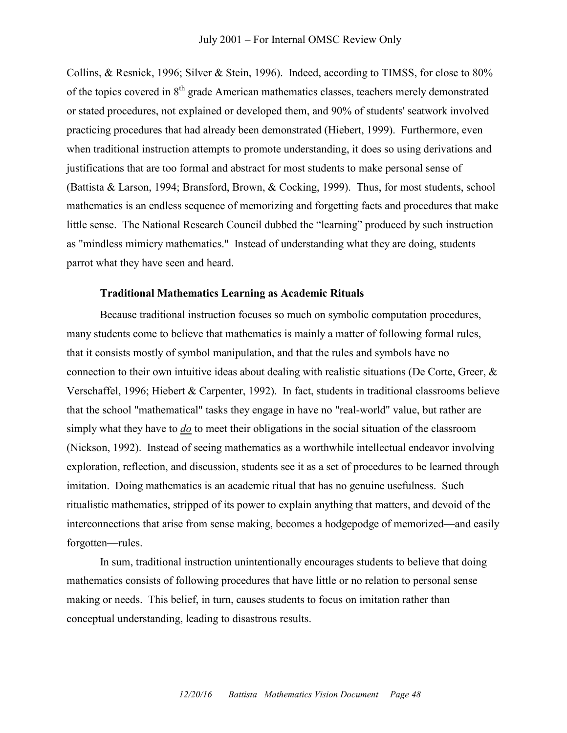Collins, & Resnick, 1996; Silver & Stein, 1996). Indeed, according to TIMSS, for close to 80% of the topics covered in  $8<sup>th</sup>$  grade American mathematics classes, teachers merely demonstrated or stated procedures, not explained or developed them, and 90% of students' seatwork involved practicing procedures that had already been demonstrated (Hiebert, 1999). Furthermore, even when traditional instruction attempts to promote understanding, it does so using derivations and justifications that are too formal and abstract for most students to make personal sense of (Battista & Larson, 1994; Bransford, Brown, & Cocking, 1999). Thus, for most students, school mathematics is an endless sequence of memorizing and forgetting facts and procedures that make little sense. The National Research Council dubbed the "learning" produced by such instruction as "mindless mimicry mathematics." Instead of understanding what they are doing, students parrot what they have seen and heard.

#### **Traditional Mathematics Learning as Academic Rituals**

Because traditional instruction focuses so much on symbolic computation procedures, many students come to believe that mathematics is mainly a matter of following formal rules, that it consists mostly of symbol manipulation, and that the rules and symbols have no connection to their own intuitive ideas about dealing with realistic situations (De Corte, Greer,  $\&$ Verschaffel, 1996; Hiebert & Carpenter, 1992). In fact, students in traditional classrooms believe that the school "mathematical" tasks they engage in have no "real-world" value, but rather are simply what they have to *do* to meet their obligations in the social situation of the classroom (Nickson, 1992). Instead of seeing mathematics as a worthwhile intellectual endeavor involving exploration, reflection, and discussion, students see it as a set of procedures to be learned through imitation. Doing mathematics is an academic ritual that has no genuine usefulness. Such ritualistic mathematics, stripped of its power to explain anything that matters, and devoid of the interconnections that arise from sense making, becomes a hodgepodge of memorized—and easily forgotten—rules.

In sum, traditional instruction unintentionally encourages students to believe that doing mathematics consists of following procedures that have little or no relation to personal sense making or needs. This belief, in turn, causes students to focus on imitation rather than conceptual understanding, leading to disastrous results.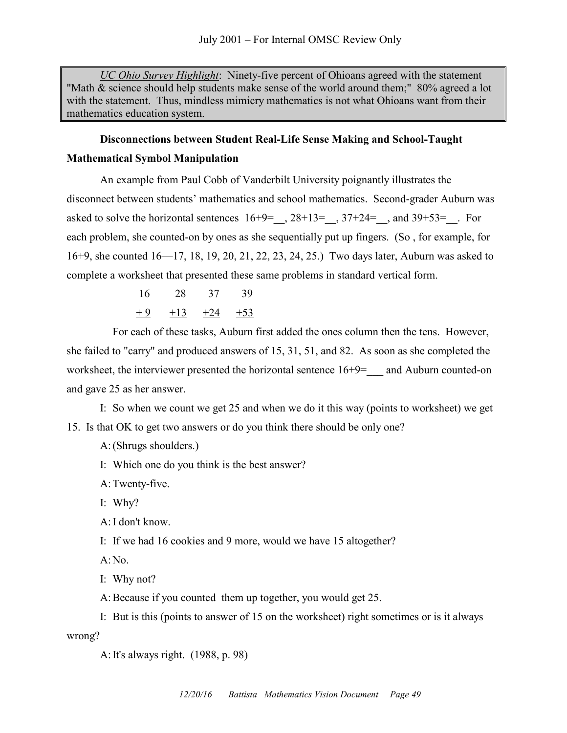*UC Ohio Survey Highlight*: Ninety-five percent of Ohioans agreed with the statement "Math & science should help students make sense of the world around them;" 80% agreed a lot with the statement. Thus, mindless mimicry mathematics is not what Ohioans want from their mathematics education system.

# **Disconnections between Student Real-Life Sense Making and School-Taught Mathematical Symbol Manipulation**

An example from Paul Cobb of Vanderbilt University poignantly illustrates the disconnect between students' mathematics and school mathematics. Second-grader Auburn was asked to solve the horizontal sentences  $16+9=$ ,  $28+13=$ ,  $37+24=$ , and  $39+53=$ . For each problem, she counted-on by ones as she sequentially put up fingers. (So , for example, for 16+9, she counted 16—17, 18, 19, 20, 21, 22, 23, 24, 25.) Two days later, Auburn was asked to complete a worksheet that presented these same problems in standard vertical form.

$$
16 \qquad 28 \qquad 37 \qquad 39
$$
  

$$
\underline{+9} \qquad \underline{+13} \qquad \underline{+24} \qquad \underline{+53}
$$

For each of these tasks, Auburn first added the ones column then the tens. However, she failed to "carry" and produced answers of 15, 31, 51, and 82. As soon as she completed the worksheet, the interviewer presented the horizontal sentence  $16+9=$  and Auburn counted-on and gave 25 as her answer.

I: So when we count we get 25 and when we do it this way (points to worksheet) we get 15. Is that OK to get two answers or do you think there should be only one?

A:(Shrugs shoulders.)

I: Which one do you think is the best answer?

A:Twenty-five.

I: Why?

A:I don't know.

I: If we had 16 cookies and 9 more, would we have 15 altogether?

A:No.

I: Why not?

A:Because if you counted them up together, you would get 25.

I: But is this (points to answer of 15 on the worksheet) right sometimes or is it always wrong?

A:It's always right. (1988, p. 98)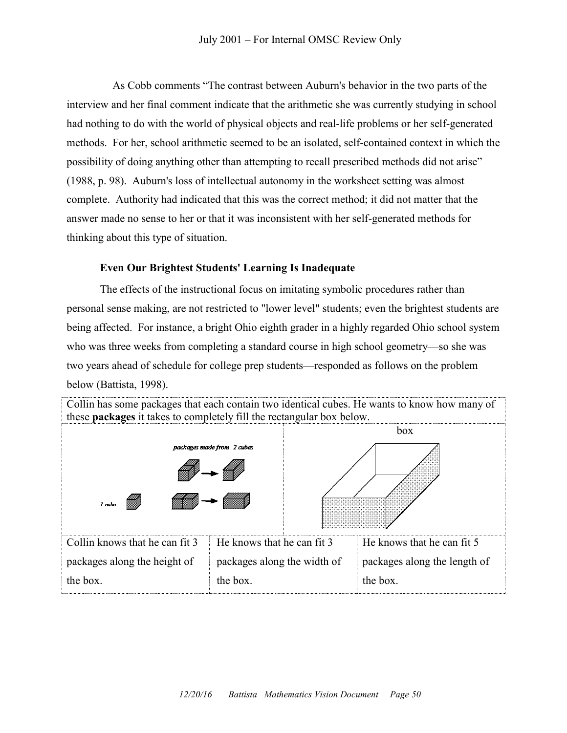As Cobb comments "The contrast between Auburn's behavior in the two parts of the interview and her final comment indicate that the arithmetic she was currently studying in school had nothing to do with the world of physical objects and real-life problems or her self-generated methods. For her, school arithmetic seemed to be an isolated, self-contained context in which the possibility of doing anything other than attempting to recall prescribed methods did not arise" (1988, p. 98). Auburn's loss of intellectual autonomy in the worksheet setting was almost complete. Authority had indicated that this was the correct method; it did not matter that the answer made no sense to her or that it was inconsistent with her self-generated methods for thinking about this type of situation.

# **Even Our Brightest Students' Learning Is Inadequate**

The effects of the instructional focus on imitating symbolic procedures rather than personal sense making, are not restricted to "lower level" students; even the brightest students are being affected. For instance, a bright Ohio eighth grader in a highly regarded Ohio school system who was three weeks from completing a standard course in high school geometry—so she was two years ahead of schedule for college prep students—responded as follows on the problem below (Battista, 1998).

| Collin has some packages that each contain two identical cubes. He wants to know how many of<br>these packages it takes to completely fill the rectangular box below. |                                         |     |                                          |  |
|-----------------------------------------------------------------------------------------------------------------------------------------------------------------------|-----------------------------------------|-----|------------------------------------------|--|
| packages made from 2 cubes<br><i>I</i> cube                                                                                                                           |                                         | box |                                          |  |
| Collin knows that he can fit 3                                                                                                                                        | He knows that he can fit 3              |     | He knows that he can fit 5               |  |
| packages along the height of<br>the box.                                                                                                                              | packages along the width of<br>the box. |     | packages along the length of<br>the box. |  |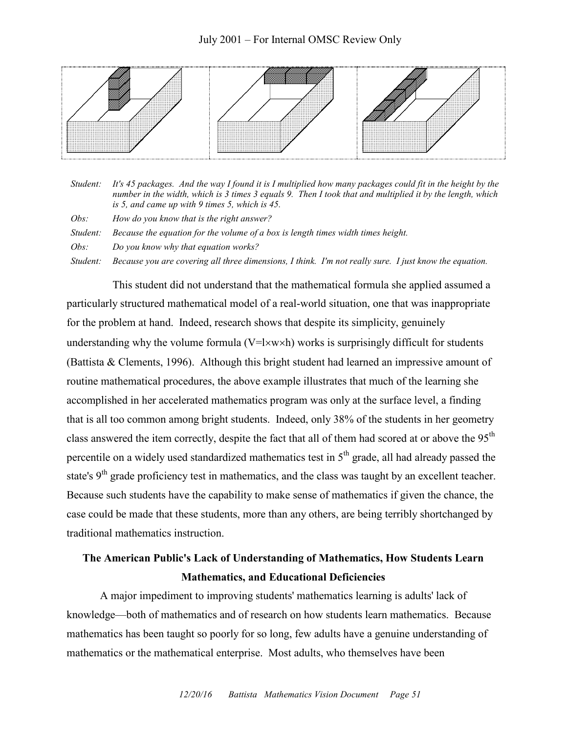### July 2001 – For Internal OMSC Review Only



| Student: | It's 45 packages. And the way I found it is I multiplied how many packages could fit in the height by the<br>number in the width, which is 3 times 3 equals 9. Then I took that and multiplied it by the length, which<br>is 5, and came up with 9 times 5, which is $45$ . |  |  |
|----------|-----------------------------------------------------------------------------------------------------------------------------------------------------------------------------------------------------------------------------------------------------------------------------|--|--|
| Obs:     | How do you know that is the right answer?                                                                                                                                                                                                                                   |  |  |
| Student: | Because the equation for the volume of a box is length times width times height.                                                                                                                                                                                            |  |  |
| Obs:     | Do you know why that equation works?                                                                                                                                                                                                                                        |  |  |
| Student: | Because you are covering all three dimensions, I think. I'm not really sure. I just know the equation.                                                                                                                                                                      |  |  |

This student did not understand that the mathematical formula she applied assumed a particularly structured mathematical model of a real-world situation, one that was inappropriate for the problem at hand. Indeed, research shows that despite its simplicity, genuinely understanding why the volume formula  $(V=1\times w\times h)$  works is surprisingly difficult for students (Battista & Clements, 1996). Although this bright student had learned an impressive amount of routine mathematical procedures, the above example illustrates that much of the learning she accomplished in her accelerated mathematics program was only at the surface level, a finding that is all too common among bright students. Indeed, only 38% of the students in her geometry class answered the item correctly, despite the fact that all of them had scored at or above the 95<sup>th</sup> percentile on a widely used standardized mathematics test in  $5<sup>th</sup>$  grade, all had already passed the state's 9<sup>th</sup> grade proficiency test in mathematics, and the class was taught by an excellent teacher. Because such students have the capability to make sense of mathematics if given the chance, the case could be made that these students, more than any others, are being terribly shortchanged by traditional mathematics instruction.

# **The American Public's Lack of Understanding of Mathematics, How Students Learn Mathematics, and Educational Deficiencies**

A major impediment to improving students' mathematics learning is adults' lack of knowledge—both of mathematics and of research on how students learn mathematics. Because mathematics has been taught so poorly for so long, few adults have a genuine understanding of mathematics or the mathematical enterprise. Most adults, who themselves have been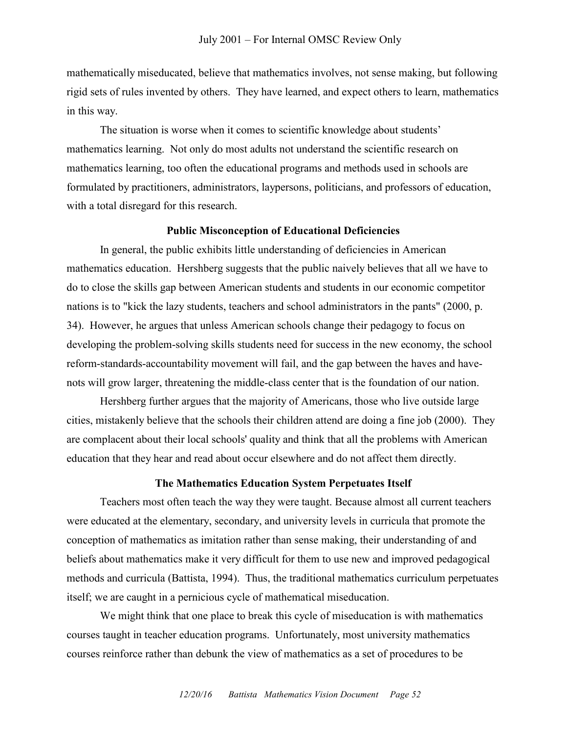mathematically miseducated, believe that mathematics involves, not sense making, but following rigid sets of rules invented by others. They have learned, and expect others to learn, mathematics in this way.

The situation is worse when it comes to scientific knowledge about students' mathematics learning. Not only do most adults not understand the scientific research on mathematics learning, too often the educational programs and methods used in schools are formulated by practitioners, administrators, laypersons, politicians, and professors of education, with a total disregard for this research.

### **Public Misconception of Educational Deficiencies**

In general, the public exhibits little understanding of deficiencies in American mathematics education. Hershberg suggests that the public naively believes that all we have to do to close the skills gap between American students and students in our economic competitor nations is to "kick the lazy students, teachers and school administrators in the pants" (2000, p. 34). However, he argues that unless American schools change their pedagogy to focus on developing the problem-solving skills students need for success in the new economy, the school reform-standards-accountability movement will fail, and the gap between the haves and havenots will grow larger, threatening the middle-class center that is the foundation of our nation.

Hershberg further argues that the majority of Americans, those who live outside large cities, mistakenly believe that the schools their children attend are doing a fine job (2000). They are complacent about their local schools' quality and think that all the problems with American education that they hear and read about occur elsewhere and do not affect them directly.

### **The Mathematics Education System Perpetuates Itself**

Teachers most often teach the way they were taught. Because almost all current teachers were educated at the elementary, secondary, and university levels in curricula that promote the conception of mathematics as imitation rather than sense making, their understanding of and beliefs about mathematics make it very difficult for them to use new and improved pedagogical methods and curricula (Battista, 1994). Thus, the traditional mathematics curriculum perpetuates itself; we are caught in a pernicious cycle of mathematical miseducation.

We might think that one place to break this cycle of miseducation is with mathematics courses taught in teacher education programs. Unfortunately, most university mathematics courses reinforce rather than debunk the view of mathematics as a set of procedures to be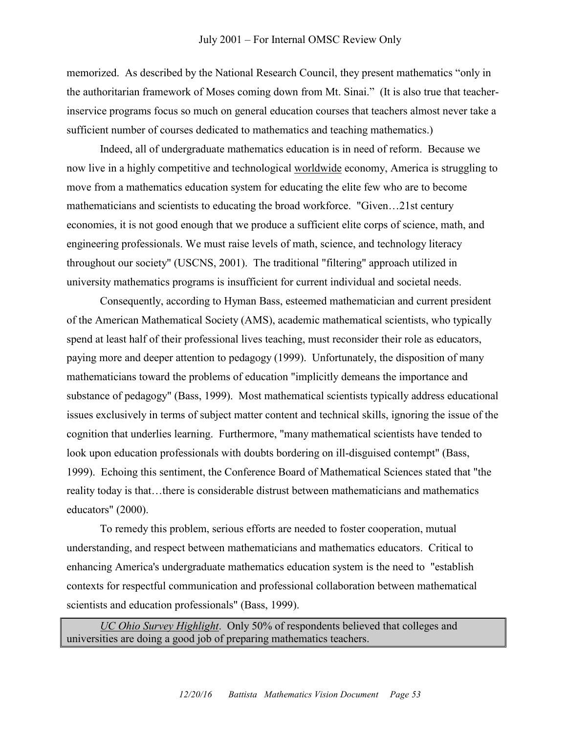memorized. As described by the National Research Council, they present mathematics "only in the authoritarian framework of Moses coming down from Mt. Sinai." (It is also true that teacherinservice programs focus so much on general education courses that teachers almost never take a sufficient number of courses dedicated to mathematics and teaching mathematics.)

Indeed, all of undergraduate mathematics education is in need of reform. Because we now live in a highly competitive and technological worldwide economy, America is struggling to move from a mathematics education system for educating the elite few who are to become mathematicians and scientists to educating the broad workforce. "Given…21st century economies, it is not good enough that we produce a sufficient elite corps of science, math, and engineering professionals. We must raise levels of math, science, and technology literacy throughout our society" (USCNS, 2001). The traditional "filtering" approach utilized in university mathematics programs is insufficient for current individual and societal needs.

Consequently, according to Hyman Bass, esteemed mathematician and current president of the American Mathematical Society (AMS), academic mathematical scientists, who typically spend at least half of their professional lives teaching, must reconsider their role as educators, paying more and deeper attention to pedagogy (1999). Unfortunately, the disposition of many mathematicians toward the problems of education "implicitly demeans the importance and substance of pedagogy" (Bass, 1999). Most mathematical scientists typically address educational issues exclusively in terms of subject matter content and technical skills, ignoring the issue of the cognition that underlies learning. Furthermore, "many mathematical scientists have tended to look upon education professionals with doubts bordering on ill-disguised contempt" (Bass, 1999). Echoing this sentiment, the Conference Board of Mathematical Sciences stated that "the reality today is that…there is considerable distrust between mathematicians and mathematics educators" (2000).

To remedy this problem, serious efforts are needed to foster cooperation, mutual understanding, and respect between mathematicians and mathematics educators. Critical to enhancing America's undergraduate mathematics education system is the need to "establish contexts for respectful communication and professional collaboration between mathematical scientists and education professionals" (Bass, 1999).

*UC Ohio Survey Highlight*. Only 50% of respondents believed that colleges and universities are doing a good job of preparing mathematics teachers.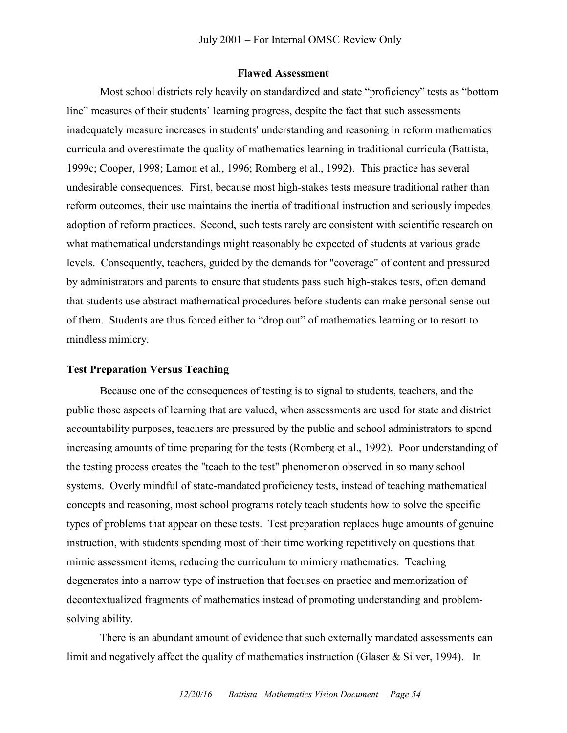#### **Flawed Assessment**

Most school districts rely heavily on standardized and state "proficiency" tests as "bottom line" measures of their students' learning progress, despite the fact that such assessments inadequately measure increases in students' understanding and reasoning in reform mathematics curricula and overestimate the quality of mathematics learning in traditional curricula (Battista, 1999c; Cooper, 1998; Lamon et al., 1996; Romberg et al., 1992). This practice has several undesirable consequences. First, because most high-stakes tests measure traditional rather than reform outcomes, their use maintains the inertia of traditional instruction and seriously impedes adoption of reform practices. Second, such tests rarely are consistent with scientific research on what mathematical understandings might reasonably be expected of students at various grade levels. Consequently, teachers, guided by the demands for "coverage" of content and pressured by administrators and parents to ensure that students pass such high-stakes tests, often demand that students use abstract mathematical procedures before students can make personal sense out of them. Students are thus forced either to "drop out" of mathematics learning or to resort to mindless mimicry.

#### **Test Preparation Versus Teaching**

Because one of the consequences of testing is to signal to students, teachers, and the public those aspects of learning that are valued, when assessments are used for state and district accountability purposes, teachers are pressured by the public and school administrators to spend increasing amounts of time preparing for the tests (Romberg et al., 1992). Poor understanding of the testing process creates the "teach to the test" phenomenon observed in so many school systems. Overly mindful of state-mandated proficiency tests, instead of teaching mathematical concepts and reasoning, most school programs rotely teach students how to solve the specific types of problems that appear on these tests. Test preparation replaces huge amounts of genuine instruction, with students spending most of their time working repetitively on questions that mimic assessment items, reducing the curriculum to mimicry mathematics. Teaching degenerates into a narrow type of instruction that focuses on practice and memorization of decontextualized fragments of mathematics instead of promoting understanding and problemsolving ability.

There is an abundant amount of evidence that such externally mandated assessments can limit and negatively affect the quality of mathematics instruction (Glaser & Silver, 1994). In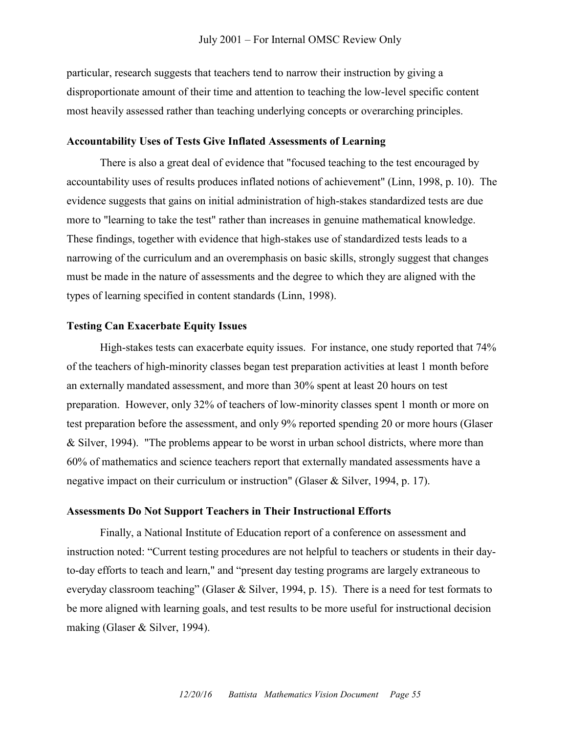particular, research suggests that teachers tend to narrow their instruction by giving a disproportionate amount of their time and attention to teaching the low-level specific content most heavily assessed rather than teaching underlying concepts or overarching principles.

#### **Accountability Uses of Tests Give Inflated Assessments of Learning**

There is also a great deal of evidence that "focused teaching to the test encouraged by accountability uses of results produces inflated notions of achievement" (Linn, 1998, p. 10). The evidence suggests that gains on initial administration of high-stakes standardized tests are due more to "learning to take the test" rather than increases in genuine mathematical knowledge. These findings, together with evidence that high-stakes use of standardized tests leads to a narrowing of the curriculum and an overemphasis on basic skills, strongly suggest that changes must be made in the nature of assessments and the degree to which they are aligned with the types of learning specified in content standards (Linn, 1998).

#### **Testing Can Exacerbate Equity Issues**

High-stakes tests can exacerbate equity issues. For instance, one study reported that 74% of the teachers of high-minority classes began test preparation activities at least 1 month before an externally mandated assessment, and more than 30% spent at least 20 hours on test preparation. However, only 32% of teachers of low-minority classes spent 1 month or more on test preparation before the assessment, and only 9% reported spending 20 or more hours (Glaser & Silver, 1994). "The problems appear to be worst in urban school districts, where more than 60% of mathematics and science teachers report that externally mandated assessments have a negative impact on their curriculum or instruction" (Glaser & Silver, 1994, p. 17).

#### **Assessments Do Not Support Teachers in Their Instructional Efforts**

Finally, a National Institute of Education report of a conference on assessment and instruction noted: "Current testing procedures are not helpful to teachers or students in their dayto-day efforts to teach and learn," and "present day testing programs are largely extraneous to everyday classroom teaching" (Glaser & Silver, 1994, p. 15). There is a need for test formats to be more aligned with learning goals, and test results to be more useful for instructional decision making (Glaser & Silver, 1994).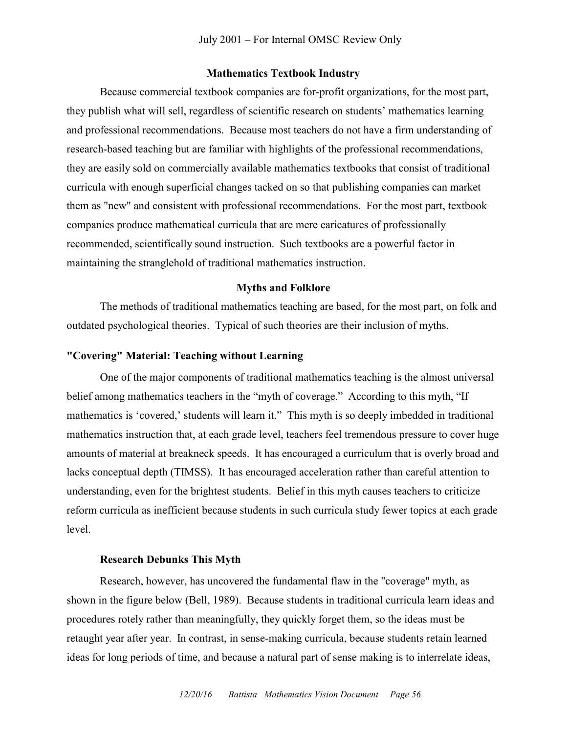#### **Mathematics Textbook Industry**

Because commercial textbook companies are for-profit organizations, for the most part, they publish what will sell, regardless of scientific research on students' mathematics learning and professional recommendations. Because most teachers do not have a firm understanding of research-based teaching but are familiar with highlights of the professional recommendations, they are easily sold on commercially available mathematics textbooks that consist of traditional curricula with enough superficial changes tacked on so that publishing companies can market them as "new" and consistent with professional recommendations. For the most part, textbook companies produce mathematical curricula that are mere caricatures of professionally recommended, scientifically sound instruction. Such textbooks are a powerful factor in maintaining the stranglehold of traditional mathematics instruction.

#### **Myths and Folklore**

The methods of traditional mathematics teaching are based, for the most part, on folk and outdated psychological theories. Typical of such theories are their inclusion of myths.

# **"Covering" Material: Teaching without Learning**

One of the major components of traditional mathematics teaching is the almost universal belief among mathematics teachers in the "myth of coverage." According to this myth, "If mathematics is 'covered,' students will learn it." This myth is so deeply imbedded in traditional mathematics instruction that, at each grade level, teachers feel tremendous pressure to cover huge amounts of material at breakneck speeds. It has encouraged a curriculum that is overly broad and lacks conceptual depth (TIMSS). It has encouraged acceleration rather than careful attention to understanding, even for the brightest students. Belief in this myth causes teachers to criticize reform curricula as inefficient because students in such curricula study fewer topics at each grade level.

#### **Research Debunks This Myth**

Research, however, has uncovered the fundamental flaw in the "coverage" myth, as shown in the figure below (Bell, 1989). Because students in traditional curricula learn ideas and procedures rotely rather than meaningfully, they quickly forget them, so the ideas must be retaught year after year. In contrast, in sense-making curricula, because students retain learned ideas for long periods of time, and because a natural part of sense making is to interrelate ideas,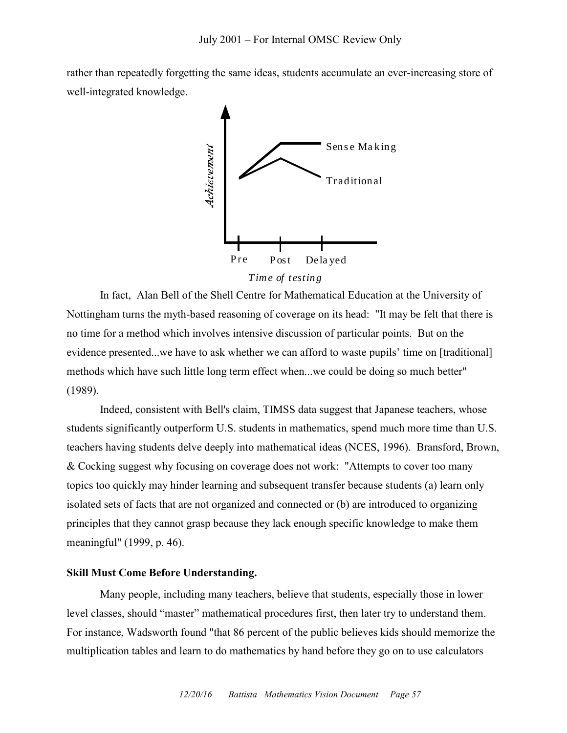rather than repeatedly forgetting the same ideas, students accumulate an ever-increasing store of well-integrated knowledge.



In fact, Alan Bell of the Shell Centre for Mathematical Education at the University of Nottingham turns the myth-based reasoning of coverage on its head: "It may be felt that there is no time for a method which involves intensive discussion of particular points. But on the evidence presented...we have to ask whether we can afford to waste pupils' time on [traditional] methods which have such little long term effect when...we could be doing so much better" (1989).

Indeed, consistent with Bell's claim, TIMSS data suggest that Japanese teachers, whose students significantly outperform U.S. students in mathematics, spend much more time than U.S. teachers having students delve deeply into mathematical ideas (NCES, 1996). Bransford, Brown, & Cocking suggest why focusing on coverage does not work: "Attempts to cover too many topics too quickly may hinder learning and subsequent transfer because students (a) learn only isolated sets of facts that are not organized and connected or (b) are introduced to organizing principles that they cannot grasp because they lack enough specific knowledge to make them meaningful" (1999, p. 46).

### **Skill Must Come Before Understanding.**

Many people, including many teachers, believe that students, especially those in lower level classes, should "master" mathematical procedures first, then later try to understand them. For instance, Wadsworth found "that 86 percent of the public believes kids should memorize the multiplication tables and learn to do mathematics by hand before they go on to use calculators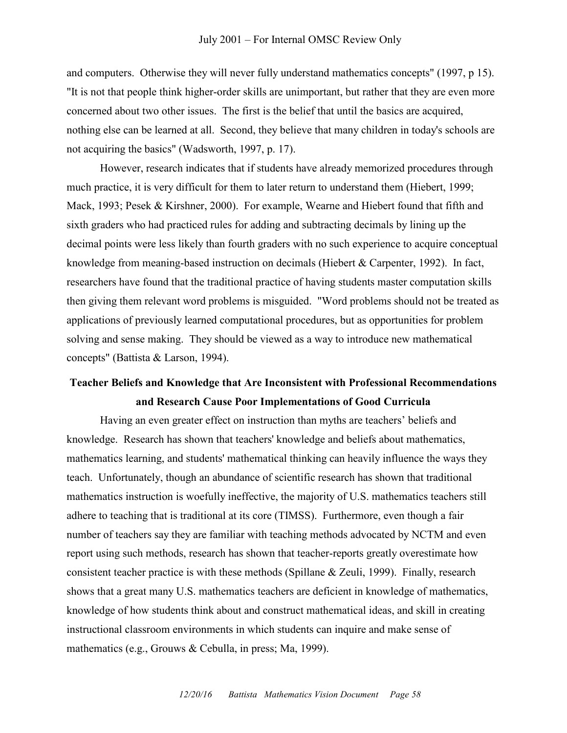and computers. Otherwise they will never fully understand mathematics concepts" (1997, p 15). "It is not that people think higher-order skills are unimportant, but rather that they are even more concerned about two other issues. The first is the belief that until the basics are acquired, nothing else can be learned at all. Second, they believe that many children in today's schools are not acquiring the basics" (Wadsworth, 1997, p. 17).

However, research indicates that if students have already memorized procedures through much practice, it is very difficult for them to later return to understand them (Hiebert, 1999; Mack, 1993; Pesek & Kirshner, 2000). For example, Wearne and Hiebert found that fifth and sixth graders who had practiced rules for adding and subtracting decimals by lining up the decimal points were less likely than fourth graders with no such experience to acquire conceptual knowledge from meaning-based instruction on decimals (Hiebert & Carpenter, 1992). In fact, researchers have found that the traditional practice of having students master computation skills then giving them relevant word problems is misguided. "Word problems should not be treated as applications of previously learned computational procedures, but as opportunities for problem solving and sense making. They should be viewed as a way to introduce new mathematical concepts" (Battista & Larson, 1994).

# **Teacher Beliefs and Knowledge that Are Inconsistent with Professional Recommendations and Research Cause Poor Implementations of Good Curricula**

Having an even greater effect on instruction than myths are teachers' beliefs and knowledge. Research has shown that teachers' knowledge and beliefs about mathematics, mathematics learning, and students' mathematical thinking can heavily influence the ways they teach. Unfortunately, though an abundance of scientific research has shown that traditional mathematics instruction is woefully ineffective, the majority of U.S. mathematics teachers still adhere to teaching that is traditional at its core (TIMSS). Furthermore, even though a fair number of teachers say they are familiar with teaching methods advocated by NCTM and even report using such methods, research has shown that teacher-reports greatly overestimate how consistent teacher practice is with these methods (Spillane & Zeuli, 1999). Finally, research shows that a great many U.S. mathematics teachers are deficient in knowledge of mathematics, knowledge of how students think about and construct mathematical ideas, and skill in creating instructional classroom environments in which students can inquire and make sense of mathematics (e.g., Grouws & Cebulla, in press; Ma, 1999).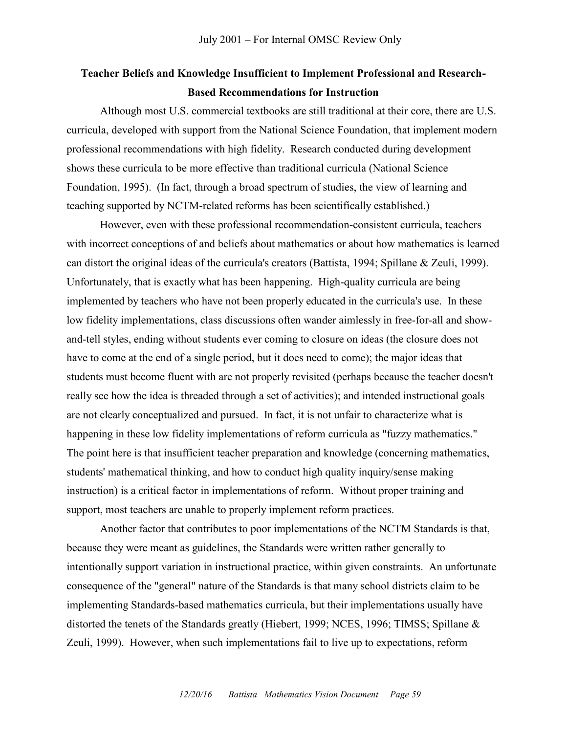# **Teacher Beliefs and Knowledge Insufficient to Implement Professional and Research-Based Recommendations for Instruction**

Although most U.S. commercial textbooks are still traditional at their core, there are U.S. curricula, developed with support from the National Science Foundation, that implement modern professional recommendations with high fidelity. Research conducted during development shows these curricula to be more effective than traditional curricula (National Science Foundation, 1995). (In fact, through a broad spectrum of studies, the view of learning and teaching supported by NCTM-related reforms has been scientifically established.)

However, even with these professional recommendation-consistent curricula, teachers with incorrect conceptions of and beliefs about mathematics or about how mathematics is learned can distort the original ideas of the curricula's creators (Battista, 1994; Spillane & Zeuli, 1999). Unfortunately, that is exactly what has been happening. High-quality curricula are being implemented by teachers who have not been properly educated in the curricula's use. In these low fidelity implementations, class discussions often wander aimlessly in free-for-all and showand-tell styles, ending without students ever coming to closure on ideas (the closure does not have to come at the end of a single period, but it does need to come); the major ideas that students must become fluent with are not properly revisited (perhaps because the teacher doesn't really see how the idea is threaded through a set of activities); and intended instructional goals are not clearly conceptualized and pursued. In fact, it is not unfair to characterize what is happening in these low fidelity implementations of reform curricula as "fuzzy mathematics." The point here is that insufficient teacher preparation and knowledge (concerning mathematics, students' mathematical thinking, and how to conduct high quality inquiry/sense making instruction) is a critical factor in implementations of reform. Without proper training and support, most teachers are unable to properly implement reform practices.

Another factor that contributes to poor implementations of the NCTM Standards is that, because they were meant as guidelines, the Standards were written rather generally to intentionally support variation in instructional practice, within given constraints. An unfortunate consequence of the "general" nature of the Standards is that many school districts claim to be implementing Standards-based mathematics curricula, but their implementations usually have distorted the tenets of the Standards greatly (Hiebert, 1999; NCES, 1996; TIMSS; Spillane & Zeuli, 1999). However, when such implementations fail to live up to expectations, reform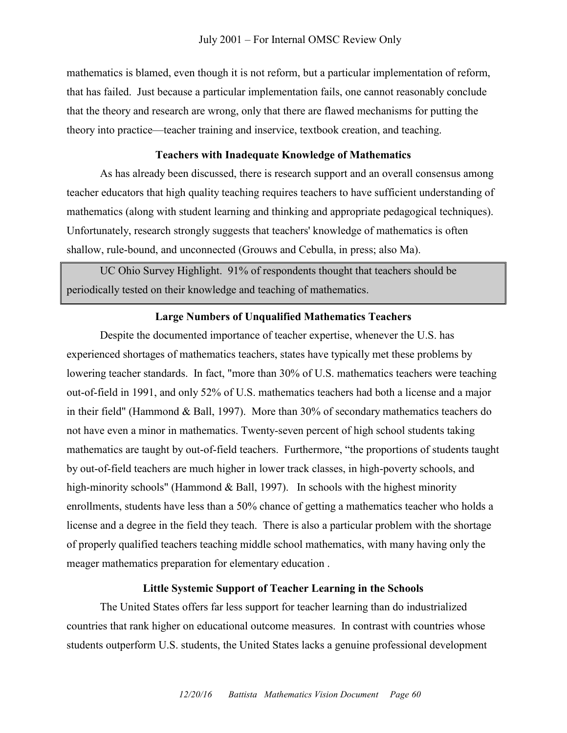mathematics is blamed, even though it is not reform, but a particular implementation of reform, that has failed. Just because a particular implementation fails, one cannot reasonably conclude that the theory and research are wrong, only that there are flawed mechanisms for putting the theory into practice—teacher training and inservice, textbook creation, and teaching.

### **Teachers with Inadequate Knowledge of Mathematics**

As has already been discussed, there is research support and an overall consensus among teacher educators that high quality teaching requires teachers to have sufficient understanding of mathematics (along with student learning and thinking and appropriate pedagogical techniques). Unfortunately, research strongly suggests that teachers' knowledge of mathematics is often shallow, rule-bound, and unconnected (Grouws and Cebulla, in press; also Ma).

UC Ohio Survey Highlight. 91% of respondents thought that teachers should be periodically tested on their knowledge and teaching of mathematics.

### **Large Numbers of Unqualified Mathematics Teachers**

Despite the documented importance of teacher expertise, whenever the U.S. has experienced shortages of mathematics teachers, states have typically met these problems by lowering teacher standards. In fact, "more than 30% of U.S. mathematics teachers were teaching out-of-field in 1991, and only 52% of U.S. mathematics teachers had both a license and a major in their field" (Hammond & Ball, 1997). More than 30% of secondary mathematics teachers do not have even a minor in mathematics. Twenty-seven percent of high school students taking mathematics are taught by out-of-field teachers. Furthermore, "the proportions of students taught by out-of-field teachers are much higher in lower track classes, in high-poverty schools, and high-minority schools" (Hammond & Ball, 1997). In schools with the highest minority enrollments, students have less than a 50% chance of getting a mathematics teacher who holds a license and a degree in the field they teach. There is also a particular problem with the shortage of properly qualified teachers teaching middle school mathematics, with many having only the meager mathematics preparation for elementary education .

#### **Little Systemic Support of Teacher Learning in the Schools**

The United States offers far less support for teacher learning than do industrialized countries that rank higher on educational outcome measures. In contrast with countries whose students outperform U.S. students, the United States lacks a genuine professional development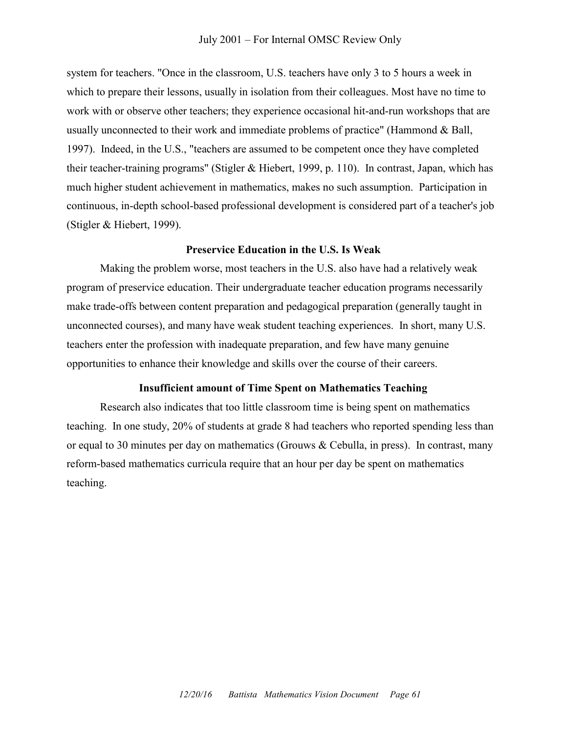#### July 2001 – For Internal OMSC Review Only

system for teachers. "Once in the classroom, U.S. teachers have only 3 to 5 hours a week in which to prepare their lessons, usually in isolation from their colleagues. Most have no time to work with or observe other teachers; they experience occasional hit-and-run workshops that are usually unconnected to their work and immediate problems of practice" (Hammond  $\&$  Ball, 1997). Indeed, in the U.S., "teachers are assumed to be competent once they have completed their teacher-training programs" (Stigler & Hiebert, 1999, p. 110). In contrast, Japan, which has much higher student achievement in mathematics, makes no such assumption. Participation in continuous, in-depth school-based professional development is considered part of a teacher's job (Stigler & Hiebert, 1999).

#### **Preservice Education in the U.S. Is Weak**

Making the problem worse, most teachers in the U.S. also have had a relatively weak program of preservice education. Their undergraduate teacher education programs necessarily make trade-offs between content preparation and pedagogical preparation (generally taught in unconnected courses), and many have weak student teaching experiences. In short, many U.S. teachers enter the profession with inadequate preparation, and few have many genuine opportunities to enhance their knowledge and skills over the course of their careers.

### **Insufficient amount of Time Spent on Mathematics Teaching**

Research also indicates that too little classroom time is being spent on mathematics teaching. In one study, 20% of students at grade 8 had teachers who reported spending less than or equal to 30 minutes per day on mathematics (Grouws & Cebulla, in press). In contrast, many reform-based mathematics curricula require that an hour per day be spent on mathematics teaching.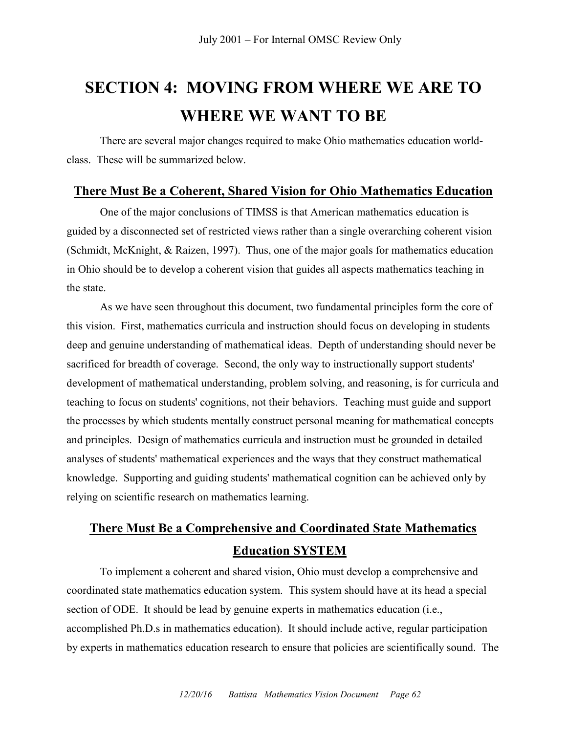# **SECTION 4: MOVING FROM WHERE WE ARE TO WHERE WE WANT TO BE**

There are several major changes required to make Ohio mathematics education worldclass. These will be summarized below.

# **There Must Be a Coherent, Shared Vision for Ohio Mathematics Education**

One of the major conclusions of TIMSS is that American mathematics education is guided by a disconnected set of restricted views rather than a single overarching coherent vision (Schmidt, McKnight, & Raizen, 1997). Thus, one of the major goals for mathematics education in Ohio should be to develop a coherent vision that guides all aspects mathematics teaching in the state.

As we have seen throughout this document, two fundamental principles form the core of this vision. First, mathematics curricula and instruction should focus on developing in students deep and genuine understanding of mathematical ideas. Depth of understanding should never be sacrificed for breadth of coverage. Second, the only way to instructionally support students' development of mathematical understanding, problem solving, and reasoning, is for curricula and teaching to focus on students' cognitions, not their behaviors. Teaching must guide and support the processes by which students mentally construct personal meaning for mathematical concepts and principles. Design of mathematics curricula and instruction must be grounded in detailed analyses of students' mathematical experiences and the ways that they construct mathematical knowledge. Supporting and guiding students' mathematical cognition can be achieved only by relying on scientific research on mathematics learning.

# **There Must Be a Comprehensive and Coordinated State Mathematics Education SYSTEM**

To implement a coherent and shared vision, Ohio must develop a comprehensive and coordinated state mathematics education system. This system should have at its head a special section of ODE. It should be lead by genuine experts in mathematics education (i.e., accomplished Ph.D.s in mathematics education). It should include active, regular participation by experts in mathematics education research to ensure that policies are scientifically sound. The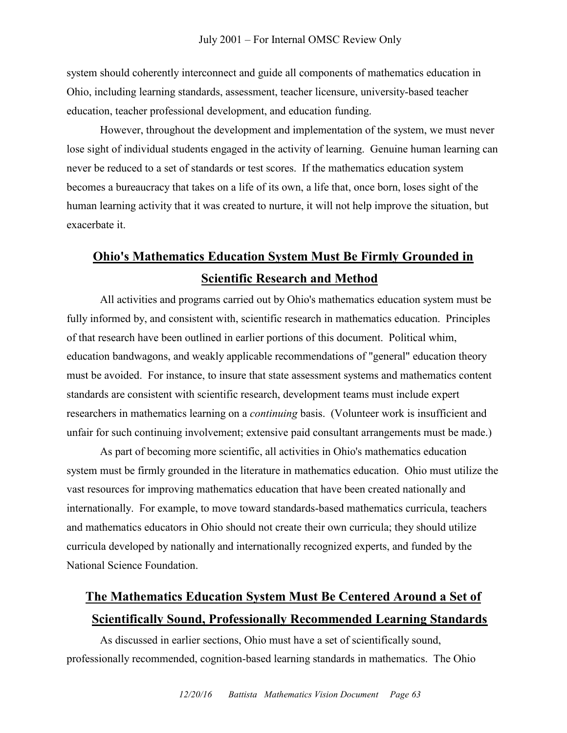system should coherently interconnect and guide all components of mathematics education in Ohio, including learning standards, assessment, teacher licensure, university-based teacher education, teacher professional development, and education funding.

However, throughout the development and implementation of the system, we must never lose sight of individual students engaged in the activity of learning. Genuine human learning can never be reduced to a set of standards or test scores. If the mathematics education system becomes a bureaucracy that takes on a life of its own, a life that, once born, loses sight of the human learning activity that it was created to nurture, it will not help improve the situation, but exacerbate it.

# **Ohio's Mathematics Education System Must Be Firmly Grounded in Scientific Research and Method**

All activities and programs carried out by Ohio's mathematics education system must be fully informed by, and consistent with, scientific research in mathematics education. Principles of that research have been outlined in earlier portions of this document. Political whim, education bandwagons, and weakly applicable recommendations of "general" education theory must be avoided. For instance, to insure that state assessment systems and mathematics content standards are consistent with scientific research, development teams must include expert researchers in mathematics learning on a *continuing* basis. (Volunteer work is insufficient and unfair for such continuing involvement; extensive paid consultant arrangements must be made.)

As part of becoming more scientific, all activities in Ohio's mathematics education system must be firmly grounded in the literature in mathematics education. Ohio must utilize the vast resources for improving mathematics education that have been created nationally and internationally. For example, to move toward standards-based mathematics curricula, teachers and mathematics educators in Ohio should not create their own curricula; they should utilize curricula developed by nationally and internationally recognized experts, and funded by the National Science Foundation.

# **The Mathematics Education System Must Be Centered Around a Set of Scientifically Sound, Professionally Recommended Learning Standards**

As discussed in earlier sections, Ohio must have a set of scientifically sound, professionally recommended, cognition-based learning standards in mathematics. The Ohio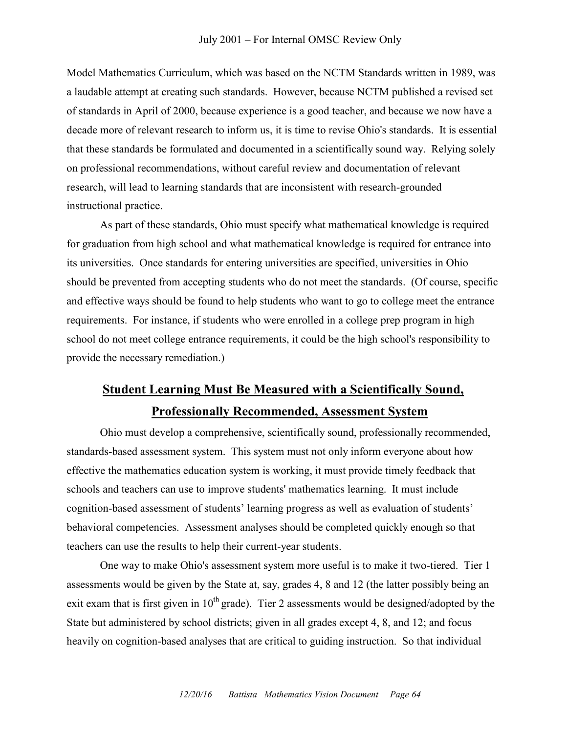Model Mathematics Curriculum, which was based on the NCTM Standards written in 1989, was a laudable attempt at creating such standards. However, because NCTM published a revised set of standards in April of 2000, because experience is a good teacher, and because we now have a decade more of relevant research to inform us, it is time to revise Ohio's standards. It is essential that these standards be formulated and documented in a scientifically sound way. Relying solely on professional recommendations, without careful review and documentation of relevant research, will lead to learning standards that are inconsistent with research-grounded instructional practice.

As part of these standards, Ohio must specify what mathematical knowledge is required for graduation from high school and what mathematical knowledge is required for entrance into its universities. Once standards for entering universities are specified, universities in Ohio should be prevented from accepting students who do not meet the standards. (Of course, specific and effective ways should be found to help students who want to go to college meet the entrance requirements. For instance, if students who were enrolled in a college prep program in high school do not meet college entrance requirements, it could be the high school's responsibility to provide the necessary remediation.)

# **Student Learning Must Be Measured with a Scientifically Sound, Professionally Recommended, Assessment System**

Ohio must develop a comprehensive, scientifically sound, professionally recommended, standards-based assessment system. This system must not only inform everyone about how effective the mathematics education system is working, it must provide timely feedback that schools and teachers can use to improve students' mathematics learning. It must include cognition-based assessment of students' learning progress as well as evaluation of students' behavioral competencies. Assessment analyses should be completed quickly enough so that teachers can use the results to help their current-year students.

One way to make Ohio's assessment system more useful is to make it two-tiered. Tier 1 assessments would be given by the State at, say, grades 4, 8 and 12 (the latter possibly being an exit exam that is first given in  $10^{th}$  grade). Tier 2 assessments would be designed/adopted by the State but administered by school districts; given in all grades except 4, 8, and 12; and focus heavily on cognition-based analyses that are critical to guiding instruction. So that individual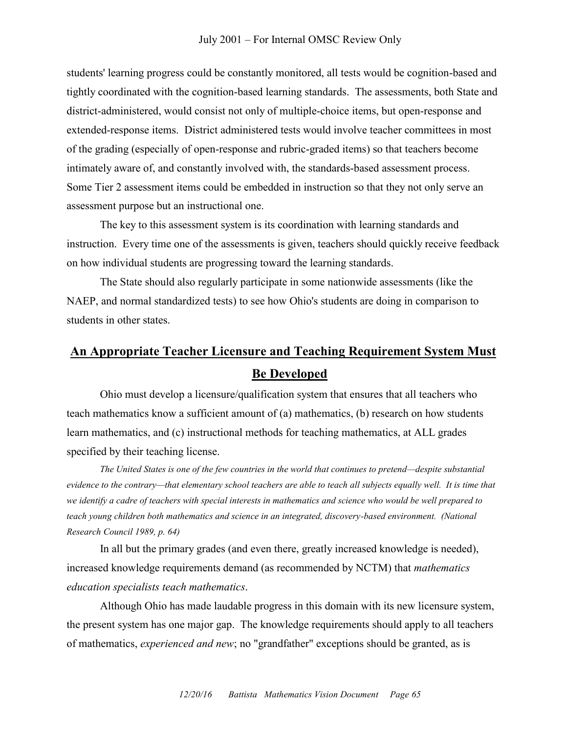students' learning progress could be constantly monitored, all tests would be cognition-based and tightly coordinated with the cognition-based learning standards. The assessments, both State and district-administered, would consist not only of multiple-choice items, but open-response and extended-response items. District administered tests would involve teacher committees in most of the grading (especially of open-response and rubric-graded items) so that teachers become intimately aware of, and constantly involved with, the standards-based assessment process. Some Tier 2 assessment items could be embedded in instruction so that they not only serve an assessment purpose but an instructional one.

The key to this assessment system is its coordination with learning standards and instruction. Every time one of the assessments is given, teachers should quickly receive feedback on how individual students are progressing toward the learning standards.

The State should also regularly participate in some nationwide assessments (like the NAEP, and normal standardized tests) to see how Ohio's students are doing in comparison to students in other states.

# **An Appropriate Teacher Licensure and Teaching Requirement System Must Be Developed**

Ohio must develop a licensure/qualification system that ensures that all teachers who teach mathematics know a sufficient amount of (a) mathematics, (b) research on how students learn mathematics, and (c) instructional methods for teaching mathematics, at ALL grades specified by their teaching license.

*The United States is one of the few countries in the world that continues to pretend—despite substantial evidence to the contrary—that elementary school teachers are able to teach all subjects equally well. It is time that we identify a cadre of teachers with special interests in mathematics and science who would be well prepared to teach young children both mathematics and science in an integrated, discovery-based environment. (National Research Council 1989, p. 64)*

In all but the primary grades (and even there, greatly increased knowledge is needed), increased knowledge requirements demand (as recommended by NCTM) that *mathematics education specialists teach mathematics*.

Although Ohio has made laudable progress in this domain with its new licensure system, the present system has one major gap. The knowledge requirements should apply to all teachers of mathematics, *experienced and new*; no "grandfather" exceptions should be granted, as is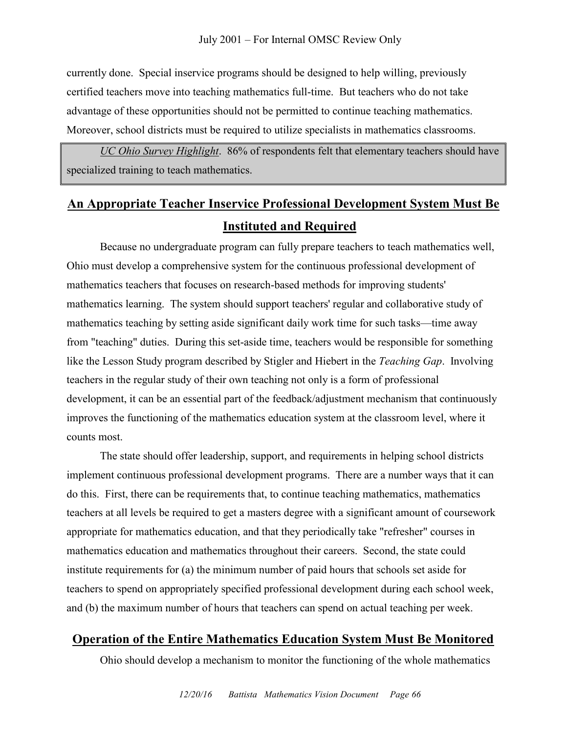currently done. Special inservice programs should be designed to help willing, previously certified teachers move into teaching mathematics full-time. But teachers who do not take advantage of these opportunities should not be permitted to continue teaching mathematics. Moreover, school districts must be required to utilize specialists in mathematics classrooms.

*UC Ohio Survey Highlight*. 86% of respondents felt that elementary teachers should have specialized training to teach mathematics.

# **An Appropriate Teacher Inservice Professional Development System Must Be Instituted and Required**

Because no undergraduate program can fully prepare teachers to teach mathematics well, Ohio must develop a comprehensive system for the continuous professional development of mathematics teachers that focuses on research-based methods for improving students' mathematics learning. The system should support teachers' regular and collaborative study of mathematics teaching by setting aside significant daily work time for such tasks—time away from "teaching" duties. During this set-aside time, teachers would be responsible for something like the Lesson Study program described by Stigler and Hiebert in the *Teaching Gap*. Involving teachers in the regular study of their own teaching not only is a form of professional development, it can be an essential part of the feedback/adjustment mechanism that continuously improves the functioning of the mathematics education system at the classroom level, where it counts most.

The state should offer leadership, support, and requirements in helping school districts implement continuous professional development programs. There are a number ways that it can do this. First, there can be requirements that, to continue teaching mathematics, mathematics teachers at all levels be required to get a masters degree with a significant amount of coursework appropriate for mathematics education, and that they periodically take "refresher" courses in mathematics education and mathematics throughout their careers. Second, the state could institute requirements for (a) the minimum number of paid hours that schools set aside for teachers to spend on appropriately specified professional development during each school week, and (b) the maximum number of hours that teachers can spend on actual teaching per week.

# **Operation of the Entire Mathematics Education System Must Be Monitored**

Ohio should develop a mechanism to monitor the functioning of the whole mathematics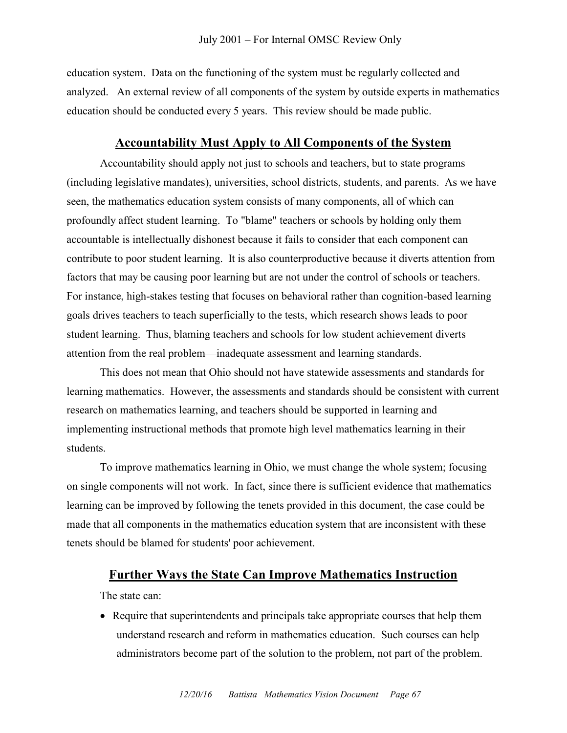education system. Data on the functioning of the system must be regularly collected and analyzed. An external review of all components of the system by outside experts in mathematics education should be conducted every 5 years. This review should be made public.

# **Accountability Must Apply to All Components of the System**

Accountability should apply not just to schools and teachers, but to state programs (including legislative mandates), universities, school districts, students, and parents. As we have seen, the mathematics education system consists of many components, all of which can profoundly affect student learning. To "blame" teachers or schools by holding only them accountable is intellectually dishonest because it fails to consider that each component can contribute to poor student learning. It is also counterproductive because it diverts attention from factors that may be causing poor learning but are not under the control of schools or teachers. For instance, high-stakes testing that focuses on behavioral rather than cognition-based learning goals drives teachers to teach superficially to the tests, which research shows leads to poor student learning. Thus, blaming teachers and schools for low student achievement diverts attention from the real problem—inadequate assessment and learning standards.

This does not mean that Ohio should not have statewide assessments and standards for learning mathematics. However, the assessments and standards should be consistent with current research on mathematics learning, and teachers should be supported in learning and implementing instructional methods that promote high level mathematics learning in their students.

To improve mathematics learning in Ohio, we must change the whole system; focusing on single components will not work. In fact, since there is sufficient evidence that mathematics learning can be improved by following the tenets provided in this document, the case could be made that all components in the mathematics education system that are inconsistent with these tenets should be blamed for students' poor achievement.

# **Further Ways the State Can Improve Mathematics Instruction**

The state can:

 Require that superintendents and principals take appropriate courses that help them understand research and reform in mathematics education. Such courses can help administrators become part of the solution to the problem, not part of the problem.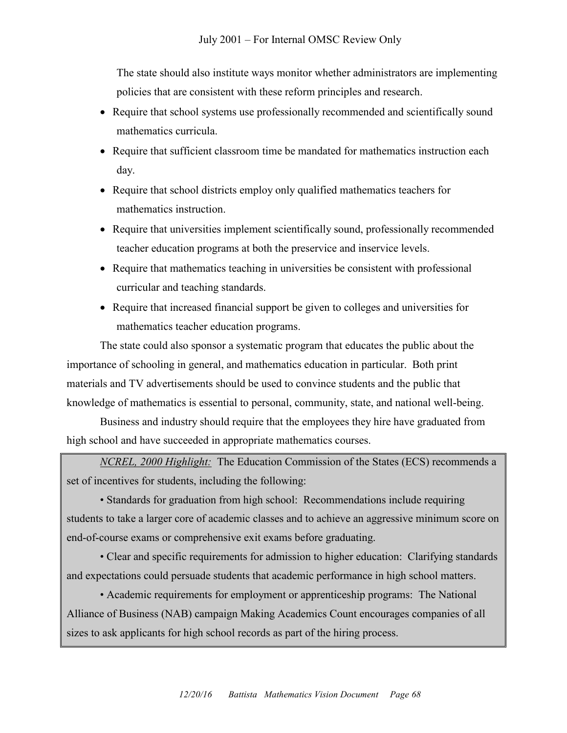The state should also institute ways monitor whether administrators are implementing policies that are consistent with these reform principles and research.

- Require that school systems use professionally recommended and scientifically sound mathematics curricula.
- Require that sufficient classroom time be mandated for mathematics instruction each day.
- Require that school districts employ only qualified mathematics teachers for mathematics instruction.
- Require that universities implement scientifically sound, professionally recommended teacher education programs at both the preservice and inservice levels.
- Require that mathematics teaching in universities be consistent with professional curricular and teaching standards.
- Require that increased financial support be given to colleges and universities for mathematics teacher education programs.

The state could also sponsor a systematic program that educates the public about the importance of schooling in general, and mathematics education in particular. Both print materials and TV advertisements should be used to convince students and the public that knowledge of mathematics is essential to personal, community, state, and national well-being.

Business and industry should require that the employees they hire have graduated from high school and have succeeded in appropriate mathematics courses.

*NCREL, 2000 Highlight:* The Education Commission of the States (ECS) recommends a set of incentives for students, including the following:

• Standards for graduation from high school: Recommendations include requiring students to take a larger core of academic classes and to achieve an aggressive minimum score on end-of-course exams or comprehensive exit exams before graduating.

• Clear and specific requirements for admission to higher education: Clarifying standards and expectations could persuade students that academic performance in high school matters.

• Academic requirements for employment or apprenticeship programs: The National Alliance of Business (NAB) campaign Making Academics Count encourages companies of all sizes to ask applicants for high school records as part of the hiring process.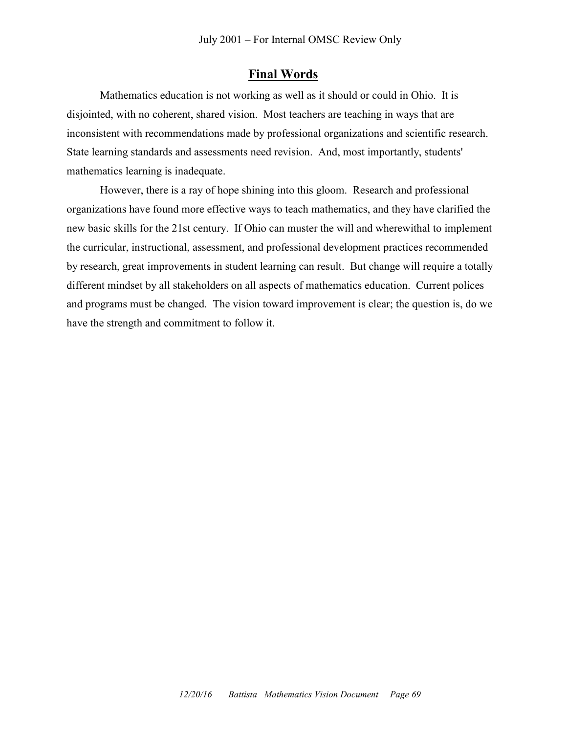### **Final Words**

Mathematics education is not working as well as it should or could in Ohio. It is disjointed, with no coherent, shared vision. Most teachers are teaching in ways that are inconsistent with recommendations made by professional organizations and scientific research. State learning standards and assessments need revision. And, most importantly, students' mathematics learning is inadequate.

However, there is a ray of hope shining into this gloom. Research and professional organizations have found more effective ways to teach mathematics, and they have clarified the new basic skills for the 21st century. If Ohio can muster the will and wherewithal to implement the curricular, instructional, assessment, and professional development practices recommended by research, great improvements in student learning can result. But change will require a totally different mindset by all stakeholders on all aspects of mathematics education. Current polices and programs must be changed. The vision toward improvement is clear; the question is, do we have the strength and commitment to follow it.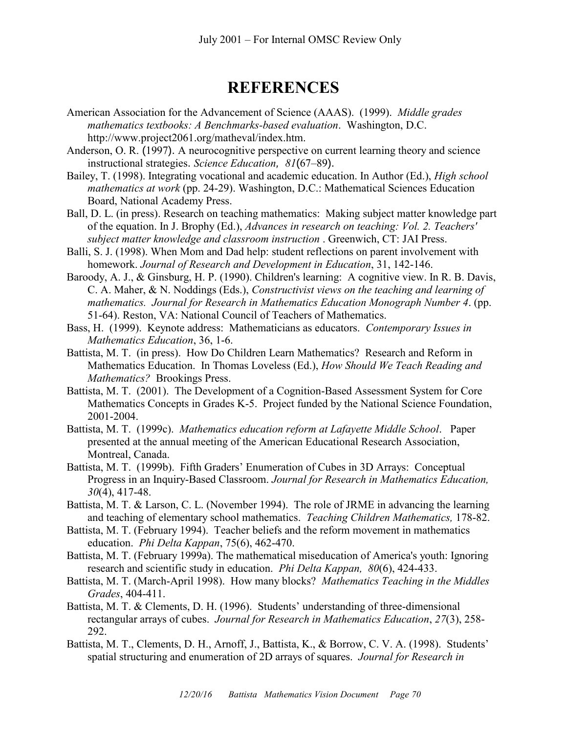# **REFERENCES**

- American Association for the Advancement of Science (AAAS). (1999). *Middle grades mathematics textbooks: A Benchmarks-based evaluation*. Washington, D.C. http://www.project2061.org/matheval/index.htm.
- Anderson, O. R. (1997). A neurocognitive perspective on current learning theory and science instructional strategies. *Science Education, 81*(67–89).
- Bailey, T. (1998). Integrating vocational and academic education. In Author (Ed.), *High school mathematics at work* (pp. 24-29). Washington, D.C.: Mathematical Sciences Education Board, National Academy Press.
- Ball, D. L. (in press). Research on teaching mathematics: Making subject matter knowledge part of the equation. In J. Brophy (Ed.), *Advances in research on teaching: Vol. 2. Teachers' subject matter knowledge and classroom instruction* . Greenwich, CT: JAI Press.
- Balli, S. J. (1998). When Mom and Dad help: student reflections on parent involvement with homework. *Journal of Research and Development in Education*, 31, 142-146.
- Baroody, A. J., & Ginsburg, H. P. (1990). Children's learning: A cognitive view. In R. B. Davis, C. A. Maher, & N. Noddings (Eds.), *Constructivist views on the teaching and learning of mathematics. Journal for Research in Mathematics Education Monograph Number 4*. (pp. 51-64). Reston, VA: National Council of Teachers of Mathematics.
- Bass, H. (1999). Keynote address: Mathematicians as educators. *Contemporary Issues in Mathematics Education*, 36, 1-6.
- Battista, M. T. (in press). How Do Children Learn Mathematics? Research and Reform in Mathematics Education. In Thomas Loveless (Ed.), *How Should We Teach Reading and Mathematics?* Brookings Press.
- Battista, M. T. (2001). The Development of a Cognition-Based Assessment System for Core Mathematics Concepts in Grades K-5. Project funded by the National Science Foundation, 2001-2004.
- Battista, M. T. (1999c). *Mathematics education reform at Lafayette Middle School*. Paper presented at the annual meeting of the American Educational Research Association, Montreal, Canada.
- Battista, M. T. (1999b). Fifth Graders' Enumeration of Cubes in 3D Arrays: Conceptual Progress in an Inquiry-Based Classroom. *Journal for Research in Mathematics Education, 30*(4), 417-48.
- Battista, M. T. & Larson, C. L. (November 1994). The role of JRME in advancing the learning and teaching of elementary school mathematics. *Teaching Children Mathematics,* 178-82.
- Battista, M. T. (February 1994). Teacher beliefs and the reform movement in mathematics education. *Phi Delta Kappan*, 75(6), 462-470.
- Battista, M. T. (February 1999a). The mathematical miseducation of America's youth: Ignoring research and scientific study in education. *Phi Delta Kappan, 80*(6), 424-433.
- Battista, M. T. (March-April 1998). How many blocks? *Mathematics Teaching in the Middles Grades*, 404-411.
- Battista, M. T. & Clements, D. H. (1996). Students' understanding of three-dimensional rectangular arrays of cubes. *Journal for Research in Mathematics Education*, *27*(3), 258- 292.
- Battista, M. T., Clements, D. H., Arnoff, J., Battista, K., & Borrow, C. V. A. (1998). Students' spatial structuring and enumeration of 2D arrays of squares. *Journal for Research in*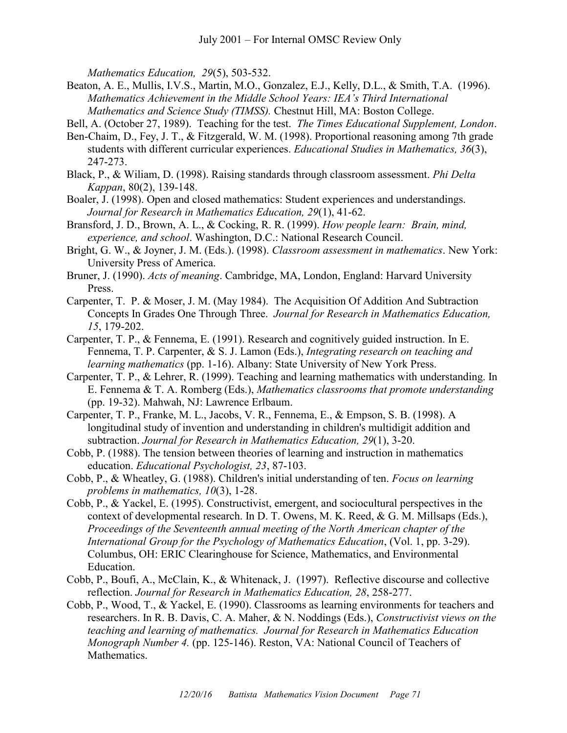*Mathematics Education, 29*(5), 503-532.

Beaton, A. E., Mullis, I.V.S., Martin, M.O., Gonzalez, E.J., Kelly, D.L., & Smith, T.A. (1996). *Mathematics Achievement in the Middle School Years: IEA's Third International Mathematics and Science Study (TIMSS).* Chestnut Hill, MA: Boston College.

Bell, A. (October 27, 1989). Teaching for the test. *The Times Educational Supplement, London*.

- Ben-Chaim, D., Fey, J. T., & Fitzgerald, W. M. (1998). Proportional reasoning among 7th grade students with different curricular experiences. *Educational Studies in Mathematics, 36*(3), 247-273.
- Black, P., & Wiliam, D. (1998). Raising standards through classroom assessment. *Phi Delta Kappan*, 80(2), 139-148.
- Boaler, J. (1998). Open and closed mathematics: Student experiences and understandings. *Journal for Research in Mathematics Education, 29*(1), 41-62.
- Bransford, J. D., Brown, A. L., & Cocking, R. R. (1999). *How people learn: Brain, mind, experience, and school*. Washington, D.C.: National Research Council.
- Bright, G. W., & Joyner, J. M. (Eds.). (1998). *Classroom assessment in mathematics*. New York: University Press of America.
- Bruner, J. (1990). *Acts of meaning*. Cambridge, MA, London, England: Harvard University Press.
- Carpenter, T. P. & Moser, J. M. (May 1984). The Acquisition Of Addition And Subtraction Concepts In Grades One Through Three. *Journal for Research in Mathematics Education, 15*, 179-202.
- Carpenter, T. P., & Fennema, E. (1991). Research and cognitively guided instruction. In E. Fennema, T. P. Carpenter, & S. J. Lamon (Eds.), *Integrating research on teaching and learning mathematics* (pp. 1-16). Albany: State University of New York Press.
- Carpenter, T. P., & Lehrer, R. (1999). Teaching and learning mathematics with understanding. In E. Fennema & T. A. Romberg (Eds.), *Mathematics classrooms that promote understanding* (pp. 19-32). Mahwah, NJ: Lawrence Erlbaum.
- Carpenter, T. P., Franke, M. L., Jacobs, V. R., Fennema, E., & Empson, S. B. (1998). A longitudinal study of invention and understanding in children's multidigit addition and subtraction. *Journal for Research in Mathematics Education, 29*(1), 3-20.
- Cobb, P. (1988). The tension between theories of learning and instruction in mathematics education. *Educational Psychologist, 23*, 87-103.
- Cobb, P., & Wheatley, G. (1988). Children's initial understanding of ten. *Focus on learning problems in mathematics, 10*(3), 1-28.
- Cobb, P., & Yackel, E. (1995). Constructivist, emergent, and sociocultural perspectives in the context of developmental research. In D. T. Owens, M. K. Reed, & G. M. Millsaps (Eds.), *Proceedings of the Seventeenth annual meeting of the North American chapter of the International Group for the Psychology of Mathematics Education*, (Vol. 1, pp. 3-29). Columbus, OH: ERIC Clearinghouse for Science, Mathematics, and Environmental Education.
- Cobb, P., Boufi, A., McClain, K., & Whitenack, J. (1997). Reflective discourse and collective reflection. *Journal for Research in Mathematics Education, 28*, 258-277.
- Cobb, P., Wood, T., & Yackel, E. (1990). Classrooms as learning environments for teachers and researchers. In R. B. Davis, C. A. Maher, & N. Noddings (Eds.), *Constructivist views on the teaching and learning of mathematics. Journal for Research in Mathematics Education Monograph Number 4.* (pp. 125-146). Reston, VA: National Council of Teachers of Mathematics.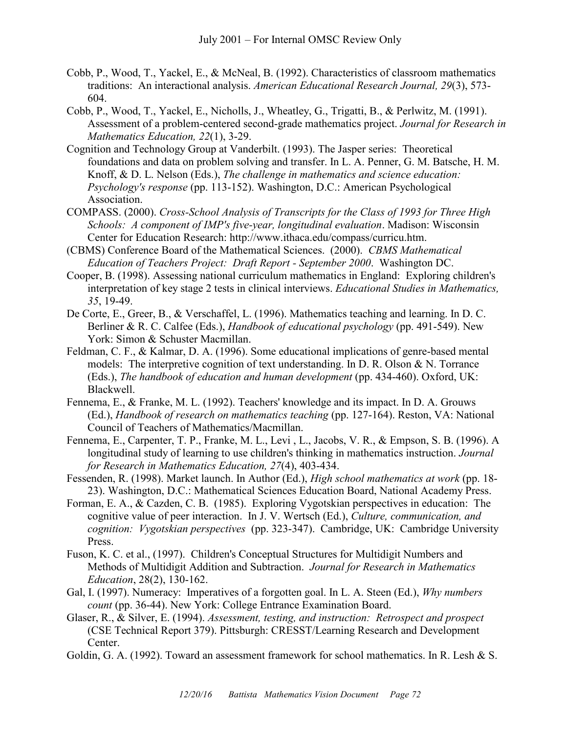- Cobb, P., Wood, T., Yackel, E., & McNeal, B. (1992). Characteristics of classroom mathematics traditions: An interactional analysis. *American Educational Research Journal, 29*(3), 573- 604.
- Cobb, P., Wood, T., Yackel, E., Nicholls, J., Wheatley, G., Trigatti, B., & Perlwitz, M. (1991). Assessment of a problem-centered second-grade mathematics project. *Journal for Research in Mathematics Education, 22*(1), 3-29.
- Cognition and Technology Group at Vanderbilt. (1993). The Jasper series: Theoretical foundations and data on problem solving and transfer. In L. A. Penner, G. M. Batsche, H. M. Knoff, & D. L. Nelson (Eds.), *The challenge in mathematics and science education: Psychology's response* (pp. 113-152). Washington, D.C.: American Psychological Association.
- COMPASS. (2000). *Cross-School Analysis of Transcripts for the Class of 1993 for Three High Schools: A component of IMP's five-year, longitudinal evaluation*. Madison: Wisconsin Center for Education Research: http://www.ithaca.edu/compass/curricu.htm.
- (CBMS) Conference Board of the Mathematical Sciences. (2000). *CBMS Mathematical Education of Teachers Project: Draft Report - September 2000*. Washington DC.
- Cooper, B. (1998). Assessing national curriculum mathematics in England: Exploring children's interpretation of key stage 2 tests in clinical interviews. *Educational Studies in Mathematics, 35*, 19-49.
- De Corte, E., Greer, B., & Verschaffel, L. (1996). Mathematics teaching and learning. In D. C. Berliner & R. C. Calfee (Eds.), *Handbook of educational psychology* (pp. 491-549). New York: Simon & Schuster Macmillan.
- Feldman, C. F., & Kalmar, D. A. (1996). Some educational implications of genre-based mental models: The interpretive cognition of text understanding. In D. R. Olson & N. Torrance (Eds.), *The handbook of education and human development* (pp. 434-460). Oxford, UK: Blackwell.
- Fennema, E., & Franke, M. L. (1992). Teachers' knowledge and its impact. In D. A. Grouws (Ed.), *Handbook of research on mathematics teaching* (pp. 127-164). Reston, VA: National Council of Teachers of Mathematics/Macmillan.
- Fennema, E., Carpenter, T. P., Franke, M. L., Levi , L., Jacobs, V. R., & Empson, S. B. (1996). A longitudinal study of learning to use children's thinking in mathematics instruction. *Journal for Research in Mathematics Education, 27*(4), 403-434.
- Fessenden, R. (1998). Market launch. In Author (Ed.), *High school mathematics at work* (pp. 18- 23). Washington, D.C.: Mathematical Sciences Education Board, National Academy Press.
- Forman, E. A., & Cazden, C. B. (1985). Exploring Vygotskian perspectives in education: The cognitive value of peer interaction. In J. V. Wertsch (Ed.), *Culture, communication, and cognition: Vygotskian perspectives* (pp. 323-347). Cambridge, UK: Cambridge University Press.
- Fuson, K. C. et al., (1997). Children's Conceptual Structures for Multidigit Numbers and Methods of Multidigit Addition and Subtraction. *Journal for Research in Mathematics Education*, 28(2), 130-162.
- Gal, I. (1997). Numeracy: Imperatives of a forgotten goal. In L. A. Steen (Ed.), *Why numbers count* (pp. 36-44). New York: College Entrance Examination Board.
- Glaser, R., & Silver, E. (1994). *Assessment, testing, and instruction: Retrospect and prospect* (CSE Technical Report 379). Pittsburgh: CRESST/Learning Research and Development Center.
- Goldin, G. A. (1992). Toward an assessment framework for school mathematics. In R. Lesh & S.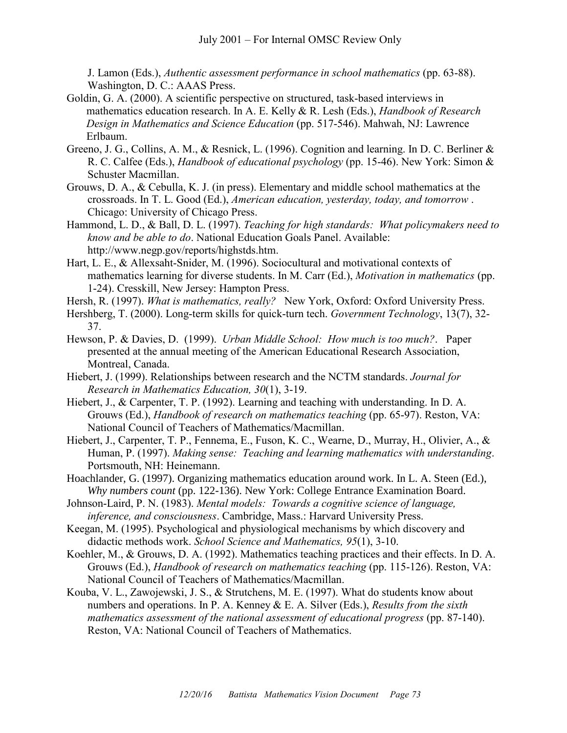J. Lamon (Eds.), *Authentic assessment performance in school mathematics* (pp. 63-88). Washington, D. C.: AAAS Press.

- Goldin, G. A. (2000). A scientific perspective on structured, task-based interviews in mathematics education research. In A. E. Kelly & R. Lesh (Eds.), *Handbook of Research Design in Mathematics and Science Education* (pp. 517-546). Mahwah, NJ: Lawrence Erlbaum.
- Greeno, J. G., Collins, A. M., & Resnick, L. (1996). Cognition and learning. In D. C. Berliner & R. C. Calfee (Eds.), *Handbook of educational psychology* (pp. 15-46). New York: Simon & Schuster Macmillan.
- Grouws, D. A., & Cebulla, K. J. (in press). Elementary and middle school mathematics at the crossroads. In T. L. Good (Ed.), *American education, yesterday, today, and tomorrow* . Chicago: University of Chicago Press.
- Hammond, L. D., & Ball, D. L. (1997). *Teaching for high standards: What policymakers need to know and be able to do*. National Education Goals Panel. Available: [http://www.negp.gov/reports/highstds.htm.](http://www.negp.gov/reports/highstds.htm)
- Hart, L. E., & Allexsaht-Snider, M. (1996). Sociocultural and motivational contexts of mathematics learning for diverse students. In M. Carr (Ed.), *Motivation in mathematics* (pp. 1-24). Cresskill, New Jersey: Hampton Press.
- Hersh, R. (1997). *What is mathematics, really?* New York, Oxford: Oxford University Press.
- Hershberg, T. (2000). Long-term skills for quick-turn tech. *Government Technology*, 13(7), 32- 37.
- Hewson, P. & Davies, D. (1999). *Urban Middle School: How much is too much?*. Paper presented at the annual meeting of the American Educational Research Association, Montreal, Canada.
- Hiebert, J. (1999). Relationships between research and the NCTM standards. *Journal for Research in Mathematics Education, 30*(1), 3-19.
- Hiebert, J., & Carpenter, T. P. (1992). Learning and teaching with understanding. In D. A. Grouws (Ed.), *Handbook of research on mathematics teaching* (pp. 65-97). Reston, VA: National Council of Teachers of Mathematics/Macmillan.
- Hiebert, J., Carpenter, T. P., Fennema, E., Fuson, K. C., Wearne, D., Murray, H., Olivier, A., & Human, P. (1997). *Making sense: Teaching and learning mathematics with understanding*. Portsmouth, NH: Heinemann.
- Hoachlander, G. (1997). Organizing mathematics education around work. In L. A. Steen (Ed.), *Why numbers count* (pp. 122-136). New York: College Entrance Examination Board.
- Johnson-Laird, P. N. (1983). *Mental models: Towards a cognitive science of language, inference, and consciousness*. Cambridge, Mass.: Harvard University Press.
- Keegan, M. (1995). Psychological and physiological mechanisms by which discovery and didactic methods work. *School Science and Mathematics, 95*(1), 3-10.
- Koehler, M., & Grouws, D. A. (1992). Mathematics teaching practices and their effects. In D. A. Grouws (Ed.), *Handbook of research on mathematics teaching* (pp. 115-126). Reston, VA: National Council of Teachers of Mathematics/Macmillan.
- Kouba, V. L., Zawojewski, J. S., & Strutchens, M. E. (1997). What do students know about numbers and operations. In P. A. Kenney & E. A. Silver (Eds.), *Results from the sixth mathematics assessment of the national assessment of educational progress* (pp. 87-140). Reston, VA: National Council of Teachers of Mathematics.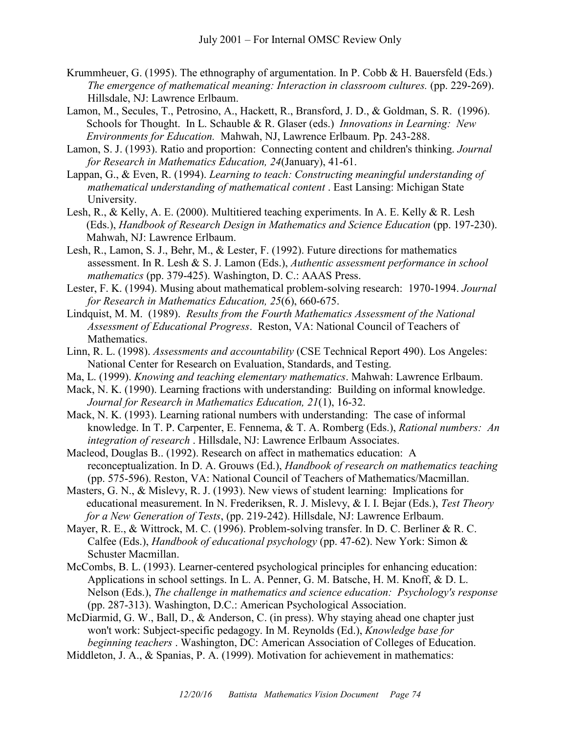- Krummheuer, G. (1995). The ethnography of argumentation. In P. Cobb & H. Bauersfeld (Eds.) *The emergence of mathematical meaning: Interaction in classroom cultures.* (pp. 229-269). Hillsdale, NJ: Lawrence Erlbaum.
- Lamon, M., Secules, T., Petrosino, A., Hackett, R., Bransford, J. D., & Goldman, S. R. (1996). Schools for Thought. In L. Schauble & R. Glaser (eds.) *Innovations in Learning: New Environments for Education.* Mahwah, NJ, Lawrence Erlbaum. Pp. 243-288.
- Lamon, S. J. (1993). Ratio and proportion: Connecting content and children's thinking. *Journal for Research in Mathematics Education, 24*(January), 41-61.
- Lappan, G., & Even, R. (1994). *Learning to teach: Constructing meaningful understanding of mathematical understanding of mathematical content* . East Lansing: Michigan State University.
- Lesh, R., & Kelly, A. E. (2000). Multitiered teaching experiments. In A. E. Kelly & R. Lesh (Eds.), *Handbook of Research Design in Mathematics and Science Education* (pp. 197-230). Mahwah, NJ: Lawrence Erlbaum.
- Lesh, R., Lamon, S. J., Behr, M., & Lester, F. (1992). Future directions for mathematics assessment. In R. Lesh & S. J. Lamon (Eds.), *Authentic assessment performance in school mathematics* (pp. 379-425). Washington, D. C.: AAAS Press.
- Lester, F. K. (1994). Musing about mathematical problem-solving research: 1970-1994. *Journal for Research in Mathematics Education, 25*(6), 660-675.
- Lindquist, M. M. (1989). *Results from the Fourth Mathematics Assessment of the National Assessment of Educational Progress*. Reston, VA: National Council of Teachers of Mathematics.
- Linn, R. L. (1998). *Assessments and accountability* (CSE Technical Report 490). Los Angeles: National Center for Research on Evaluation, Standards, and Testing.
- Ma, L. (1999). *Knowing and teaching elementary mathematics*. Mahwah: Lawrence Erlbaum.
- Mack, N. K. (1990). Learning fractions with understanding: Building on informal knowledge. *Journal for Research in Mathematics Education, 21*(1), 16-32.
- Mack, N. K. (1993). Learning rational numbers with understanding: The case of informal knowledge. In T. P. Carpenter, E. Fennema, & T. A. Romberg (Eds.), *Rational numbers: An integration of research* . Hillsdale, NJ: Lawrence Erlbaum Associates.
- Macleod, Douglas B.. (1992). Research on affect in mathematics education: A reconceptualization. In D. A. Grouws (Ed.), *Handbook of research on mathematics teaching* (pp. 575-596). Reston, VA: National Council of Teachers of Mathematics/Macmillan.
- Masters, G. N., & Mislevy, R. J. (1993). New views of student learning: Implications for educational measurement. In N. Frederiksen, R. J. Mislevy, & I. I. Bejar (Eds.), *Test Theory for a New Generation of Tests*, (pp. 219-242). Hillsdale, NJ: Lawrence Erlbaum.
- Mayer, R. E., & Wittrock, M. C. (1996). Problem-solving transfer. In D. C. Berliner & R. C. Calfee (Eds.), *Handbook of educational psychology* (pp. 47-62). New York: Simon & Schuster Macmillan.
- McCombs, B. L. (1993). Learner-centered psychological principles for enhancing education: Applications in school settings. In L. A. Penner, G. M. Batsche, H. M. Knoff, & D. L. Nelson (Eds.), *The challenge in mathematics and science education: Psychology's response* (pp. 287-313). Washington, D.C.: American Psychological Association.
- McDiarmid, G. W., Ball, D., & Anderson, C. (in press). Why staying ahead one chapter just won't work: Subject-specific pedagogy. In M. Reynolds (Ed.), *Knowledge base for beginning teachers* . Washington, DC: American Association of Colleges of Education.

Middleton, J. A., & Spanias, P. A. (1999). Motivation for achievement in mathematics: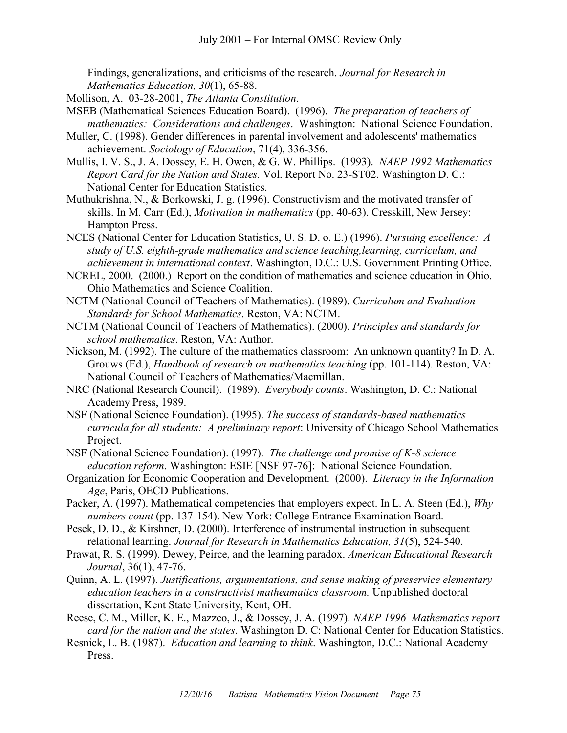Findings, generalizations, and criticisms of the research. *Journal for Research in Mathematics Education, 30*(1), 65-88.

- Mollison, A. 03-28-2001, *The Atlanta Constitution*.
- MSEB (Mathematical Sciences Education Board). (1996). *The preparation of teachers of mathematics: Considerations and challenges*. Washington: National Science Foundation.
- Muller, C. (1998). Gender differences in parental involvement and adolescents' mathematics achievement. *Sociology of Education*, 71(4), 336-356.
- Mullis, I. V. S., J. A. Dossey, E. H. Owen, & G. W. Phillips. (1993). *NAEP 1992 Mathematics Report Card for the Nation and States.* Vol. Report No. 23-ST02. Washington D. C.: National Center for Education Statistics.

Muthukrishna, N., & Borkowski, J. g. (1996). Constructivism and the motivated transfer of skills. In M. Carr (Ed.), *Motivation in mathematics* (pp. 40-63). Cresskill, New Jersey: Hampton Press.

- NCES (National Center for Education Statistics, U. S. D. o. E.) (1996). *Pursuing excellence: A study of U.S. eighth-grade mathematics and science teaching,learning, curriculum, and achievement in international context*. Washington, D.C.: U.S. Government Printing Office.
- NCREL, 2000. (2000.) Report on the condition of mathematics and science education in Ohio. Ohio Mathematics and Science Coalition.
- NCTM (National Council of Teachers of Mathematics). (1989). *Curriculum and Evaluation Standards for School Mathematics*. Reston, VA: NCTM.
- NCTM (National Council of Teachers of Mathematics). (2000). *Principles and standards for school mathematics*. Reston, VA: Author.
- Nickson, M. (1992). The culture of the mathematics classroom: An unknown quantity? In D. A. Grouws (Ed.), *Handbook of research on mathematics teaching* (pp. 101-114). Reston, VA: National Council of Teachers of Mathematics/Macmillan.
- NRC (National Research Council). (1989). *Everybody counts*. Washington, D. C.: National Academy Press, 1989.
- NSF (National Science Foundation). (1995). *The success of standards-based mathematics curricula for all students: A preliminary report*: University of Chicago School Mathematics Project.
- NSF (National Science Foundation). (1997). *The challenge and promise of K-8 science education reform*. Washington: ESIE [NSF 97-76]: National Science Foundation.
- Organization for Economic Cooperation and Development. (2000). *Literacy in the Information Age*, Paris, OECD Publications.
- Packer, A. (1997). Mathematical competencies that employers expect. In L. A. Steen (Ed.), *Why numbers count* (pp. 137-154). New York: College Entrance Examination Board.
- Pesek, D. D., & Kirshner, D. (2000). Interference of instrumental instruction in subsequent relational learning. *Journal for Research in Mathematics Education, 31*(5), 524-540.
- Prawat, R. S. (1999). Dewey, Peirce, and the learning paradox. *American Educational Research Journal*, 36(1), 47-76.
- Quinn, A. L. (1997). *Justifications, argumentations, and sense making of preservice elementary education teachers in a constructivist matheamatics classroom.* Unpublished doctoral dissertation, Kent State University, Kent, OH.
- Reese, C. M., Miller, K. E., Mazzeo, J., & Dossey, J. A. (1997). *NAEP 1996 Mathematics report card for the nation and the states*. Washington D. C: National Center for Education Statistics.
- Resnick, L. B. (1987). *Education and learning to think*. Washington, D.C.: National Academy Press.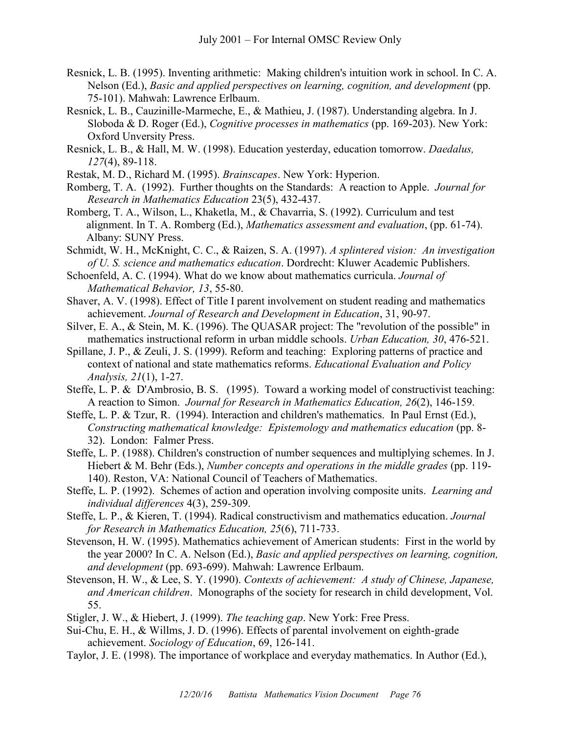- Resnick, L. B. (1995). Inventing arithmetic: Making children's intuition work in school. In C. A. Nelson (Ed.), *Basic and applied perspectives on learning, cognition, and development* (pp. 75-101). Mahwah: Lawrence Erlbaum.
- Resnick, L. B., Cauzinille-Marmeche, E., & Mathieu, J. (1987). Understanding algebra. In J. Sloboda & D. Roger (Ed.), *Cognitive processes in mathematics* (pp. 169-203). New York: Oxford Unversity Press.
- Resnick, L. B., & Hall, M. W. (1998). Education yesterday, education tomorrow. *Daedalus, 127*(4), 89-118.
- Restak, M. D., Richard M. (1995). *Brainscapes*. New York: Hyperion.
- Romberg, T. A. (1992). Further thoughts on the Standards: A reaction to Apple. *Journal for Research in Mathematics Education* 23(5), 432-437.
- Romberg, T. A., Wilson, L., Khaketla, M., & Chavarria, S. (1992). Curriculum and test alignment. In T. A. Romberg (Ed.), *Mathematics assessment and evaluation*, (pp. 61-74). Albany: SUNY Press.
- Schmidt, W. H., McKnight, C. C., & Raizen, S. A. (1997). *A splintered vision: An investigation of U. S. science and mathematics education*. Dordrecht: Kluwer Academic Publishers.
- Schoenfeld, A. C. (1994). What do we know about mathematics curricula. *Journal of Mathematical Behavior, 13*, 55-80.
- Shaver, A. V. (1998). Effect of Title I parent involvement on student reading and mathematics achievement. *Journal of Research and Development in Education*, 31, 90-97.
- Silver, E. A., & Stein, M. K. (1996). The QUASAR project: The "revolution of the possible" in mathematics instructional reform in urban middle schools. *Urban Education, 30*, 476-521.
- Spillane, J. P., & Zeuli, J. S. (1999). Reform and teaching: Exploring patterns of practice and context of national and state mathematics reforms. *Educational Evaluation and Policy Analysis, 21*(1), 1-27.
- Steffe, L. P. & D'Ambrosio, B. S. (1995). Toward a working model of constructivist teaching: A reaction to Simon. *Journal for Research in Mathematics Education, 26*(2), 146-159.
- Steffe, L. P. & Tzur, R. (1994). Interaction and children's mathematics. In Paul Ernst (Ed.), *Constructing mathematical knowledge: Epistemology and mathematics education* (pp. 8- 32). London: Falmer Press.
- Steffe, L. P. (1988). Children's construction of number sequences and multiplying schemes. In J. Hiebert & M. Behr (Eds.), *Number concepts and operations in the middle grades* (pp. 119- 140). Reston, VA: National Council of Teachers of Mathematics.
- Steffe, L. P. (1992). Schemes of action and operation involving composite units. *Learning and individual differences* 4(3), 259-309.
- Steffe, L. P., & Kieren, T. (1994). Radical constructivism and mathematics education. *Journal for Research in Mathematics Education, 25*(6), 711-733.
- Stevenson, H. W. (1995). Mathematics achievement of American students: First in the world by the year 2000? In C. A. Nelson (Ed.), *Basic and applied perspectives on learning, cognition, and development* (pp. 693-699). Mahwah: Lawrence Erlbaum.
- Stevenson, H. W., & Lee, S. Y. (1990). *Contexts of achievement: A study of Chinese, Japanese, and American children*. Monographs of the society for research in child development, Vol. 55.
- Stigler, J. W., & Hiebert, J. (1999). *The teaching gap*. New York: Free Press.
- Sui-Chu, E. H., & Willms, J. D. (1996). Effects of parental involvement on eighth-grade achievement. *Sociology of Education*, 69, 126-141.
- Taylor, J. E. (1998). The importance of workplace and everyday mathematics. In Author (Ed.),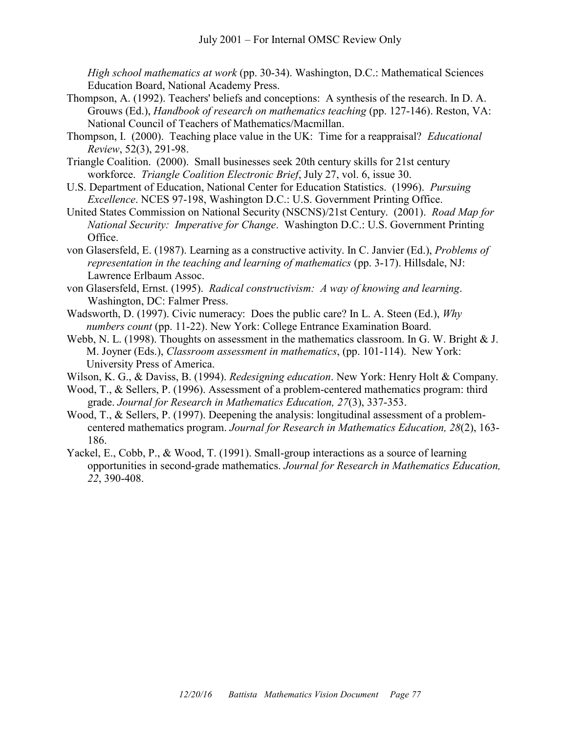*High school mathematics at work* (pp. 30-34). Washington, D.C.: Mathematical Sciences Education Board, National Academy Press.

- Thompson, A. (1992). Teachers' beliefs and conceptions: A synthesis of the research. In D. A. Grouws (Ed.), *Handbook of research on mathematics teaching* (pp. 127-146). Reston, VA: National Council of Teachers of Mathematics/Macmillan.
- Thompson, I. (2000). Teaching place value in the UK: Time for a reappraisal? *Educational Review*, 52(3), 291-98.
- Triangle Coalition. (2000). Small businesses seek 20th century skills for 21st century workforce. *Triangle Coalition Electronic Brief*, July 27, vol. 6, issue 30.
- U.S. Department of Education, National Center for Education Statistics. (1996). *Pursuing Excellence*. NCES 97-198, Washington D.C.: U.S. Government Printing Office.
- United States Commission on National Security (NSCNS)/21st Century. (2001). *Road Map for National Security: Imperative for Change*. Washington D.C.: U.S. Government Printing Office.
- von Glasersfeld, E. (1987). Learning as a constructive activity. In C. Janvier (Ed.), *Problems of representation in the teaching and learning of mathematics* (pp. 3-17). Hillsdale, NJ: Lawrence Erlbaum Assoc.
- von Glasersfeld, Ernst. (1995). *Radical constructivism: A way of knowing and learning*. Washington, DC: Falmer Press.
- Wadsworth, D. (1997). Civic numeracy: Does the public care? In L. A. Steen (Ed.), *Why numbers count* (pp. 11-22). New York: College Entrance Examination Board.
- Webb, N. L. (1998). Thoughts on assessment in the mathematics classroom. In G. W. Bright & J. M. Joyner (Eds.), *Classroom assessment in mathematics*, (pp. 101-114). New York: University Press of America.
- Wilson, K. G., & Daviss, B. (1994). *Redesigning education*. New York: Henry Holt & Company.
- Wood, T., & Sellers, P. (1996). Assessment of a problem-centered mathematics program: third grade. *Journal for Research in Mathematics Education, 27*(3), 337-353.
- Wood, T., & Sellers, P. (1997). Deepening the analysis: longitudinal assessment of a problemcentered mathematics program. *Journal for Research in Mathematics Education, 28*(2), 163- 186.
- Yackel, E., Cobb, P., & Wood, T. (1991). Small-group interactions as a source of learning opportunities in second-grade mathematics. *Journal for Research in Mathematics Education, 22*, 390-408.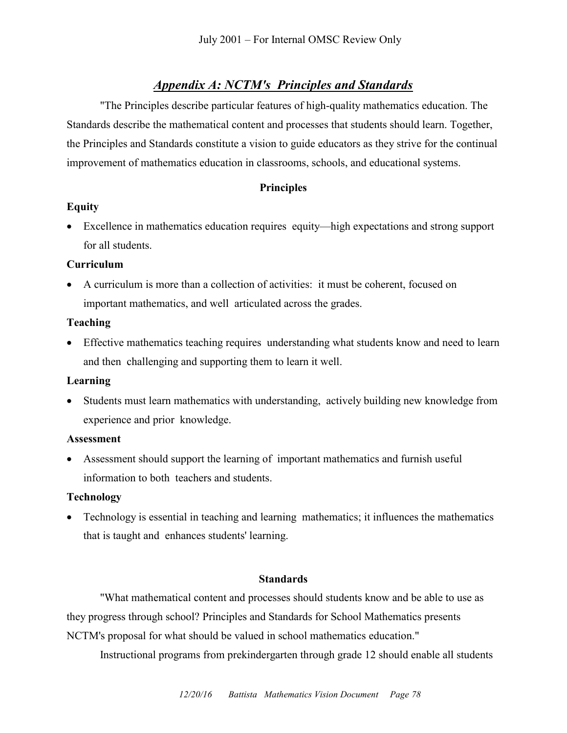# *Appendix A: NCTM's Principles and Standards*

"The Principles describe particular features of high-quality mathematics education. The Standards describe the mathematical content and processes that students should learn. Together, the Principles and Standards constitute a vision to guide educators as they strive for the continual improvement of mathematics education in classrooms, schools, and educational systems.

# **Principles**

# **Equity**

 Excellence in mathematics education requires equity—high expectations and strong support for all students.

# **Curriculum**

 A curriculum is more than a collection of activities: it must be coherent, focused on important mathematics, and well articulated across the grades.

## **Teaching**

 Effective mathematics teaching requires understanding what students know and need to learn and then challenging and supporting them to learn it well.

## **Learning**

 Students must learn mathematics with understanding, actively building new knowledge from experience and prior knowledge.

## **Assessment**

 Assessment should support the learning of important mathematics and furnish useful information to both teachers and students.

# **Technology**

 Technology is essential in teaching and learning mathematics; it influences the mathematics that is taught and enhances students' learning.

## **Standards**

"What mathematical content and processes should students know and be able to use as they progress through school? Principles and Standards for School Mathematics presents NCTM's proposal for what should be valued in school mathematics education."

Instructional programs from prekindergarten through grade 12 should enable all students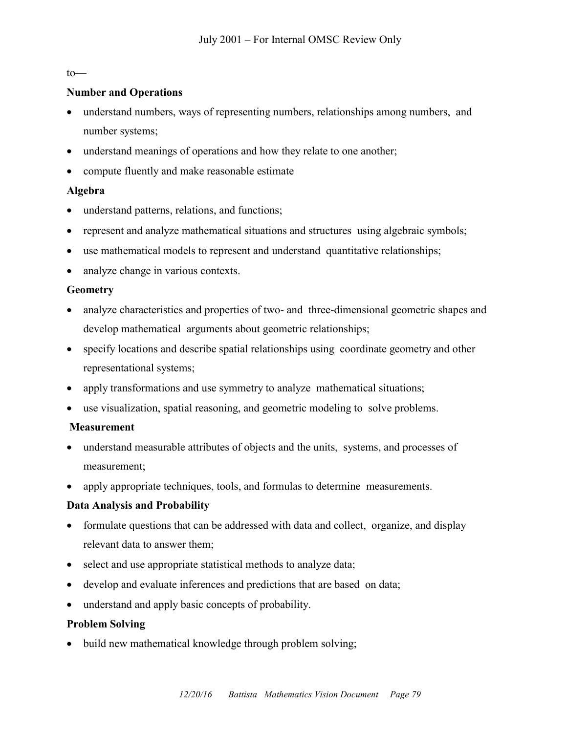#### to—

## **Number and Operations**

- understand numbers, ways of representing numbers, relationships among numbers, and number systems;
- understand meanings of operations and how they relate to one another;
- compute fluently and make reasonable estimate

# **Algebra**

- understand patterns, relations, and functions;
- represent and analyze mathematical situations and structures using algebraic symbols;
- use mathematical models to represent and understand quantitative relationships;
- analyze change in various contexts.

## **Geometry**

- analyze characteristics and properties of two- and three-dimensional geometric shapes and develop mathematical arguments about geometric relationships;
- specify locations and describe spatial relationships using coordinate geometry and other representational systems;
- apply transformations and use symmetry to analyze mathematical situations;
- use visualization, spatial reasoning, and geometric modeling to solve problems.

## **Measurement**

- understand measurable attributes of objects and the units, systems, and processes of measurement;
- apply appropriate techniques, tools, and formulas to determine measurements.

# **Data Analysis and Probability**

- formulate questions that can be addressed with data and collect, organize, and display relevant data to answer them;
- select and use appropriate statistical methods to analyze data;
- develop and evaluate inferences and predictions that are based on data;
- understand and apply basic concepts of probability.

# **Problem Solving**

build new mathematical knowledge through problem solving;